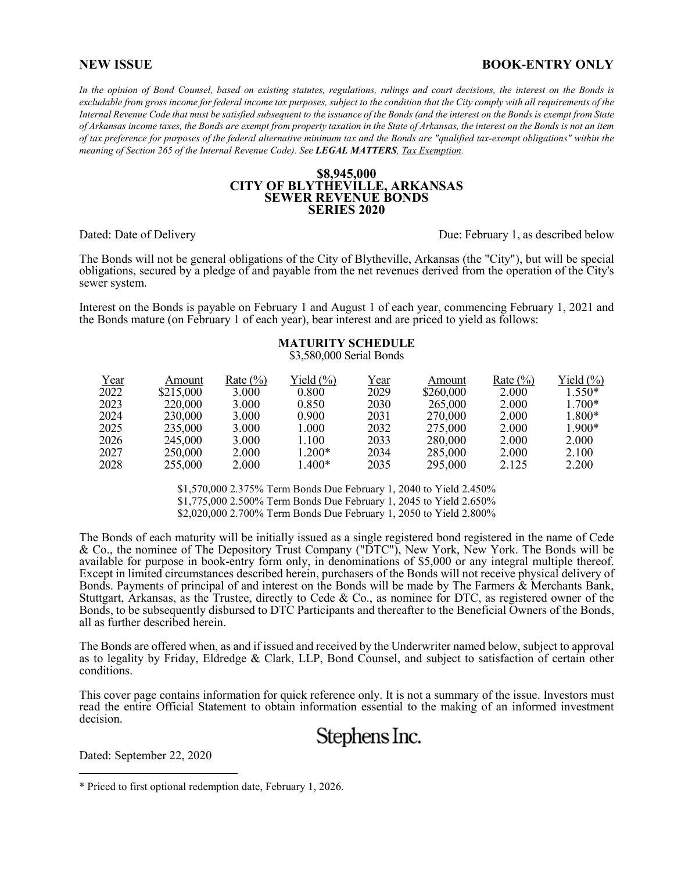#### **NEW ISSUE BOOK-ENTRY ONLY**

*In the opinion of Bond Counsel, based on existing statutes, regulations, rulings and court decisions, the interest on the Bonds is excludable from gross income for federal income tax purposes, subject to the condition that the City comply with all requirements of the Internal Revenue Code that must be satisfied subsequent to the issuance of the Bonds (and the interest on the Bonds is exempt from State of Arkansas income taxes, the Bonds are exempt from property taxation in the State of Arkansas, the interest on the Bonds is not an item of tax preference for purposes of the federal alternative minimum tax and the Bonds are "qualified tax-exempt obligations" within the meaning of Section 265 of the Internal Revenue Code). See LEGAL MATTERS, Tax Exemption.* 

#### **\$8,945,000 CITY OF BLYTHEVILLE, ARKANSAS SEWER REVENUE BONDS SERIES 2020**

Dated: Date of Delivery **Due: February 1, as described below** Due: February 1, as described below

The Bonds will not be general obligations of the City of Blytheville, Arkansas (the "City"), but will be special obligations, secured by a pledge of and payable from the net revenues derived from the operation of the City's sewer system.

Interest on the Bonds is payable on February 1 and August 1 of each year, commencing February 1, 2021 and the Bonds mature (on February 1 of each year), bear interest and are priced to yield as follows:

#### **MATURITY SCHEDULE** \$3,580,000 Serial Bonds

| Year          | Amount    | Rate $(\% )$ | Yield $(\% )$ | Year | Amount    | Rate $(\% )$ | Yield $(\%)$ |
|---------------|-----------|--------------|---------------|------|-----------|--------------|--------------|
| $\sqrt{2022}$ | \$215,000 | 3.000        | 0.800         | 2029 | \$260,000 | 2.000        | $1.550*$     |
| 2023          | 220,000   | 3.000        | 0.850         | 2030 | 265,000   | 2.000        | $1.700*$     |
| 2024          | 230,000   | 3.000        | 0.900         | 2031 | 270,000   | 2.000        | 1.800*       |
| 2025          | 235,000   | 3.000        | 1.000         | 2032 | 275,000   | 2.000        | $1.900*$     |
| 2026          | 245,000   | 3.000        | 1.100         | 2033 | 280,000   | 2.000        | 2.000        |
| 2027          | 250,000   | 2.000        | $1.200*$      | 2034 | 285,000   | 2.000        | 2.100        |
| 2028          | 255,000   | 2.000        | 1.400*        | 2035 | 295,000   | 2.125        | 2.200        |

\$1,570,000 2.375% Term Bonds Due February 1, 2040 to Yield 2.450% \$1,775,000 2.500% Term Bonds Due February 1, 2045 to Yield 2.650% \$2,020,000 2.700% Term Bonds Due February 1, 2050 to Yield 2.800%

The Bonds of each maturity will be initially issued as a single registered bond registered in the name of Cede & Co., the nominee of The Depository Trust Company ("DTC"), New York, New York. The Bonds will be available for purpose in book-entry form only, in denominations of \$5,000 or any integral multiple thereof. Except in limited circumstances described herein, purchasers of the Bonds will not receive physical delivery of Bonds. Payments of principal of and interest on the Bonds will be made by The Farmers & Merchants Bank, Stuttgart, Arkansas, as the Trustee, directly to Cede & Co., as nominee for DTC, as registered owner of the Bonds, to be subsequently disbursed to DTC Participants and thereafter to the Beneficial Owners of the Bonds, all as further described herein.

The Bonds are offered when, as and if issued and received by the Underwriter named below, subject to approval as to legality by Friday, Eldredge & Clark, LLP, Bond Counsel, and subject to satisfaction of certain other conditions.

This cover page contains information for quick reference only. It is not a summary of the issue. Investors must read the entire Official Statement to obtain information essential to the making of an informed investment decision.

# Stephens Inc.

Dated: September 22, 2020

i<br>Li

<sup>\*</sup> Priced to first optional redemption date, February 1, 2026.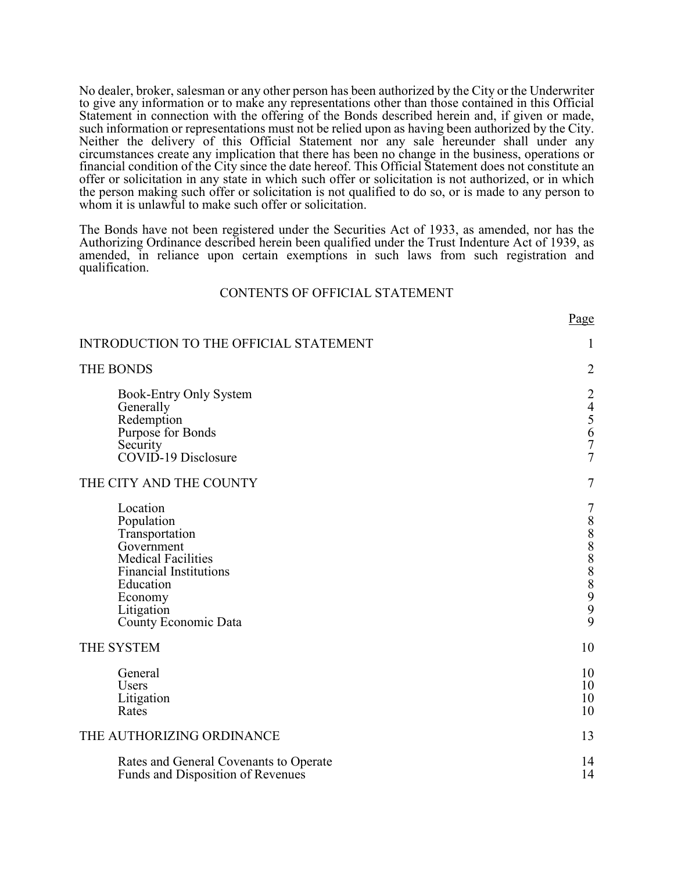No dealer, broker, salesman or any other person has been authorized by the City or the Underwriter to give any information or to make any representations other than those contained in this Official Statement in connection with the offering of the Bonds described herein and, if given or made, such information or representations must not be relied upon as having been authorized by the City. Neither the delivery of this Official Statement nor any sale hereunder shall under any circumstances create any implication that there has been no change in the business, operations or financial condition of the City since the date hereof. This Official Statement does not constitute an offer or solicitation in any state in which such offer or solicitation is not authorized, or in which the person making such offer or solicitation is not qualified to do so, or is made to any person to whom it is unlawful to make such offer or solicitation.

The Bonds have not been registered under the Securities Act of 1933, as amended, nor has the Authorizing Ordinance described herein been qualified under the Trust Indenture Act of 1939, as amended, in reliance upon certain exemptions in such laws from such registration and qualification.

#### CONTENTS OF OFFICIAL STATEMENT

| ۰.<br>I |
|---------|
|---------|

| INTRODUCTION TO THE OFFICIAL STATEMENT                                                                                                                                             | $\mathbf{1}$            |
|------------------------------------------------------------------------------------------------------------------------------------------------------------------------------------|-------------------------|
| <b>THE BONDS</b>                                                                                                                                                                   | $\overline{2}$          |
| Book-Entry Only System<br>Generally<br>Redemption<br>Purpose for Bonds<br>Security<br>COVID-19 Disclosure                                                                          | 24567<br>$\overline{7}$ |
| THE CITY AND THE COUNTY                                                                                                                                                            | 7                       |
| Location<br>Population<br>Transportation<br>Government<br><b>Medical Facilities</b><br><b>Financial Institutions</b><br>Education<br>Economy<br>Litigation<br>County Economic Data | 7<br>8888899<br>9       |
| THE SYSTEM                                                                                                                                                                         | 10                      |
| General<br>Users<br>Litigation<br>Rates                                                                                                                                            | 10<br>10<br>10<br>10    |
| THE AUTHORIZING ORDINANCE                                                                                                                                                          | 13                      |
| Rates and General Covenants to Operate<br>Funds and Disposition of Revenues                                                                                                        | 14<br>14                |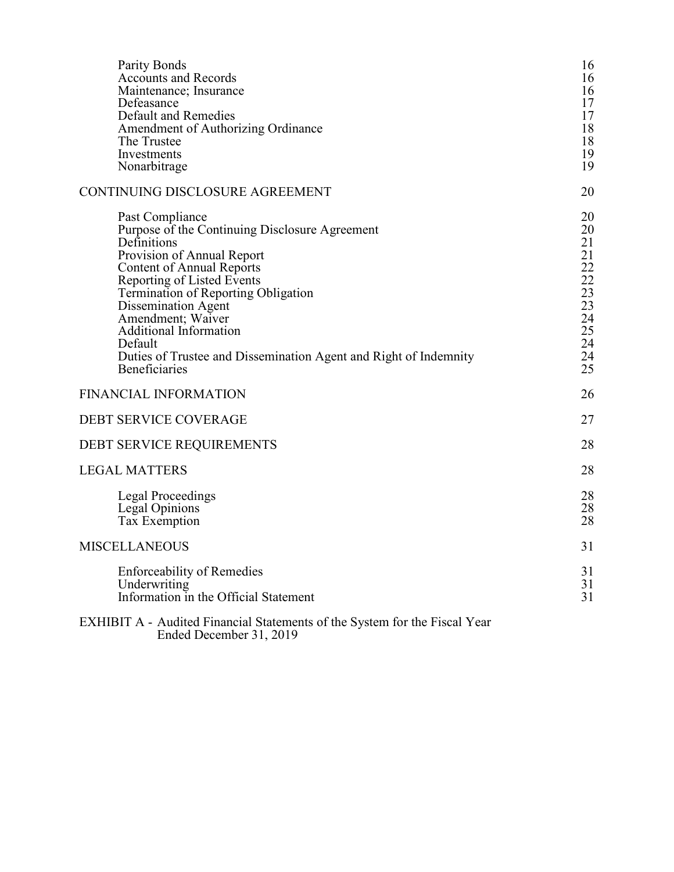| Parity Bonds<br><b>Accounts and Records</b><br>Maintenance; Insurance<br>Defeasance<br>Default and Remedies<br>Amendment of Authorizing Ordinance<br>The Trustee<br>Investments<br>Nonarbitrage                                                                                                                                                                                                      | 16<br>16<br>16<br>17<br>17<br>18<br>18<br>19<br>19                                                               |
|------------------------------------------------------------------------------------------------------------------------------------------------------------------------------------------------------------------------------------------------------------------------------------------------------------------------------------------------------------------------------------------------------|------------------------------------------------------------------------------------------------------------------|
| CONTINUING DISCLOSURE AGREEMENT                                                                                                                                                                                                                                                                                                                                                                      | 20                                                                                                               |
| Past Compliance<br>Purpose of the Continuing Disclosure Agreement<br>Definitions<br>Provision of Annual Report<br><b>Content of Annual Reports</b><br>Reporting of Listed Events<br>Termination of Reporting Obligation<br>Dissemination Agent<br>Amendment; Waiver<br><b>Additional Information</b><br>Default<br>Duties of Trustee and Dissemination Agent and Right of Indemnity<br>Beneficiaries | 20<br>20<br>21<br>21<br>22<br>$\begin{array}{c} 22 \\ 23 \end{array}$<br>23<br>$\frac{24}{25}$<br>24<br>24<br>25 |
| <b>FINANCIAL INFORMATION</b>                                                                                                                                                                                                                                                                                                                                                                         | 26                                                                                                               |
| <b>DEBT SERVICE COVERAGE</b>                                                                                                                                                                                                                                                                                                                                                                         | 27                                                                                                               |
| DEBT SERVICE REQUIREMENTS                                                                                                                                                                                                                                                                                                                                                                            | 28                                                                                                               |
| <b>LEGAL MATTERS</b>                                                                                                                                                                                                                                                                                                                                                                                 | 28                                                                                                               |
| Legal Proceedings<br>Legal Opinions<br>Tax Exemption                                                                                                                                                                                                                                                                                                                                                 | 28<br>28<br>28                                                                                                   |
| <b>MISCELLANEOUS</b>                                                                                                                                                                                                                                                                                                                                                                                 | 31                                                                                                               |
| <b>Enforceability of Remedies</b><br>Underwriting<br>Information in the Official Statement                                                                                                                                                                                                                                                                                                           | 31<br>31<br>31                                                                                                   |
| EXHIBIT A - Audited Financial Statements of the System for the Fiscal Year<br>Ended December 31, 2019                                                                                                                                                                                                                                                                                                |                                                                                                                  |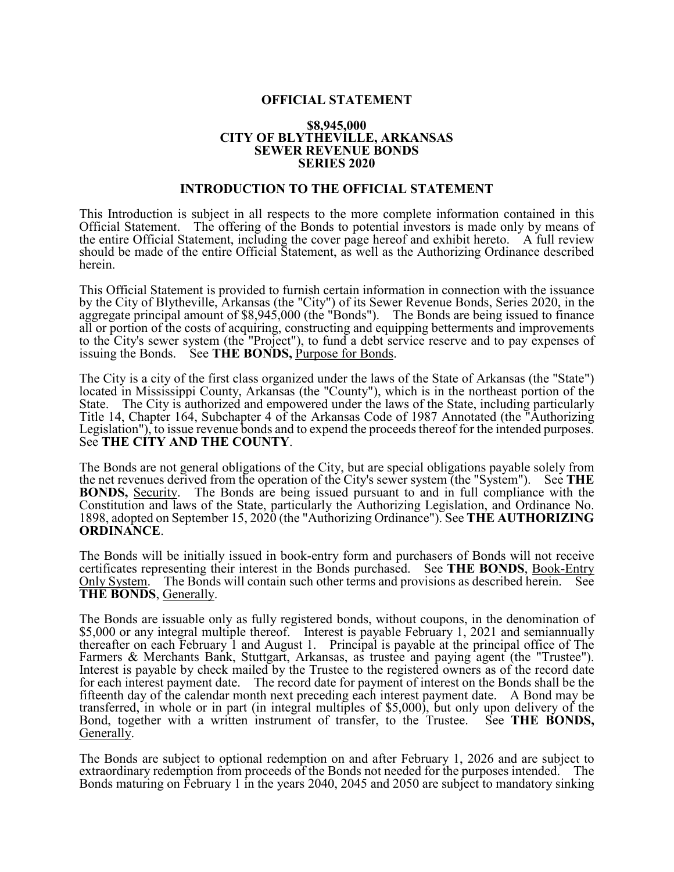# **OFFICIAL STATEMENT**

#### **\$8,945,000 CITY OF BLYTHEVILLE, ARKANSAS SEWER REVENUE BONDS SERIES 2020**

#### **INTRODUCTION TO THE OFFICIAL STATEMENT**

This Introduction is subject in all respects to the more complete information contained in this Official Statement. The offering of the Bonds to potential investors is made only by means of the entire Official Statement, including the cover page hereof and exhibit hereto. A full review should be made of the entire Official Statement, as well as the Authorizing Ordinance described herein.

This Official Statement is provided to furnish certain information in connection with the issuance by the City of Blytheville, Arkansas (the "City") of its Sewer Revenue Bonds, Series 2020, in the aggregate principal amount of \$8,945,000 (the "Bonds"). The Bonds are being issued to finance all or portion of the costs of acquiring, constructing and equipping betterments and improvements to the City's sewer system (the "Project"), to fund a debt service reserve and to pay expenses of issuing the Bonds. See **THE BONDS**, Purpose for Bonds.

The City is a city of the first class organized under the laws of the State of Arkansas (the "State") located in Mississippi County, Arkansas (the "County"), which is in the northeast portion of the State. The City is authorized and empowered under the laws of the State, including particularly Title 14, Chapter 164, Subchapter 4 of the Arkansas Code of 1987 Annotated (the "Authorizing Legislation"), to issue revenue bonds and to expend the proceeds thereof for the intended purposes. See **THE CITY AND THE COUNTY**.

The Bonds are not general obligations of the City, but are special obligations payable solely from the net revenues derived from the operation of the City's sewer system (the "System"). See **THE BONDS,** Security. The Bonds are being issued pursuant to and in full compliance with the Constitution and laws of the State, particularly the Authorizing Legislation, and Ordinance No. 1898, adopted on September 15, 2020 (the "Authorizing Ordinance"). See **THE AUTHORIZING ORDINANCE**.

The Bonds will be initially issued in book-entry form and purchasers of Bonds will not receive certificates representing their interest in the Bonds purchased. See **THE BONDS**, Book-Entry Only System. The Bonds will contain such other terms and provisions as described herein. See **THE BONDS**, Generally.

The Bonds are issuable only as fully registered bonds, without coupons, in the denomination of \$5,000 or any integral multiple thereof. Interest is payable February 1, 2021 and semiannually thereafter on each February 1 and August 1. Principal is payable at the principal office of The Farmers & Merchants Bank, Stuttgart, Arkansas, as trustee and paying agent (the "Trustee"). Interest is payable by check mailed by the Trustee to the registered owners as of the record date for each interest payment date. The record date for payment of interest on the Bonds shall be the fifteenth day of the calendar month next preceding each interest payment date. A Bond may be transferred, in whole or in part (in integral multiples of \$5,000), but only upon delivery of the Bond, together with a written instrument of transfer, to the Trustee. See **THE BONDS,** Generally.

The Bonds are subject to optional redemption on and after February 1, 2026 and are subject to extraordinary redemption from proceeds of the Bonds not needed for the purposes intended. The Bonds maturing on February 1 in the years 2040, 2045 and 2050 are subject to mandatory sinking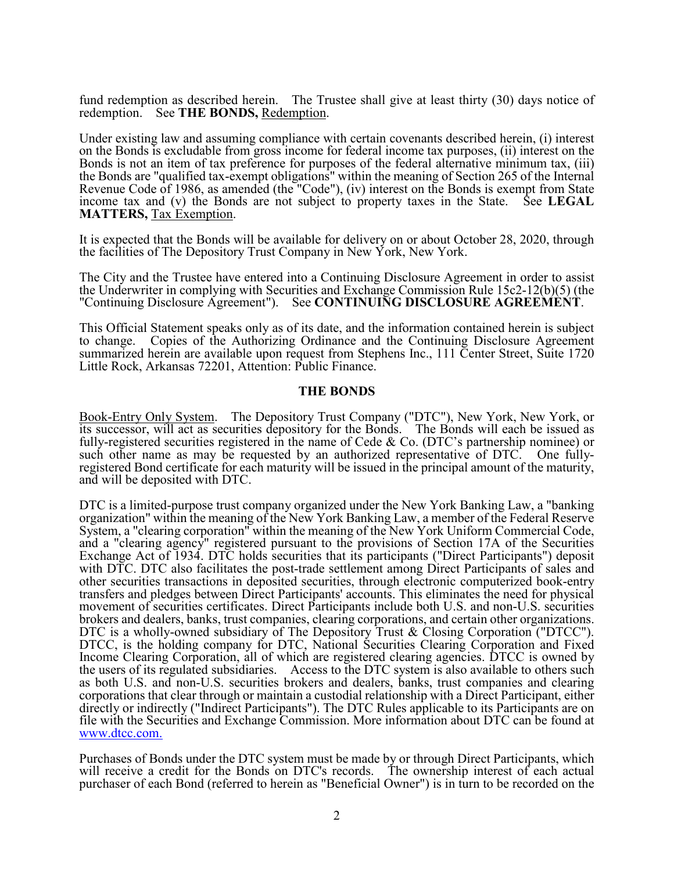fund redemption as described herein. The Trustee shall give at least thirty (30) days notice of redemption. See **THE BONDS,** Redemption.

Under existing law and assuming compliance with certain covenants described herein, (i) interest on the Bonds is excludable from gross income for federal income tax purposes, (ii) interest on the Bonds is not an item of tax preference for purposes of the federal alternative minimum tax, (iii) the Bonds are "qualified tax-exempt obligations" within the meaning of Section 265 of the Internal Revenue Code of 1986, as amended (the "Code"), (iv) interest on the Bonds is exempt from State income tax and (v) the Bonds are not subject to property taxes in the State. See **LEGAL MATTERS,** Tax Exemption.

It is expected that the Bonds will be available for delivery on or about October 28, 2020, through the facilities of The Depository Trust Company in New York, New York.

The City and the Trustee have entered into a Continuing Disclosure Agreement in order to assist the Underwriter in complying with Securities and Exchange Commission Rule 15c2-12(b)(5) (the "Continuing Disclosure Agreement"). See **CONTINUING DISCLOSURE AGREEMENT**.

This Official Statement speaks only as of its date, and the information contained herein is subject to change. Copies of the Authorizing Ordinance and the Continuing Disclosure Agreement summarized herein are available upon request from Stephens Inc., 111 Center Street, Suite 1720 Little Rock, Arkansas 72201, Attention: Public Finance.

#### **THE BONDS**

Book-Entry Only System. The Depository Trust Company ("DTC"), New York, New York, or its successor, will act as securities depository for the Bonds. The Bonds will each be issued as fully-registered securities registered in the name of Cede & Co. (DTC's partnership nominee) or such other name as may be requested by an authorized representative of DTC. One fullyregistered Bond certificate for each maturity will be issued in the principal amount of the maturity, and will be deposited with DTC.

DTC is a limited-purpose trust company organized under the New York Banking Law, a "banking organization" within the meaning of the New York Banking Law, a member of the Federal Reserve System, a "clearing corporation" within the meaning of the New York Uniform Commercial Code, and a "clearing agency" registered pursuant to the provisions of Section 17A of the Securities Exchange Act of 1934. DTC holds securities that its participants ("Direct Participants") deposit with DTC. DTC also facilitates the post-trade settlement among Direct Participants of sales and other securities transactions in deposited securities, through electronic computerized book-entry transfers and pledges between Direct Participants' accounts. This eliminates the need for physical movement of securities certificates. Direct Participants include both U.S. and non-U.S. securities brokers and dealers, banks, trust companies, clearing corporations, and certain other organizations. DTC is a wholly-owned subsidiary of The Depository Trust & Closing Corporation ("DTCC"). DTCC, is the holding company for DTC, National Securities Clearing Corporation and Fixed Income Clearing Corporation, all of which are registered clearing agencies. DTCC is owned by the users of its regulated subsidiaries. Access to the DTC system is also available to others such as both U.S. and non-U.S. securities brokers and dealers, banks, trust companies and clearing corporations that clear through or maintain a custodial relationship with a Direct Participant, either directly or indirectly ("Indirect Participants"). The DTC Rules applicable to its Participants are on file with the Securities and Exchange Commission. More information about DTC can be found at www.dtcc.com.

Purchases of Bonds under the DTC system must be made by or through Direct Participants, which will receive a credit for the Bonds on DTC's records. The ownership interest of each actual purchaser of each Bond (referred to herein as "Beneficial Owner") is in turn to be recorded on the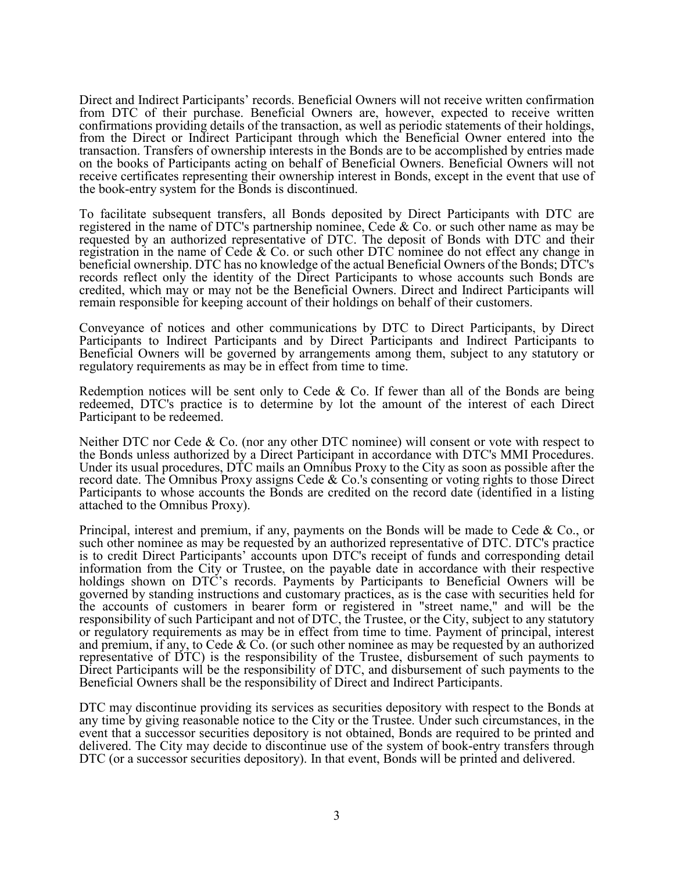Direct and Indirect Participants' records. Beneficial Owners will not receive written confirmation from DTC of their purchase. Beneficial Owners are, however, expected to receive written confirmations providing details of the transaction, as well as periodic statements of their holdings, from the Direct or Indirect Participant through which the Beneficial Owner entered into the transaction. Transfers of ownership interests in the Bonds are to be accomplished by entries made on the books of Participants acting on behalf of Beneficial Owners. Beneficial Owners will not receive certificates representing their ownership interest in Bonds, except in the event that use of the book-entry system for the Bonds is discontinued.

To facilitate subsequent transfers, all Bonds deposited by Direct Participants with DTC are registered in the name of DTC's partnership nominee, Cede & Co. or such other name as may be requested by an authorized representative of DTC. The deposit of Bonds with DTC and their registration in the name of Cede & Co. or such other DTC nominee do not effect any change in beneficial ownership. DTC has no knowledge of the actual Beneficial Owners of the Bonds; DTC's records reflect only the identity of the Direct Participants to whose accounts such Bonds are credited, which may or may not be the Beneficial Owners. Direct and Indirect Participants will remain responsible for keeping account of their holdings on behalf of their customers.

Conveyance of notices and other communications by DTC to Direct Participants, by Direct Participants to Indirect Participants and by Direct Participants and Indirect Participants to Beneficial Owners will be governed by arrangements among them, subject to any statutory or regulatory requirements as may be in effect from time to time.

Redemption notices will be sent only to Cede & Co. If fewer than all of the Bonds are being redeemed, DTC's practice is to determine by lot the amount of the interest of each Direct Participant to be redeemed.

Neither DTC nor Cede & Co. (nor any other DTC nominee) will consent or vote with respect to the Bonds unless authorized by a Direct Participant in accordance with DTC's MMI Procedures. Under its usual procedures, DTC mails an Omnibus Proxy to the City as soon as possible after the record date. The Omnibus Proxy assigns Cede & Co.'s consenting or voting rights to those Direct Participants to whose accounts the Bonds are credited on the record date (identified in a listing attached to the Omnibus Proxy).

Principal, interest and premium, if any, payments on the Bonds will be made to Cede & Co., or such other nominee as may be requested by an authorized representative of DTC. DTC's practice is to credit Direct Participants' accounts upon DTC's receipt of funds and corresponding detail information from the City or Trustee, on the payable date in accordance with their respective holdings shown on DTC's records. Payments by Participants to Beneficial Owners will be governed by standing instructions and customary practices, as is the case with securities held for the accounts of customers in bearer form or registered in "street name," and will be the responsibility of such Participant and not of DTC, the Trustee, or the City, subject to any statutory or regulatory requirements as may be in effect from time to time. Payment of principal, interest and premium, if any, to Cede  $& Co.$  (or such other nominee as may be requested by an authorized representative of DTC) is the responsibility of the Trustee, disbursement of such payments to Direct Participants will be the responsibility of DTC, and disbursement of such payments to the Beneficial Owners shall be the responsibility of Direct and Indirect Participants.

DTC may discontinue providing its services as securities depository with respect to the Bonds at any time by giving reasonable notice to the City or the Trustee. Under such circumstances, in the event that a successor securities depository is not obtained, Bonds are required to be printed and delivered. The City may decide to discontinue use of the system of book-entry transfers through DTC (or a successor securities depository). In that event, Bonds will be printed and delivered.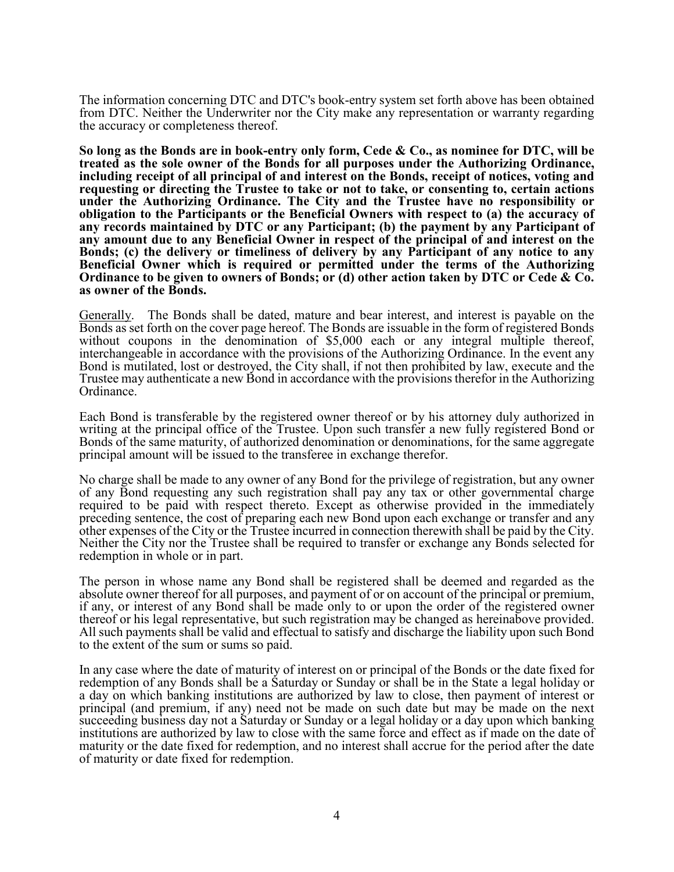The information concerning DTC and DTC's book-entry system set forth above has been obtained from DTC. Neither the Underwriter nor the City make any representation or warranty regarding the accuracy or completeness thereof.

**So long as the Bonds are in book-entry only form, Cede & Co., as nominee for DTC, will be treated as the sole owner of the Bonds for all purposes under the Authorizing Ordinance, including receipt of all principal of and interest on the Bonds, receipt of notices, voting and requesting or directing the Trustee to take or not to take, or consenting to, certain actions under the Authorizing Ordinance. The City and the Trustee have no responsibility or obligation to the Participants or the Beneficial Owners with respect to (a) the accuracy of any records maintained by DTC or any Participant; (b) the payment by any Participant of any amount due to any Beneficial Owner in respect of the principal of and interest on the Bonds; (c) the delivery or timeliness of delivery by any Participant of any notice to any Beneficial Owner which is required or permitted under the terms of the Authorizing Ordinance to be given to owners of Bonds; or (d) other action taken by DTC or Cede & Co. as owner of the Bonds.**

Generally. The Bonds shall be dated, mature and bear interest, and interest is payable on the Bonds as set forth on the cover page hereof. The Bonds are issuable in the form of registered Bonds without coupons in the denomination of \$5,000 each or any integral multiple thereof, interchangeable in accordance with the provisions of the Authorizing Ordinance. In the event any Bond is mutilated, lost or destroyed, the City shall, if not then prohibited by law, execute and the Trustee may authenticate a new Bond in accordance with the provisions therefor in the Authorizing Ordinance.

Each Bond is transferable by the registered owner thereof or by his attorney duly authorized in writing at the principal office of the Trustee. Upon such transfer a new fully registered Bond or Bonds of the same maturity, of authorized denomination or denominations, for the same aggregate principal amount will be issued to the transferee in exchange therefor.

No charge shall be made to any owner of any Bond for the privilege of registration, but any owner of any Bond requesting any such registration shall pay any tax or other governmental charge required to be paid with respect thereto. Except as otherwise provided in the immediately preceding sentence, the cost of preparing each new Bond upon each exchange or transfer and any other expenses of the City or the Trustee incurred in connection therewith shall be paid by the City. Neither the City nor the Trustee shall be required to transfer or exchange any Bonds selected for redemption in whole or in part.

The person in whose name any Bond shall be registered shall be deemed and regarded as the absolute owner thereof for all purposes, and payment of or on account of the principal or premium, if any, or interest of any Bond shall be made only to or upon the order of the registered owner thereof or his legal representative, but such registration may be changed as hereinabove provided. All such payments shall be valid and effectual to satisfy and discharge the liability upon such Bond to the extent of the sum or sums so paid.

In any case where the date of maturity of interest on or principal of the Bonds or the date fixed for redemption of any Bonds shall be a Saturday or Sunday or shall be in the State a legal holiday or a day on which banking institutions are authorized by law to close, then payment of interest or principal (and premium, if any) need not be made on such date but may be made on the next succeeding business day not a Saturday or Sunday or a legal holiday or a day upon which banking institutions are authorized by law to close with the same force and effect as if made on the date of maturity or the date fixed for redemption, and no interest shall accrue for the period after the date of maturity or date fixed for redemption.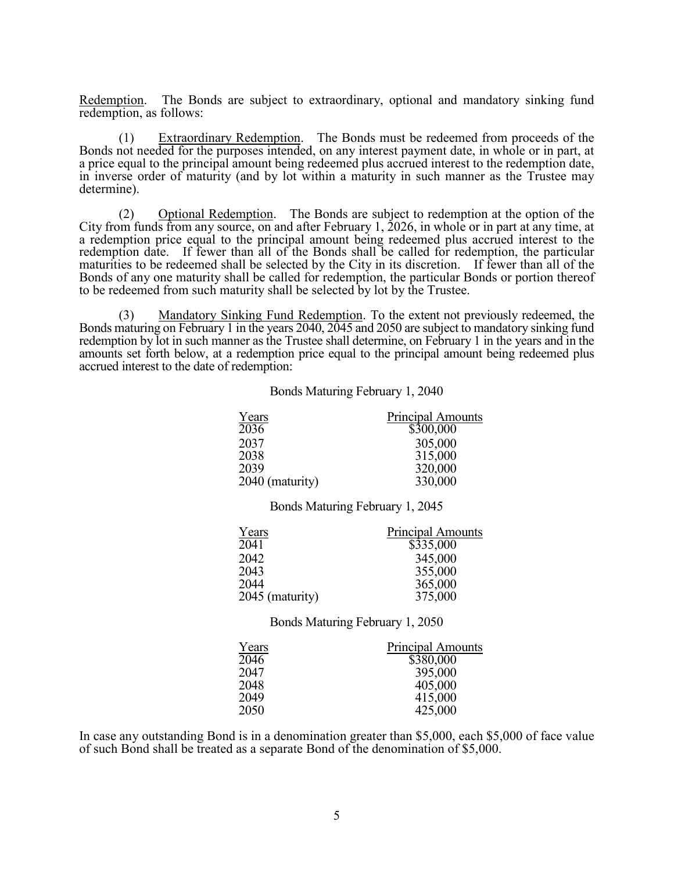Redemption. The Bonds are subject to extraordinary, optional and mandatory sinking fund redemption, as follows:

(1) Extraordinary Redemption. The Bonds must be redeemed from proceeds of the Bonds not needed for the purposes intended, on any interest payment date, in whole or in part, at a price equal to the principal amount being redeemed plus accrued interest to the redemption date, in inverse order of maturity (and by lot within a maturity in such manner as the Trustee may determine).

(2) Optional Redemption. The Bonds are subject to redemption at the option of the City from funds from any source, on and after February 1, 2026, in whole or in part at any time, at a redemption price equal to the principal amount being redeemed plus accrued interest to the redemption date. If fewer than all of the Bonds shall be called for redemption, the particular maturities to be redeemed shall be selected by the City in its discretion. If fewer than all of the Bonds of any one maturity shall be called for redemption, the particular Bonds or portion thereof to be redeemed from such maturity shall be selected by lot by the Trustee.

 (3) Mandatory Sinking Fund Redemption. To the extent not previously redeemed, the Bonds maturing on February 1 in the years 2040, 2045 and 2050 are subject to mandatory sinking fund redemption by lot in such manner as the Trustee shall determine, on February 1 in the years and in the amounts set forth below, at a redemption price equal to the principal amount being redeemed plus accrued interest to the date of redemption:

Bonds Maturing February 1, 2040

| Years           | <b>Principal Amounts</b> |
|-----------------|--------------------------|
| 2036            | \$300,000                |
| 2037            | 305,000                  |
| 2038            | 315,000                  |
| 2039            | 320,000                  |
| 2040 (maturity) | 330,000                  |

Bonds Maturing February 1, 2045

| Years           | <b>Principal Amounts</b> |
|-----------------|--------------------------|
| 2041            | \$335,000                |
| 2042            | 345,000                  |
| 2043            | 355,000                  |
| 2044            | 365,000                  |
| 2045 (maturity) | 375,000                  |

Bonds Maturing February 1, 2050

| Years | Principal Amounts |
|-------|-------------------|
| 2046  | \$380,000         |
| 2047  | 395,000           |
| 2048  | 405,000           |
| 2049  | 415,000           |
| 2050  | 425,000           |

In case any outstanding Bond is in a denomination greater than \$5,000, each \$5,000 of face value of such Bond shall be treated as a separate Bond of the denomination of \$5,000.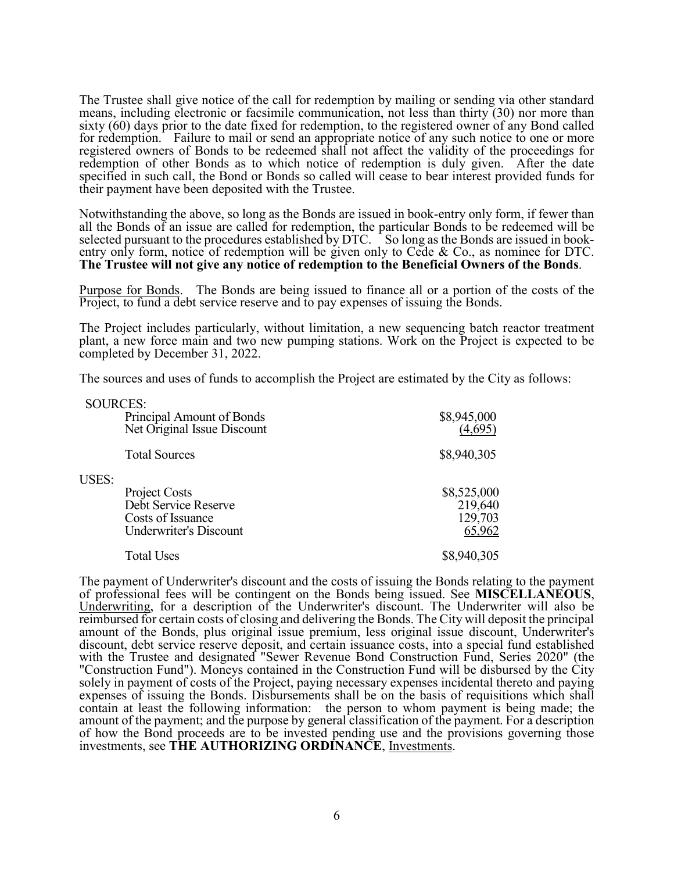The Trustee shall give notice of the call for redemption by mailing or sending via other standard means, including electronic or facsimile communication, not less than thirty (30) nor more than sixty (60) days prior to the date fixed for redemption, to the registered owner of any Bond called for redemption. Failure to mail or send an appropriate notice of any such notice to one or more registered owners of Bonds to be redeemed shall not affect the validity of the proceedings for redemption of other Bonds as to which notice of redemption is duly given. After the date specified in such call, the Bond or Bonds so called will cease to bear interest provided funds for their payment have been deposited with the Trustee.

Notwithstanding the above, so long as the Bonds are issued in book-entry only form, if fewer than all the Bonds of an issue are called for redemption, the particular Bonds to be redeemed will be selected pursuant to the procedures established by DTC. So long as the Bonds are issued in bookentry only form, notice of redemption will be given only to Cede & Co., as nominee for DTC. **The Trustee will not give any notice of redemption to the Beneficial Owners of the Bonds**.

Purpose for Bonds. The Bonds are being issued to finance all or a portion of the costs of the Project, to fund a debt service reserve and to pay expenses of issuing the Bonds.

The Project includes particularly, without limitation, a new sequencing batch reactor treatment plant, a new force main and two new pumping stations. Work on the Project is expected to be completed by December 31, 2022.

The sources and uses of funds to accomplish the Project are estimated by the City as follows:

| SOURCES: | Principal Amount of Bonds<br>Net Original Issue Discount                                    | \$8,945,000<br>(4.695)                      |
|----------|---------------------------------------------------------------------------------------------|---------------------------------------------|
|          | <b>Total Sources</b>                                                                        | \$8,940,305                                 |
| USES:    | Project Costs<br>Debt Service Reserve<br>Costs of Issuance<br><b>Underwriter's Discount</b> | \$8,525,000<br>219,640<br>129,703<br>65,962 |
|          | <b>Total Uses</b>                                                                           | \$8,940,305                                 |

 $S<sub>STD</sub>$ 

The payment of Underwriter's discount and the costs of issuing the Bonds relating to the payment of professional fees will be contingent on the Bonds being issued. See **MISCELLANEOUS**, Underwriting, for a description of the Underwriter's discount. The Underwriter will also be reimbursed for certain costs of closing and delivering the Bonds. The City will deposit the principal amount of the Bonds, plus original issue premium, less original issue discount, Underwriter's discount, debt service reserve deposit, and certain issuance costs, into a special fund established with the Trustee and designated "Sewer Revenue Bond Construction Fund, Series 2020" (the "Construction Fund"). Moneys contained in the Construction Fund will be disbursed by the City solely in payment of costs of the Project, paying necessary expenses incidental thereto and paying expenses of issuing the Bonds. Disbursements shall be on the basis of requisitions which shall contain at least the following information: the person to whom payment is being made; the amount of the payment; and the purpose by general classification of the payment. For a description of how the Bond proceeds are to be invested pending use and the provisions governing those investments, see **THE AUTHORIZING ORDINANCE**, Investments.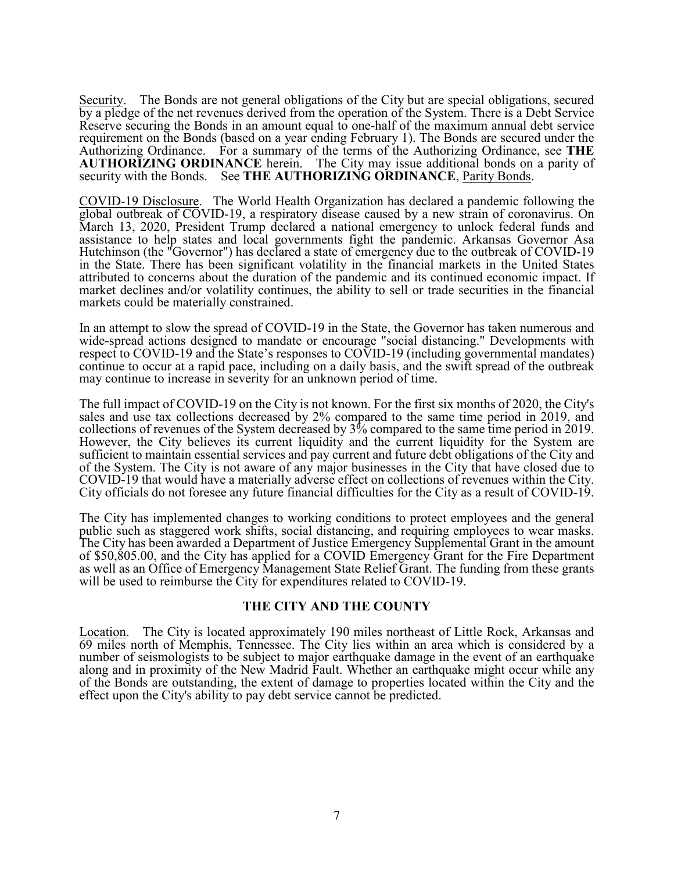Security. The Bonds are not general obligations of the City but are special obligations, secured by a pledge of the net revenues derived from the operation of the System. There is a Debt Service Reserve securing the Bonds in an amount equal to one-half of the maximum annual debt service requirement on the Bonds (based on a year ending February 1). The Bonds are secured under the Authorizing Ordinance. For a summary of the terms of the Authorizing Ordinance, see **THE AUTHORIZING ORDINANCE** herein. The City may issue additional bonds on a parity of security with the Bonds. See **THE AUTHORIZING ORDINANCE**, Parity Bonds.

COVID-19 Disclosure. The World Health Organization has declared a pandemic following the global outbreak of COVID-19, a respiratory disease caused by a new strain of coronavirus. On March 13, 2020, President Trump declared a national emergency to unlock federal funds and assistance to help states and local governments fight the pandemic. Arkansas Governor Asa Hutchinson (the "Governor") has declared a state of emergency due to the outbreak of COVID-19 in the State. There has been significant volatility in the financial markets in the United States attributed to concerns about the duration of the pandemic and its continued economic impact. If market declines and/or volatility continues, the ability to sell or trade securities in the financial markets could be materially constrained.

In an attempt to slow the spread of COVID-19 in the State, the Governor has taken numerous and wide-spread actions designed to mandate or encourage "social distancing." Developments with respect to COVID-19 and the State's responses to COVID-19 (including governmental mandates) continue to occur at a rapid pace, including on a daily basis, and the swift spread of the outbreak may continue to increase in severity for an unknown period of time.

The full impact of COVID-19 on the City is not known. For the first six months of 2020, the City's sales and use tax collections decreased by 2% compared to the same time period in 2019, and collections of revenues of the System decreased by 3% compared to the same time period in 2019. However, the City believes its current liquidity and the current liquidity for the System are sufficient to maintain essential services and pay current and future debt obligations of the City and of the System. The City is not aware of any major businesses in the City that have closed due to COVID-19 that would have a materially adverse effect on collections of revenues within the City. City officials do not foresee any future financial difficulties for the City as a result of COVID-19.

The City has implemented changes to working conditions to protect employees and the general public such as staggered work shifts, social distancing, and requiring employees to wear masks. The City has been awarded a Department of Justice Emergency Supplemental Grant in the amount of \$50,805.00, and the City has applied for a COVID Emergency Grant for the Fire Department as well as an Office of Emergency Management State Relief Grant. The funding from these grants will be used to reimburse the City for expenditures related to COVID-19.

#### **THE CITY AND THE COUNTY**

Location. The City is located approximately 190 miles northeast of Little Rock, Arkansas and 69 miles north of Memphis, Tennessee. The City lies within an area which is considered by a number of seismologists to be subject to major earthquake damage in the event of an earthquake along and in proximity of the New Madrid Fault. Whether an earthquake might occur while any of the Bonds are outstanding, the extent of damage to properties located within the City and the effect upon the City's ability to pay debt service cannot be predicted.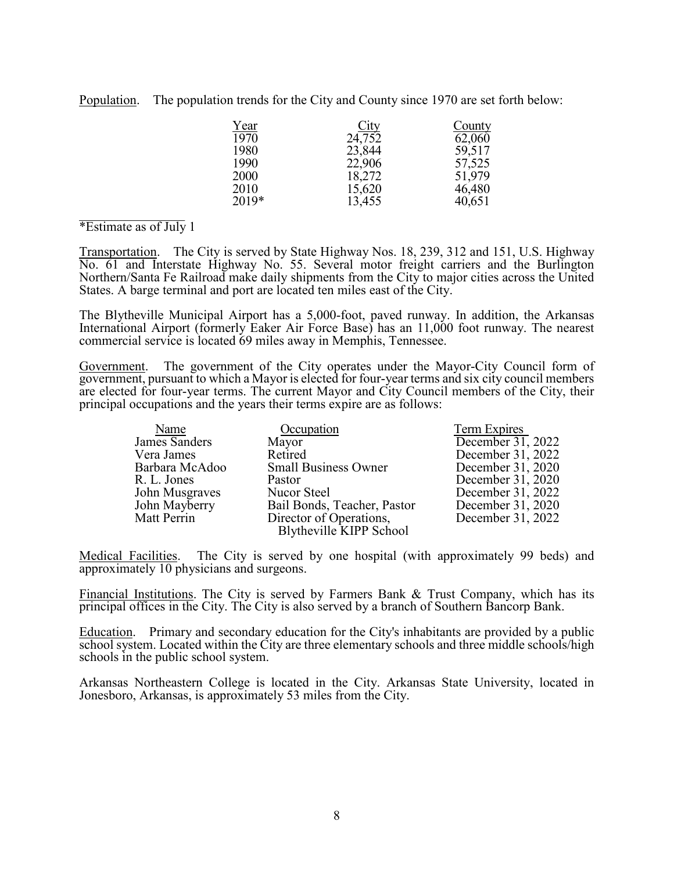Population. The population trends for the City and County since 1970 are set forth below:

| <u>Year</u> |                       | County |
|-------------|-----------------------|--------|
| 1970        | $\frac{City}{24,752}$ | 62,060 |
| 1980        | 23,844                | 59,517 |
| 1990        | 22,906                | 57,525 |
| 2000        | 18,272                | 51,979 |
| 2010        | 15,620                | 46,480 |
| 2019*       | 13,455                | 40,651 |
|             |                       |        |

#### \*Estimate as of July 1

Transportation. The City is served by State Highway Nos. 18, 239, 312 and 151, U.S. Highway No. 61 and Interstate Highway No. 55. Several motor freight carriers and the Burlington Northern/Santa Fe Railroad make daily shipments from the City to major cities across the United States. A barge terminal and port are located ten miles east of the City.

The Blytheville Municipal Airport has a 5,000-foot, paved runway. In addition, the Arkansas International Airport (formerly Eaker Air Force Base) has an 11,000 foot runway. The nearest commercial service is located 69 miles away in Memphis, Tennessee.

Government. The government of the City operates under the Mayor-City Council form of government, pursuant to which a Mayor is elected for four-year terms and six city council members are elected for four-year terms. The current Mayor and City Council members of the City, their principal occupations and the years their terms expire are as follows:

| Name           | Occupation                  | Term Expires        |
|----------------|-----------------------------|---------------------|
| James Sanders  | Mayor                       | December $31, 2022$ |
| Vera James     | Retired                     | December 31, 2022   |
| Barbara McAdoo | <b>Small Business Owner</b> | December 31, 2020   |
| R. L. Jones    | Pastor                      | December 31, 2020   |
| John Musgraves | Nucor Steel                 | December 31, 2022   |
| John Mayberry  | Bail Bonds, Teacher, Pastor | December 31, 2020   |
| Matt Perrin    | Director of Operations,     | December 31, 2022   |
|                | Blytheville KIPP School     |                     |

Medical Facilities. The City is served by one hospital (with approximately 99 beds) and approximately 10 physicians and surgeons.

Financial Institutions. The City is served by Farmers Bank & Trust Company, which has its principal offices in the City. The City is also served by a branch of Southern Bancorp Bank.

Education. Primary and secondary education for the City's inhabitants are provided by a public school system. Located within the City are three elementary schools and three middle schools/high schools in the public school system.

Arkansas Northeastern College is located in the City. Arkansas State University, located in Jonesboro, Arkansas, is approximately 53 miles from the City.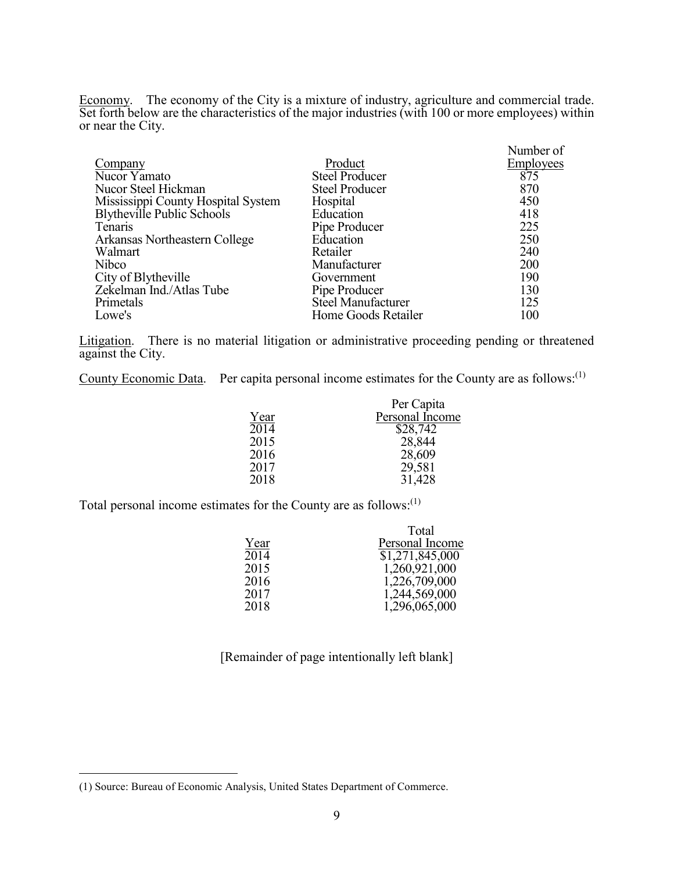Economy. The economy of the City is a mixture of industry, agriculture and commercial trade. Set forth below are the characteristics of the major industries (with 100 or more employees) within or near the City.

|                                    |                       | Number of        |
|------------------------------------|-----------------------|------------------|
| Company                            | Product               | <b>Employees</b> |
| Nucor Yamato                       | <b>Steel Producer</b> | 875              |
| Nucor Steel Hickman                | <b>Steel Producer</b> | 870              |
| Mississippi County Hospital System | Hospital              | 450              |
| Blytheville Public Schools         | Education             | 418              |
| Tenaris                            | Pipe Producer         | 225              |
| Arkansas Northeastern College      | Education             | 250              |
| Walmart                            | Retailer              | 240              |
| Nibco                              | Manufacturer          | 200              |
| City of Blytheville                | Government            | 190              |
| Zekelman Ind./Atlas Tube           | Pipe Producer         | 130              |
| Primetals                          | Steel Manufacturer    | 125              |
| Lowe's                             | Home Goods Retailer   | 100              |

Litigation. There is no material litigation or administrative proceeding pending or threatened against the City.

County Economic Data. Per capita personal income estimates for the County are as follows:<sup>(1)</sup>

|      | Per Capita      |
|------|-----------------|
| Year | Personal Income |
| 2014 | \$28,742        |
| 2015 | 28,844          |
| 2016 | 28,609          |
| 2017 | 29,581          |
| 2018 | 31,428          |
|      |                 |

Total personal income estimates for the County are as follows: $^{(1)}$ 

|      | Total           |
|------|-----------------|
| Year | Personal Income |
| 2014 | \$1,271,845,000 |
| 2015 | 1,260,921,000   |
| 2016 | 1,226,709,000   |
| 2017 | 1,244,569,000   |
| 2018 | 1,296,065,000   |
|      |                 |

[Remainder of page intentionally left blank]

 $\overline{\phantom{0}}$ 

<sup>(1)</sup> Source: Bureau of Economic Analysis, United States Department of Commerce.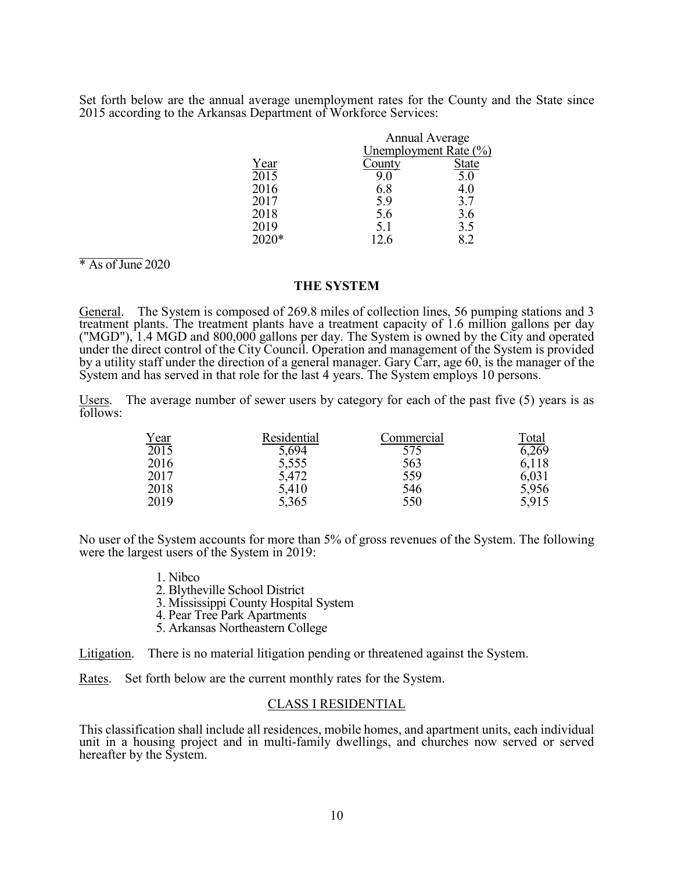Set forth below are the annual average unemployment rates for the County and the State since 2015 according to the Arkansas Department of Workforce Services:

|                   |        | <b>Annual Average</b><br>Unemployment Rate $(\%)$ |  |
|-------------------|--------|---------------------------------------------------|--|
|                   |        |                                                   |  |
| Year              | County | <b>State</b>                                      |  |
| $\overline{2015}$ | 9.0    | 5.0                                               |  |
| 2016              | 6.8    | 4.0                                               |  |
| 2017              | 5.9    | 3.7                                               |  |
| 2018              | 5.6    | 3.6                                               |  |
| 2019              | 5.1    | 3.5                                               |  |
| 2020*             | 12.6   | 8.2                                               |  |
|                   |        |                                                   |  |

 $*$  As of June 2020

#### **THE SYSTEM**

General. The System is composed of 269.8 miles of collection lines, 56 pumping stations and 3 treatment plants. The treatment plants have a treatment capacity of 1.6 million gallons per day ("MGD"), 1.4 MGD and 800,000 gallons per day. The System is owned by the City and operated under the direct control of the City Council. Operation and management of the System is provided by a utility staff under the direction of a general manager. Gary Carr, age 60, is the manager of the System and has served in that role for the last 4 years. The System employs 10 persons.

Users. The average number of sewer users by category for each of the past five (5) years is as follows:

|                     | Residential | Commercial | Total |
|---------------------|-------------|------------|-------|
| $\frac{Year}{2015}$ | 5,694       | 575        | 6,269 |
| 2016                | 5,555       | 563        | 6,118 |
| 2017                | 5,472       | 559        | 6,031 |
| 2018                | 5,410       | 546        | 5,956 |
| 2019                | 5,365       | 550        | 5,915 |
|                     |             |            |       |

No user of the System accounts for more than 5% of gross revenues of the System. The following were the largest users of the System in 2019:

- 1. Nibco
- 2. Blytheville School District
- 3. Mississippi County Hospital System
- 4. Pear Tree Park Apartments
- 5. Arkansas Northeastern College

Litigation. There is no material litigation pending or threatened against the System.

Rates. Set forth below are the current monthly rates for the System.<br>CLASS I RESIDENTIAL

This classification shall include all residences, mobile homes, and apartment units, each individual unit in a housing project and in multi-family dwellings, and churches now served or served hereafter by the System.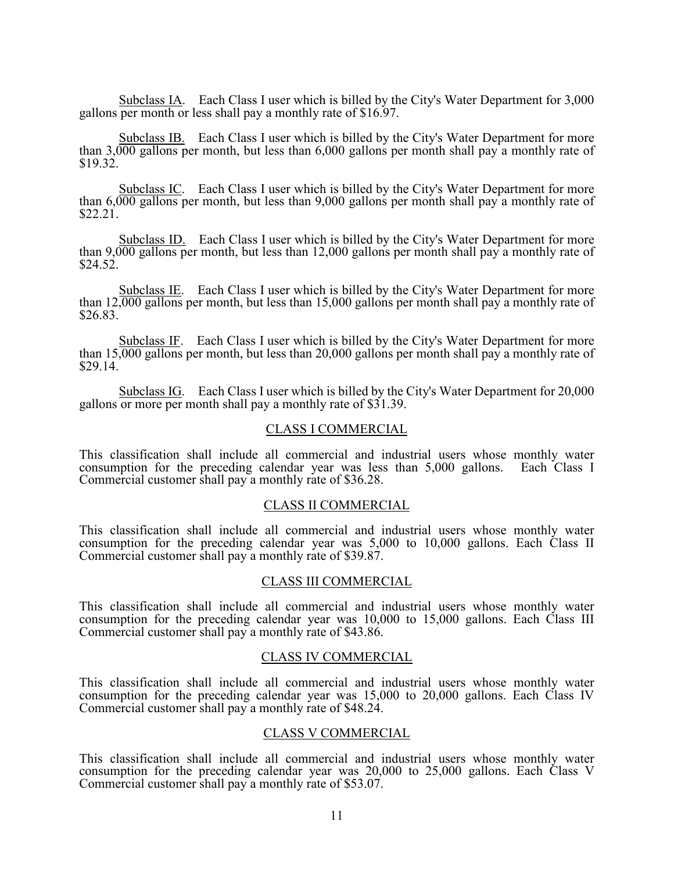Subclass IA. Each Class I user which is billed by the City's Water Department for 3,000 gallons per month or less shall pay a monthly rate of \$16.97.

Subclass IB. Each Class I user which is billed by the City's Water Department for more than 3,000 gallons per month, but less than 6,000 gallons per month shall pay a monthly rate of \$19.32.

Subclass IC. Each Class I user which is billed by the City's Water Department for more than 6,000 gallons per month, but less than 9,000 gallons per month shall pay a monthly rate of \$22.21.

Subclass ID. Each Class I user which is billed by the City's Water Department for more than 9,000 gallons per month, but less than 12,000 gallons per month shall pay a monthly rate of \$24.52.

Subclass IE. Each Class I user which is billed by the City's Water Department for more than 12,000 gallons per month, but less than 15,000 gallons per month shall pay a monthly rate of \$26.83.

Subclass IF. Each Class I user which is billed by the City's Water Department for more than  $15,000$  gallons per month, but less than 20,000 gallons per month shall pay a monthly rate of \$29.14.

Subclass IG. Each Class I user which is billed by the City's Water Department for 20,000 gallons or more per month shall pay a monthly rate of \$31.39.

#### CLASS I COMMERCIAL

This classification shall include all commercial and industrial users whose monthly water consumption for the preceding calendar year was less than 5,000 gallons. Each Class I Commercial customer shall pay a monthly rate of \$36.28.

#### CLASS II COMMERCIAL

This classification shall include all commercial and industrial users whose monthly water consumption for the preceding calendar year was 5,000 to 10,000 gallons. Each Class II Commercial customer shall pay a monthly rate of \$39.87.

#### CLASS III COMMERCIAL

This classification shall include all commercial and industrial users whose monthly water consumption for the preceding calendar year was 10,000 to 15,000 gallons. Each Class III Commercial customer shall pay a monthly rate of \$43.86.

#### CLASS IV COMMERCIAL

This classification shall include all commercial and industrial users whose monthly water consumption for the preceding calendar year was 15,000 to 20,000 gallons. Each Class IV Commercial customer shall pay a monthly rate of \$48.24.

#### CLASS V COMMERCIAL

This classification shall include all commercial and industrial users whose monthly water consumption for the preceding calendar year was 20,000 to 25,000 gallons. Each Class V Commercial customer shall pay a monthly rate of \$53.07.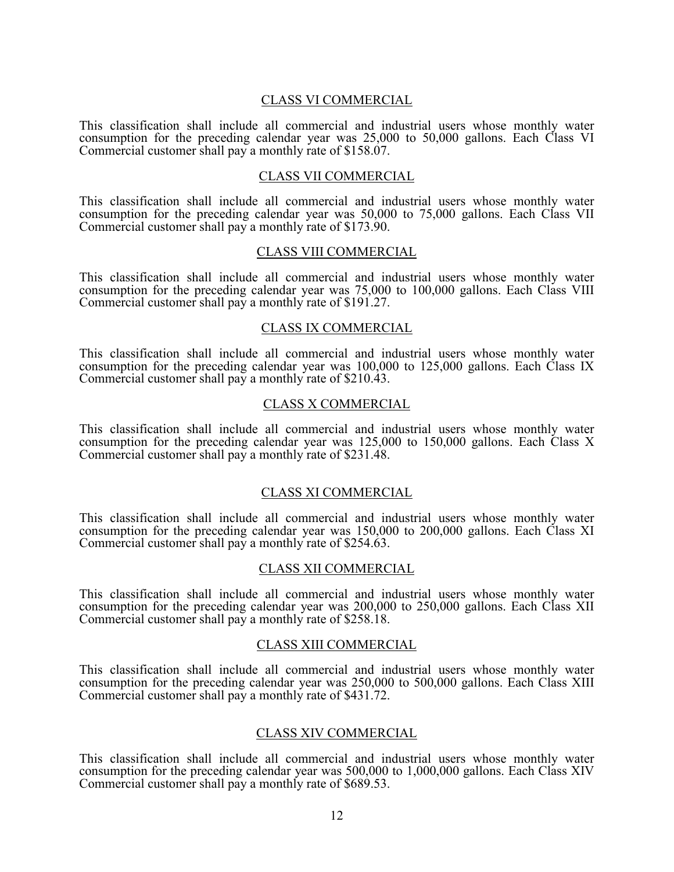#### CLASS VI COMMERCIAL

This classification shall include all commercial and industrial users whose monthly water consumption for the preceding calendar year was 25,000 to 50,000 gallons. Each Class VI Commercial customer shall pay a monthly rate of \$158.07.

#### CLASS VII COMMERCIAL

This classification shall include all commercial and industrial users whose monthly water consumption for the preceding calendar year was 50,000 to 75,000 gallons. Each Class VII Commercial customer shall pay a monthly rate of \$173.90.

#### CLASS VIII COMMERCIAL

This classification shall include all commercial and industrial users whose monthly water consumption for the preceding calendar year was 75,000 to 100,000 gallons. Each Class VIII Commercial customer shall pay a monthly rate of \$191.27.

#### CLASS IX COMMERCIAL

This classification shall include all commercial and industrial users whose monthly water consumption for the preceding calendar year was 100,000 to 125,000 gallons. Each Class IX Commercial customer shall pay a monthly rate of \$210.43.

#### CLASS X COMMERCIAL

This classification shall include all commercial and industrial users whose monthly water consumption for the preceding calendar year was 125,000 to 150,000 gallons. Each Class X Commercial customer shall pay a monthly rate of \$231.48.

#### CLASS XI COMMERCIAL

This classification shall include all commercial and industrial users whose monthly water consumption for the preceding calendar year was 150,000 to 200,000 gallons. Each Class XI Commercial customer shall pay a monthly rate of \$254.63.

#### CLASS XII COMMERCIAL

This classification shall include all commercial and industrial users whose monthly water consumption for the preceding calendar year was 200,000 to 250,000 gallons. Each Class XII Commercial customer shall pay a monthly rate of \$258.18.

#### CLASS XIII COMMERCIAL

This classification shall include all commercial and industrial users whose monthly water consumption for the preceding calendar year was 250,000 to 500,000 gallons. Each Class XIII Commercial customer shall pay a monthly rate of \$431.72.

#### CLASS XIV COMMERCIAL

This classification shall include all commercial and industrial users whose monthly water consumption for the preceding calendar year was 500,000 to 1,000,000 gallons. Each Class XIV Commercial customer shall pay a monthly rate of \$689.53.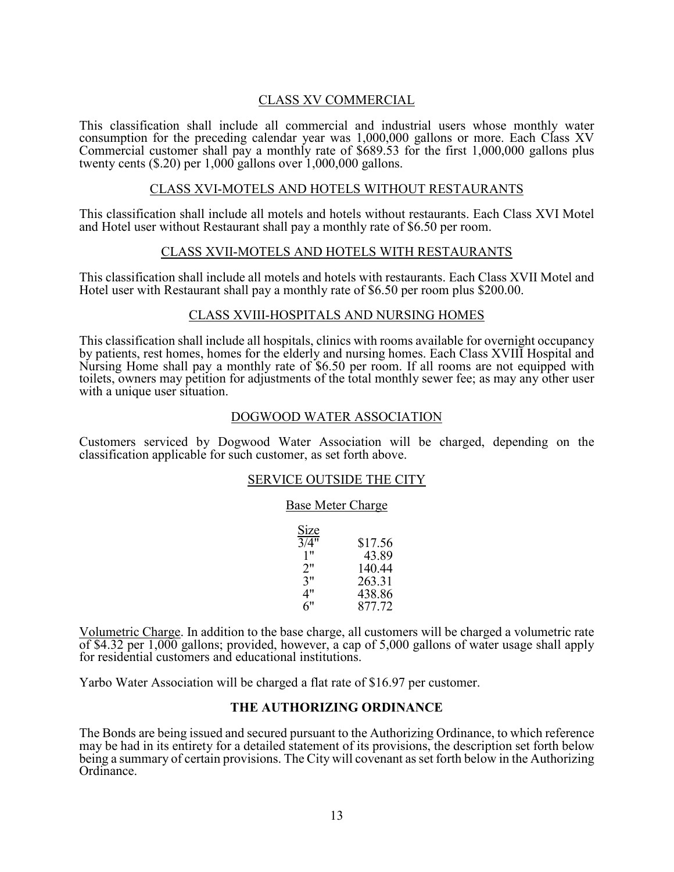# CLASS XV COMMERCIAL

This classification shall include all commercial and industrial users whose monthly water consumption for the preceding calendar year was 1,000,000 gallons or more. Each Class XV Commercial customer shall pay a monthly rate of \$689.53 for the first 1,000,000 gallons plus twenty cents (\$.20) per 1,000 gallons over 1,000,000 gallons.

#### CLASS XVI-MOTELS AND HOTELS WITHOUT RESTAURANTS

This classification shall include all motels and hotels without restaurants. Each Class XVI Motel and Hotel user without Restaurant shall pay a monthly rate of \$6.50 per room.

#### CLASS XVII-MOTELS AND HOTELS WITH RESTAURANTS

This classification shall include all motels and hotels with restaurants. Each Class XVII Motel and Hotel user with Restaurant shall pay a monthly rate of \$6.50 per room plus \$200.00.

#### CLASS XVIII-HOSPITALS AND NURSING HOMES

This classification shall include all hospitals, clinics with rooms available for overnight occupancy by patients, rest homes, homes for the elderly and nursing homes. Each Class XVIII Hospital and Nursing Home shall pay a monthly rate of \$6.50 per room. If all rooms are not equipped with toilets, owners may petition for adjustments of the total monthly sewer fee; as may any other user with a unique user situation.

#### DOGWOOD WATER ASSOCIATION

Customers serviced by Dogwood Water Association will be charged, depending on the classification applicable for such customer, as set forth above.

#### SERVICE OUTSIDE THE CITY

#### Base Meter Charge

| Size              |         |
|-------------------|---------|
| $3/\overline{4"}$ | \$17.56 |
| 1"                | 43.89   |
| 2"                | 140.44  |
| 3"                | 263.31  |
| 4"                | 438.86  |
| 6"                | 877.72  |

Volumetric Charge. In addition to the base charge, all customers will be charged a volumetric rate of \$4.32 per 1,000 gallons; provided, however, a cap of 5,000 gallons of water usage shall apply for residential customers and educational institutions.

Yarbo Water Association will be charged a flat rate of \$16.97 per customer.

#### **THE AUTHORIZING ORDINANCE**

The Bonds are being issued and secured pursuant to the Authorizing Ordinance, to which reference may be had in its entirety for a detailed statement of its provisions, the description set forth below being a summary of certain provisions. The City will covenant as set forth below in the Authorizing Ordinance.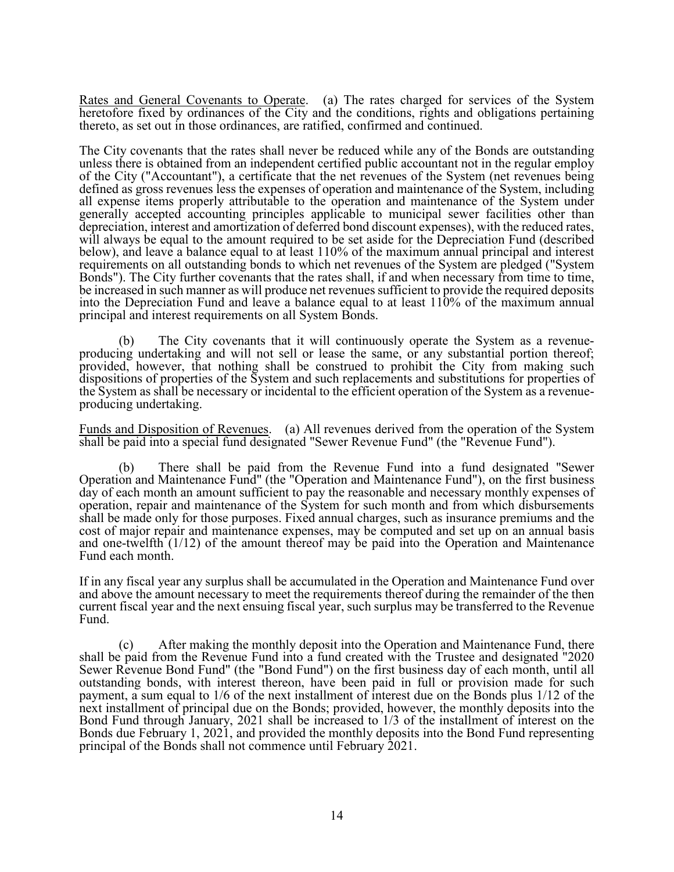Rates and General Covenants to Operate. (a) The rates charged for services of the System heretofore fixed by ordinances of the City and the conditions, rights and obligations pertaining thereto, as set out in those ordinances, are ratified, confirmed and continued.

The City covenants that the rates shall never be reduced while any of the Bonds are outstanding unless there is obtained from an independent certified public accountant not in the regular employ of the City ("Accountant"), a certificate that the net revenues of the System (net revenues being defined as gross revenues less the expenses of operation and maintenance of the System, including all expense items properly attributable to the operation and maintenance of the System under generally accepted accounting principles applicable to municipal sewer facilities other than depreciation, interest and amortization of deferred bond discount expenses), with the reduced rates, will always be equal to the amount required to be set aside for the Depreciation Fund (described below), and leave a balance equal to at least 110% of the maximum annual principal and interest requirements on all outstanding bonds to which net revenues of the System are pledged ("System Bonds"). The City further covenants that the rates shall, if and when necessary from time to time, be increased in such manner as will produce net revenues sufficient to provide the required deposits into the Depreciation Fund and leave a balance equal to at least 110% of the maximum annual principal and interest requirements on all System Bonds.

(b) The City covenants that it will continuously operate the System as a revenueproducing undertaking and will not sell or lease the same, or any substantial portion thereof; provided, however, that nothing shall be construed to prohibit the City from making such dispositions of properties of the System and such replacements and substitutions for properties of the System as shall be necessary or incidental to the efficient operation of the System as a revenueproducing undertaking.

Funds and Disposition of Revenues. (a) All revenues derived from the operation of the System shall be paid into a special fund designated "Sewer Revenue Fund" (the "Revenue Fund").

(b) There shall be paid from the Revenue Fund into a fund designated "Sewer Operation and Maintenance Fund" (the "Operation and Maintenance Fund"), on the first business day of each month an amount sufficient to pay the reasonable and necessary monthly expenses of operation, repair and maintenance of the System for such month and from which disbursements shall be made only for those purposes. Fixed annual charges, such as insurance premiums and the cost of major repair and maintenance expenses, may be computed and set up on an annual basis and one-twelfth (1/12) of the amount thereof may be paid into the Operation and Maintenance Fund each month.

If in any fiscal year any surplus shall be accumulated in the Operation and Maintenance Fund over and above the amount necessary to meet the requirements thereof during the remainder of the then current fiscal year and the next ensuing fiscal year, such surplus may be transferred to the Revenue Fund.

(c) After making the monthly deposit into the Operation and Maintenance Fund, there shall be paid from the Revenue Fund into a fund created with the Trustee and designated "2020 Sewer Revenue Bond Fund" (the "Bond Fund") on the first business day of each month, until all outstanding bonds, with interest thereon, have been paid in full or provision made for such payment, a sum equal to 1/6 of the next installment of interest due on the Bonds plus 1/12 of the next installment of principal due on the Bonds; provided, however, the monthly deposits into the Bond Fund through January, 2021 shall be increased to 1/3 of the installment of interest on the Bonds due February 1, 2021, and provided the monthly deposits into the Bond Fund representing principal of the Bonds shall not commence until February 2021.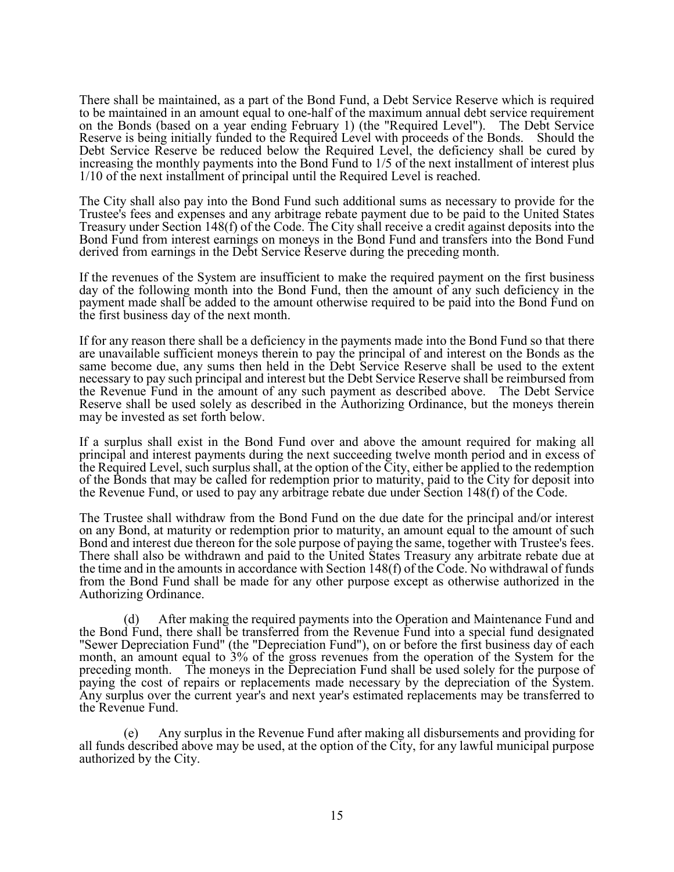There shall be maintained, as a part of the Bond Fund, a Debt Service Reserve which is required to be maintained in an amount equal to one-half of the maximum annual debt service requirement on the Bonds (based on a year ending February 1) (the "Required Level"). The Debt Service Reserve is being initially funded to the Required Level with proceeds of the Bonds. Should the Debt Service Reserve be reduced below the Required Level, the deficiency shall be cured by increasing the monthly payments into the Bond Fund to 1/5 of the next installment of interest plus 1/10 of the next installment of principal until the Required Level is reached.

The City shall also pay into the Bond Fund such additional sums as necessary to provide for the Trustee's fees and expenses and any arbitrage rebate payment due to be paid to the United States Treasury under Section 148(f) of the Code. The City shall receive a credit against deposits into the Bond Fund from interest earnings on moneys in the Bond Fund and transfers into the Bond Fund derived from earnings in the Debt Service Reserve during the preceding month.

If the revenues of the System are insufficient to make the required payment on the first business day of the following month into the Bond Fund, then the amount of any such deficiency in the payment made shall be added to the amount otherwise required to be paid into the Bond Fund on the first business day of the next month.

If for any reason there shall be a deficiency in the payments made into the Bond Fund so that there are unavailable sufficient moneys therein to pay the principal of and interest on the Bonds as the same become due, any sums then held in the Debt Service Reserve shall be used to the extent necessary to pay such principal and interest but the Debt Service Reserve shall be reimbursed from the Revenue Fund in the amount of any such payment as described above. The Debt Service Reserve shall be used solely as described in the Authorizing Ordinance, but the moneys therein may be invested as set forth below.

If a surplus shall exist in the Bond Fund over and above the amount required for making all principal and interest payments during the next succeeding twelve month period and in excess of the Required Level, such surplus shall, at the option of the City, either be applied to the redemption of the Bonds that may be called for redemption prior to maturity, paid to the City for deposit into the Revenue Fund, or used to pay any arbitrage rebate due under Section 148(f) of the Code.

The Trustee shall withdraw from the Bond Fund on the due date for the principal and/or interest on any Bond, at maturity or redemption prior to maturity, an amount equal to the amount of such Bond and interest due thereon for the sole purpose of paying the same, together with Trustee's fees. There shall also be withdrawn and paid to the United States Treasury any arbitrate rebate due at the time and in the amounts in accordance with Section 148(f) of the Code. No withdrawal of funds from the Bond Fund shall be made for any other purpose except as otherwise authorized in the Authorizing Ordinance.

(d) After making the required payments into the Operation and Maintenance Fund and the Bond Fund, there shall be transferred from the Revenue Fund into a special fund designated "Sewer Depreciation Fund" (the "Depreciation Fund"), on or before the first business day of each month, an amount equal to 3% of the gross revenues from the operation of the System for the preceding month. The moneys in the Depreciation Fund shall be used solely for the purpose of paying the cost of repairs or replacements made necessary by the depreciation of the System. Any surplus over the current year's and next year's estimated replacements may be transferred to the Revenue Fund.

(e) Any surplus in the Revenue Fund after making all disbursements and providing for all funds described above may be used, at the option of the City, for any lawful municipal purpose authorized by the City.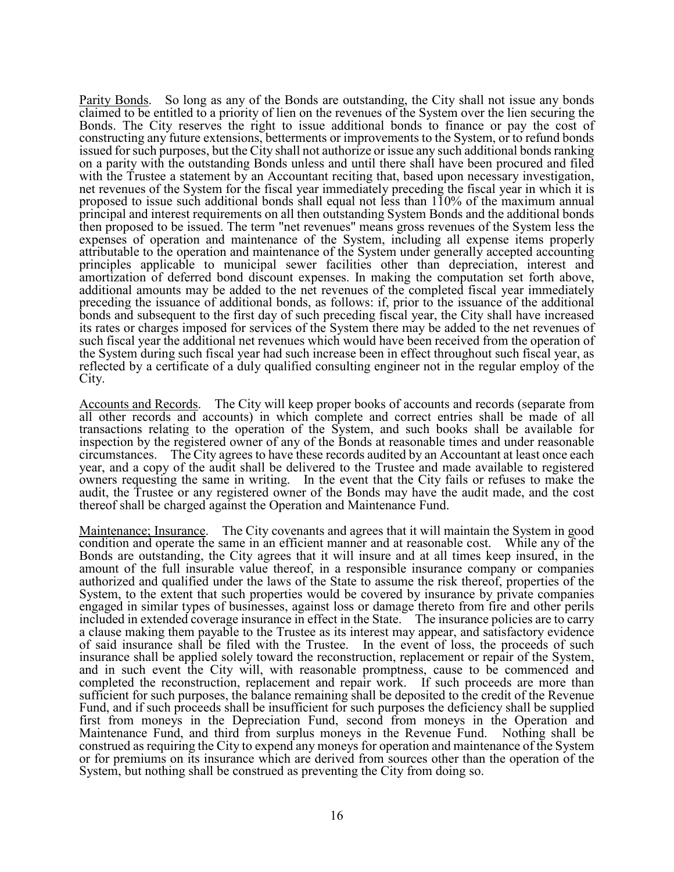Parity Bonds. So long as any of the Bonds are outstanding, the City shall not issue any bonds claimed to be entitled to a priority of lien on the revenues of the System over the lien securing the Bonds. The City reserves the right to issue additional bonds to finance or pay the cost of constructing any future extensions, betterments or improvements to the System, or to refund bonds issued for such purposes, but the City shall not authorize or issue any such additional bonds ranking on a parity with the outstanding Bonds unless and until there shall have been procured and filed with the Trustee a statement by an Accountant reciting that, based upon necessary investigation, net revenues of the System for the fiscal year immediately preceding the fiscal year in which it is proposed to issue such additional bonds shall equal not less than 110% of the maximum annual principal and interest requirements on all then outstanding System Bonds and the additional bonds then proposed to be issued. The term "net revenues" means gross revenues of the System less the expenses of operation and maintenance of the System, including all expense items properly attributable to the operation and maintenance of the System under generally accepted accounting principles applicable to municipal sewer facilities other than depreciation, interest and amortization of deferred bond discount expenses. In making the computation set forth above, additional amounts may be added to the net revenues of the completed fiscal year immediately preceding the issuance of additional bonds, as follows: if, prior to the issuance of the additional bonds and subsequent to the first day of such preceding fiscal year, the City shall have increased its rates or charges imposed for services of the System there may be added to the net revenues of such fiscal year the additional net revenues which would have been received from the operation of the System during such fiscal year had such increase been in effect throughout such fiscal year, as reflected by a certificate of a duly qualified consulting engineer not in the regular employ of the City.

Accounts and Records. The City will keep proper books of accounts and records (separate from all other records and accounts) in which complete and correct entries shall be made of all transactions relating to the operation of the System, and such books shall be available for inspection by the registered owner of any of the Bonds at reasonable times and under reasonable circumstances. The City agrees to have these records audited by an Accountant at least once each year, and a copy of the audit shall be delivered to the Trustee and made available to registered owners requesting the same in writing. In the event that the City fails or refuses to make the audit, the Trustee or any registered owner of the Bonds may have the audit made, and the cost thereof shall be charged against the Operation and Maintenance Fund.

Maintenance; Insurance. The City covenants and agrees that it will maintain the System in good condition and operate the same in an efficient manner and at reasonable cost. While any of the Bonds are outstanding, the City agrees that it will insure and at all times keep insured, in the amount of the full insurable value thereof, in a responsible insurance company or companies authorized and qualified under the laws of the State to assume the risk thereof, properties of the System, to the extent that such properties would be covered by insurance by private companies engaged in similar types of businesses, against loss or damage thereto from fire and other perils included in extended coverage insurance in effect in the State. The insurance policies are to carry a clause making them payable to the Trustee as its interest may appear, and satisfactory evidence of said insurance shall be filed with the Trustee. In the event of loss, the proceeds of such insurance shall be applied solely toward the reconstruction, replacement or repair of the System, and in such event the City will, with reasonable promptness, cause to be commenced and completed the reconstruction, replacement and repair work. If such proceeds are more than sufficient for such purposes, the balance remaining shall be deposited to the credit of the Revenue Fund, and if such proceeds shall be insufficient for such purposes the deficiency shall be supplied first from moneys in the Depreciation Fund, second from moneys in the Operation and Maintenance Fund, and third from surplus moneys in the Revenue Fund. Nothing shall be construed as requiring the City to expend any moneys for operation and maintenance of the System or for premiums on its insurance which are derived from sources other than the operation of the System, but nothing shall be construed as preventing the City from doing so.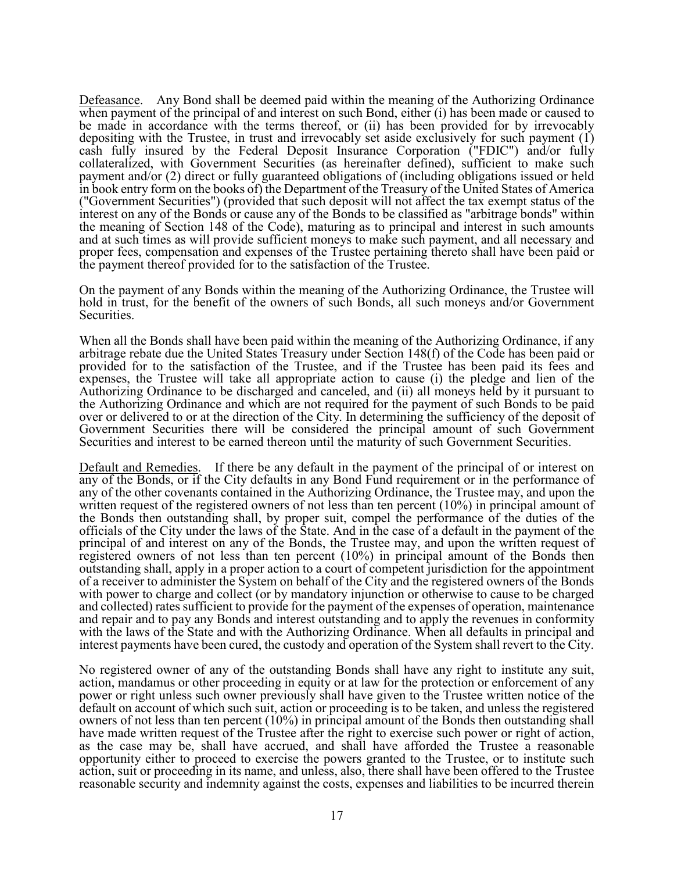Defeasance. Any Bond shall be deemed paid within the meaning of the Authorizing Ordinance when payment of the principal of and interest on such Bond, either (i) has been made or caused to be made in accordance with the terms thereof, or (ii) has been provided for by irrevocably depositing with the Trustee, in trust and irrevocably set aside exclusively for such payment (1) cash fully insured by the Federal Deposit Insurance Corporation ("FDIC") and/or fully collateralized, with Government Securities (as hereinafter defined), sufficient to make such payment and/or (2) direct or fully guaranteed obligations of (including obligations issued or held in book entry form on the books of) the Department of the Treasury of the United States of America ("Government Securities") (provided that such deposit will not affect the tax exempt status of the interest on any of the Bonds or cause any of the Bonds to be classified as "arbitrage bonds" within the meaning of Section 148 of the Code), maturing as to principal and interest in such amounts and at such times as will provide sufficient moneys to make such payment, and all necessary and proper fees, compensation and expenses of the Trustee pertaining thereto shall have been paid or the payment thereof provided for to the satisfaction of the Trustee.

On the payment of any Bonds within the meaning of the Authorizing Ordinance, the Trustee will hold in trust, for the benefit of the owners of such Bonds, all such moneys and/or Government Securities.

When all the Bonds shall have been paid within the meaning of the Authorizing Ordinance, if any arbitrage rebate due the United States Treasury under Section 148(f) of the Code has been paid or provided for to the satisfaction of the Trustee, and if the Trustee has been paid its fees and expenses, the Trustee will take all appropriate action to cause (i) the pledge and lien of the Authorizing Ordinance to be discharged and canceled, and (ii) all moneys held by it pursuant to the Authorizing Ordinance and which are not required for the payment of such Bonds to be paid over or delivered to or at the direction of the City. In determining the sufficiency of the deposit of Government Securities there will be considered the principal amount of such Government Securities and interest to be earned thereon until the maturity of such Government Securities.

Default and Remedies. If there be any default in the payment of the principal of or interest on any of the Bonds, or if the City defaults in any Bond Fund requirement or in the performance of any of the other covenants contained in the Authorizing Ordinance, the Trustee may, and upon the written request of the registered owners of not less than ten percent (10%) in principal amount of the Bonds then outstanding shall, by proper suit, compel the performance of the duties of the officials of the City under the laws of the State. And in the case of a default in the payment of the principal of and interest on any of the Bonds, the Trustee may, and upon the written request of registered owners of not less than ten percent (10%) in principal amount of the Bonds then outstanding shall, apply in a proper action to a court of competent jurisdiction for the appointment of a receiver to administer the System on behalf of the City and the registered owners of the Bonds with power to charge and collect (or by mandatory injunction or otherwise to cause to be charged and collected) rates sufficient to provide for the payment of the expenses of operation, maintenance and repair and to pay any Bonds and interest outstanding and to apply the revenues in conformity with the laws of the State and with the Authorizing Ordinance. When all defaults in principal and interest payments have been cured, the custody and operation of the System shall revert to the City.

No registered owner of any of the outstanding Bonds shall have any right to institute any suit, action, mandamus or other proceeding in equity or at law for the protection or enforcement of any power or right unless such owner previously shall have given to the Trustee written notice of the default on account of which such suit, action or proceeding is to be taken, and unless the registered owners of not less than ten percent (10%) in principal amount of the Bonds then outstanding shall have made written request of the Trustee after the right to exercise such power or right of action, as the case may be, shall have accrued, and shall have afforded the Trustee a reasonable opportunity either to proceed to exercise the powers granted to the Trustee, or to institute such action, suit or proceeding in its name, and unless, also, there shall have been offered to the Trustee reasonable security and indemnity against the costs, expenses and liabilities to be incurred therein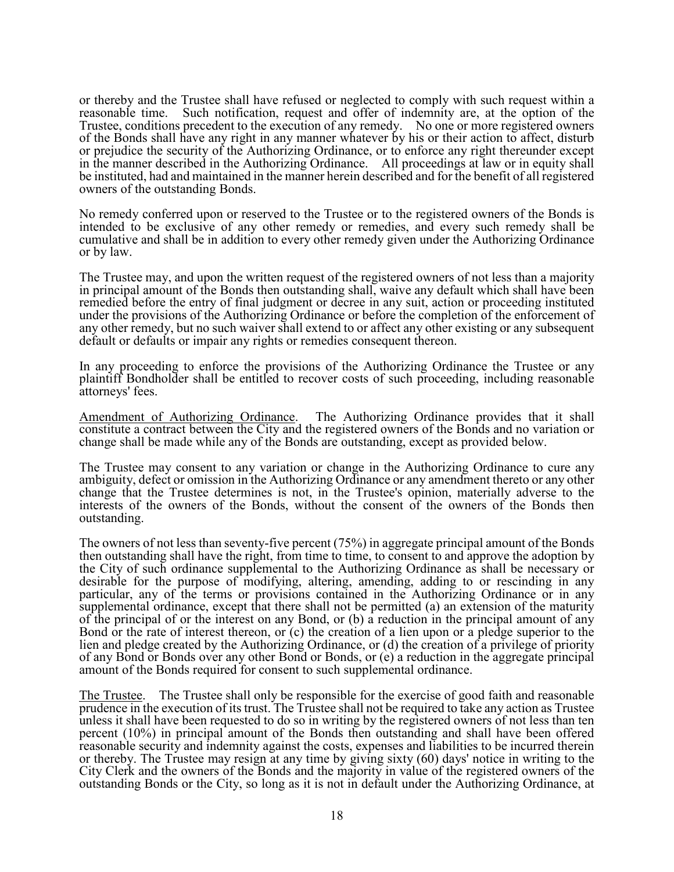or thereby and the Trustee shall have refused or neglected to comply with such request within a reasonable time. Such notification, request and offer of indemnity are, at the option of the Trustee, conditions precedent to the execution of any remedy. No one or more registered owners of the Bonds shall have any right in any manner whatever by his or their action to affect, disturb or prejudice the security of the Authorizing Ordinance, or to enforce any right thereunder except in the manner described in the Authorizing Ordinance. All proceedings at law or in equity shall be instituted, had and maintained in the manner herein described and for the benefit of all registered owners of the outstanding Bonds.

No remedy conferred upon or reserved to the Trustee or to the registered owners of the Bonds is intended to be exclusive of any other remedy or remedies, and every such remedy shall be cumulative and shall be in addition to every other remedy given under the Authorizing Ordinance or by law.

The Trustee may, and upon the written request of the registered owners of not less than a majority in principal amount of the Bonds then outstanding shall, waive any default which shall have been remedied before the entry of final judgment or decree in any suit, action or proceeding instituted under the provisions of the Authorizing Ordinance or before the completion of the enforcement of any other remedy, but no such waiver shall extend to or affect any other existing or any subsequent default or defaults or impair any rights or remedies consequent thereon.

In any proceeding to enforce the provisions of the Authorizing Ordinance the Trustee or any plaintiff Bondholder shall be entitled to recover costs of such proceeding, including reasonable attorneys' fees.

Amendment of Authorizing Ordinance. The Authorizing Ordinance provides that it shall constitute a contract between the City and the registered owners of the Bonds and no variation or change shall be made while any of the Bonds are outstanding, except as provided below.

The Trustee may consent to any variation or change in the Authorizing Ordinance to cure any ambiguity, defect or omission in the Authorizing Ordinance or any amendment thereto or any other change that the Trustee determines is not, in the Trustee's opinion, materially adverse to the interests of the owners of the Bonds, without the consent of the owners of the Bonds then outstanding.

The owners of not less than seventy-five percent (75%) in aggregate principal amount of the Bonds then outstanding shall have the right, from time to time, to consent to and approve the adoption by the City of such ordinance supplemental to the Authorizing Ordinance as shall be necessary or desirable for the purpose of modifying, altering, amending, adding to or rescinding in any particular, any of the terms or provisions contained in the Authorizing Ordinance or in any supplemental ordinance, except that there shall not be permitted (a) an extension of the maturity of the principal of or the interest on any Bond, or (b) a reduction in the principal amount of any Bond or the rate of interest thereon, or (c) the creation of a lien upon or a pledge superior to the lien and pledge created by the Authorizing Ordinance, or (d) the creation of a privilege of priority of any Bond or Bonds over any other Bond or Bonds, or (e) a reduction in the aggregate principal amount of the Bonds required for consent to such supplemental ordinance.

The Trustee. The Trustee shall only be responsible for the exercise of good faith and reasonable prudence in the execution of its trust. The Trustee shall not be required to take any action as Trustee unless it shall have been requested to do so in writing by the registered owners of not less than ten percent (10%) in principal amount of the Bonds then outstanding and shall have been offered reasonable security and indemnity against the costs, expenses and liabilities to be incurred therein or thereby. The Trustee may resign at any time by giving sixty (60) days' notice in writing to the City Clerk and the owners of the Bonds and the majority in value of the registered owners of the outstanding Bonds or the City, so long as it is not in default under the Authorizing Ordinance, at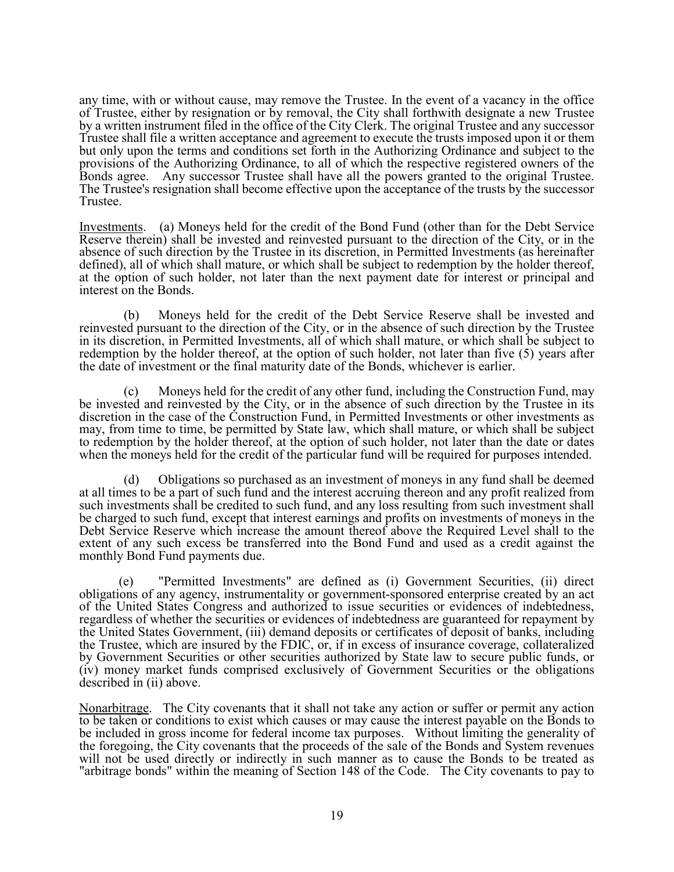any time, with or without cause, may remove the Trustee. In the event of a vacancy in the office of Trustee, either by resignation or by removal, the City shall forthwith designate a new Trustee by a written instrument filed in the office of the City Clerk. The original Trustee and any successor Trustee shall file a written acceptance and agreement to execute the trusts imposed upon it or them but only upon the terms and conditions set forth in the Authorizing Ordinance and subject to the provisions of the Authorizing Ordinance, to all of which the respective registered owners of the Bonds agree. Any successor Trustee shall have all the powers granted to the original Trustee. The Trustee's resignation shall become effective upon the acceptance of the trusts by the successor Trustee.

Investments. (a) Moneys held for the credit of the Bond Fund (other than for the Debt Service Reserve therein) shall be invested and reinvested pursuant to the direction of the City, or in the absence of such direction by the Trustee in its discretion, in Permitted Investments (as hereinafter defined), all of which shall mature, or which shall be subject to redemption by the holder thereof, at the option of such holder, not later than the next payment date for interest or principal and interest on the Bonds.

(b) Moneys held for the credit of the Debt Service Reserve shall be invested and reinvested pursuant to the direction of the City, or in the absence of such direction by the Trustee in its discretion, in Permitted Investments, all of which shall mature, or which shall be subject to redemption by the holder thereof, at the option of such holder, not later than five (5) years after the date of investment or the final maturity date of the Bonds, whichever is earlier.

Moneys held for the credit of any other fund, including the Construction Fund, may be invested and reinvested by the City, or in the absence of such direction by the Trustee in its discretion in the case of the Construction Fund, in Permitted Investments or other investments as may, from time to time, be permitted by State law, which shall mature, or which shall be subject to redemption by the holder thereof, at the option of such holder, not later than the date or dates when the moneys held for the credit of the particular fund will be required for purposes intended.

(d) Obligations so purchased as an investment of moneys in any fund shall be deemed at all times to be a part of such fund and the interest accruing thereon and any profit realized from such investments shall be credited to such fund, and any loss resulting from such investment shall be charged to such fund, except that interest earnings and profits on investments of moneys in the Debt Service Reserve which increase the amount thereof above the Required Level shall to the extent of any such excess be transferred into the Bond Fund and used as a credit against the monthly Bond Fund payments due.

(e) "Permitted Investments" are defined as (i) Government Securities, (ii) direct obligations of any agency, instrumentality or government-sponsored enterprise created by an act of the United States Congress and authorized to issue securities or evidences of indebtedness, regardless of whether the securities or evidences of indebtedness are guaranteed for repayment by the United States Government, (iii) demand deposits or certificates of deposit of banks, including the Trustee, which are insured by the FDIC, or, if in excess of insurance coverage, collateralized by Government Securities or other securities authorized by State law to secure public funds, or (iv) money market funds comprised exclusively of Government Securities or the obligations described in (ii) above.

Nonarbitrage. The City covenants that it shall not take any action or suffer or permit any action to be taken or conditions to exist which causes or may cause the interest payable on the Bonds to be included in gross income for federal income tax purposes. Without limiting the generality of the foregoing, the City covenants that the proceeds of the sale of the Bonds and System revenues will not be used directly or indirectly in such manner as to cause the Bonds to be treated as "arbitrage bonds" within the meaning of Section 148 of the Code. The City covenants to pay to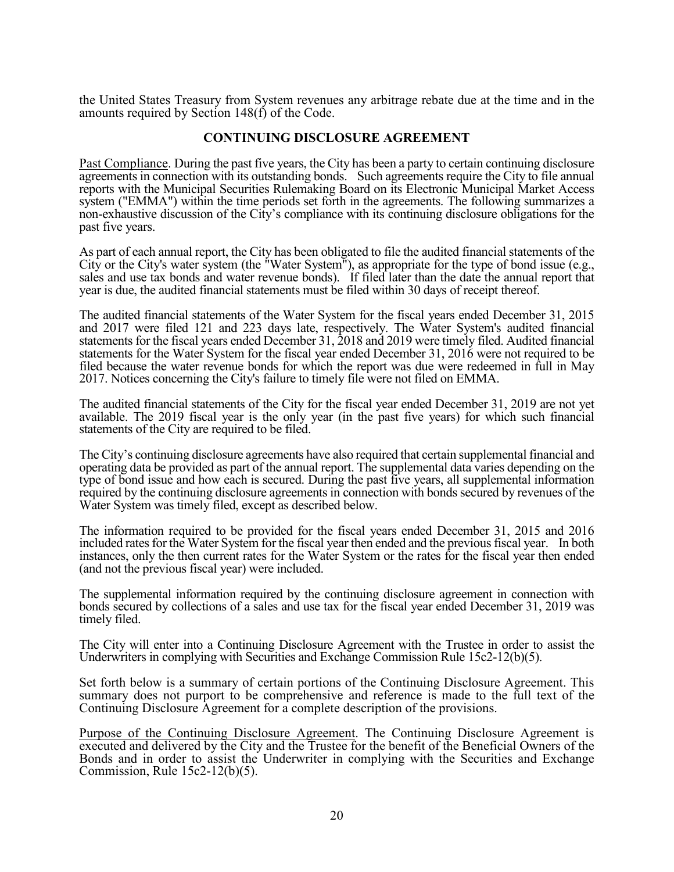the United States Treasury from System revenues any arbitrage rebate due at the time and in the amounts required by Section 148(f) of the Code.

## **CONTINUING DISCLOSURE AGREEMENT**

Past Compliance. During the past five years, the City has been a party to certain continuing disclosure agreements in connection with its outstanding bonds. Such agreements require the City to file annual reports with the Municipal Securities Rulemaking Board on its Electronic Municipal Market Access system ("EMMA") within the time periods set forth in the agreements. The following summarizes a non-exhaustive discussion of the City's compliance with its continuing disclosure obligations for the past five years.

Î As part of each annual report, the City has been obligated to file the audited financial statements of the City or the City's water system (the "Water System"), as appropriate for the type of bond issue (e.g., sales and use tax bonds and water revenue bonds). If filed later than the date the annual report that year is due, the audited financial statements must be filed within 30 days of receipt thereof.

The audited financial statements of the Water System for the fiscal years ended December 31, 2015 and 2017 were filed 121 and 223 days late, respectively. The Water System's audited financial statements for the fiscal years ended December 31, 2018 and 2019 were timely filed. Audited financial statements for the Water System for the fiscal year ended December 31, 2016 were not required to be filed because the water revenue bonds for which the report was due were redeemed in full in May 2017. Notices concerning the City's failure to timely file were not filed on EMMA.

The audited financial statements of the City for the fiscal year ended December 31, 2019 are not yet available. The 2019 fiscal year is the only year (in the past five years) for which such financial statements of the City are required to be filed.

The City's continuing disclosure agreements have also required that certain supplemental financial and operating data be provided as part of the annual report. The supplemental data varies depending on the type of bond issue and how each is secured. During the past five years, all supplemental information required by the continuing disclosure agreements in connection with bonds secured by revenues of the Water System was timely filed, except as described below.

The information required to be provided for the fiscal years ended December 31, 2015 and 2016 included rates for the Water System for the fiscal year then ended and the previous fiscal year. In both instances, only the then current rates for the Water System or the rates for the fiscal year then ended (and not the previous fiscal year) were included.

The supplemental information required by the continuing disclosure agreement in connection with bonds secured by collections of a sales and use tax for the fiscal year ended December 31, 2019 was timely filed.

The City will enter into a Continuing Disclosure Agreement with the Trustee in order to assist the Underwriters in complying with Securities and Exchange Commission Rule 15c2-12(b)(5).

Set forth below is a summary of certain portions of the Continuing Disclosure Agreement. This summary does not purport to be comprehensive and reference is made to the full text of the Continuing Disclosure Agreement for a complete description of the provisions.

Purpose of the Continuing Disclosure Agreement. The Continuing Disclosure Agreement is executed and delivered by the City and the Trustee for the benefit of the Beneficial Owners of the Bonds and in order to assist the Underwriter in complying with the Securities and Exchange Commission, Rule 15c2-12(b)(5).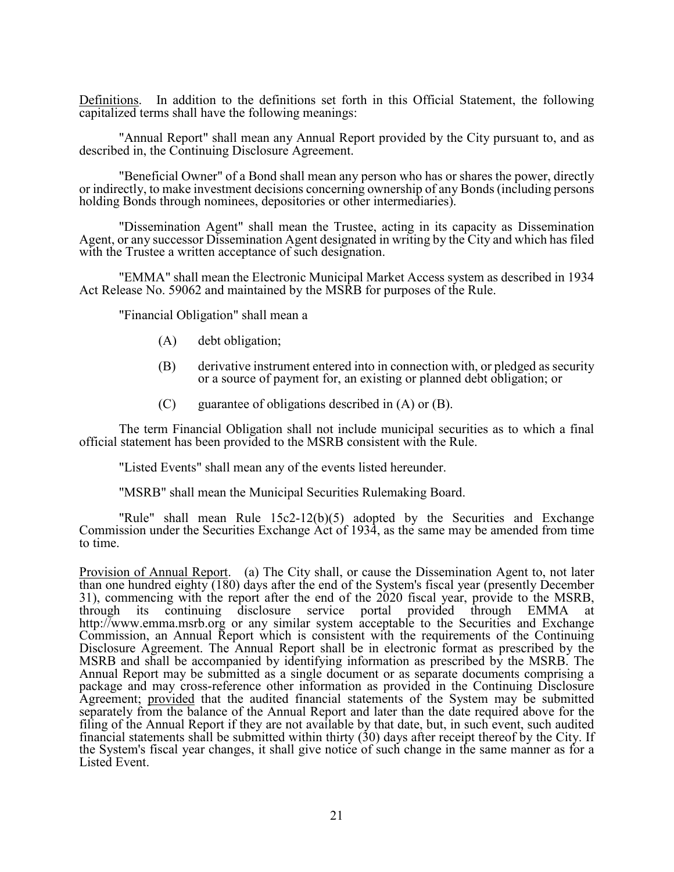Definitions. In addition to the definitions set forth in this Official Statement, the following capitalized terms shall have the following meanings:

"Annual Report" shall mean any Annual Report provided by the City pursuant to, and as described in, the Continuing Disclosure Agreement.

"Beneficial Owner" of a Bond shall mean any person who has or shares the power, directly or indirectly, to make investment decisions concerning ownership of any Bonds (including persons holding Bonds through nominees, depositories or other intermediaries).

"Dissemination Agent" shall mean the Trustee, acting in its capacity as Dissemination Agent, or any successor Dissemination Agent designated in writing by the City and which has filed with the Trustee a written acceptance of such designation.

"EMMA" shall mean the Electronic Municipal Market Access system as described in 1934 Act Release No. 59062 and maintained by the MSRB for purposes of the Rule.

"Financial Obligation" shall mean a

- (A) debt obligation;
- (B) derivative instrument entered into in connection with, or pledged as security or a source of payment for, an existing or planned debt obligation; or
- $(C)$  guarantee of obligations described in  $(A)$  or  $(B)$ .

The term Financial Obligation shall not include municipal securities as to which a final official statement has been provided to the MSRB consistent with the Rule.

"Listed Events" shall mean any of the events listed hereunder.

"MSRB" shall mean the Municipal Securities Rulemaking Board.

"Rule" shall mean Rule 15c2-12(b)(5) adopted by the Securities and Exchange Commission under the Securities Exchange Act of 1934, as the same may be amended from time to time.

Provision of Annual Report. (a) The City shall, or cause the Dissemination Agent to, not later than one hundred eighty (180) days after the end of the System's fiscal year (presently December 31), commencing with the report after the end of the 2020 fiscal year, provide to the MSRB, through its continuing disclosure service portal provided through EMMA at continuing disclosure service portal provided through EMMA at http://www.emma.msrb.org or any similar system acceptable to the Securities and Exchange Commission, an Annual Report which is consistent with the requirements of the Continuing Disclosure Agreement. The Annual Report shall be in electronic format as prescribed by the MSRB and shall be accompanied by identifying information as prescribed by the MSRB. The Annual Report may be submitted as a single document or as separate documents comprising a package and may cross-reference other information as provided in the Continuing Disclosure Agreement; provided that the audited financial statements of the System may be submitted separately from the balance of the Annual Report and later than the date required above for the filing of the Annual Report if they are not available by that date, but, in such event, such audited financial statements shall be submitted within thirty (30) days after receipt thereof by the City. If the System's fiscal year changes, it shall give notice of such change in the same manner as for a Listed Event.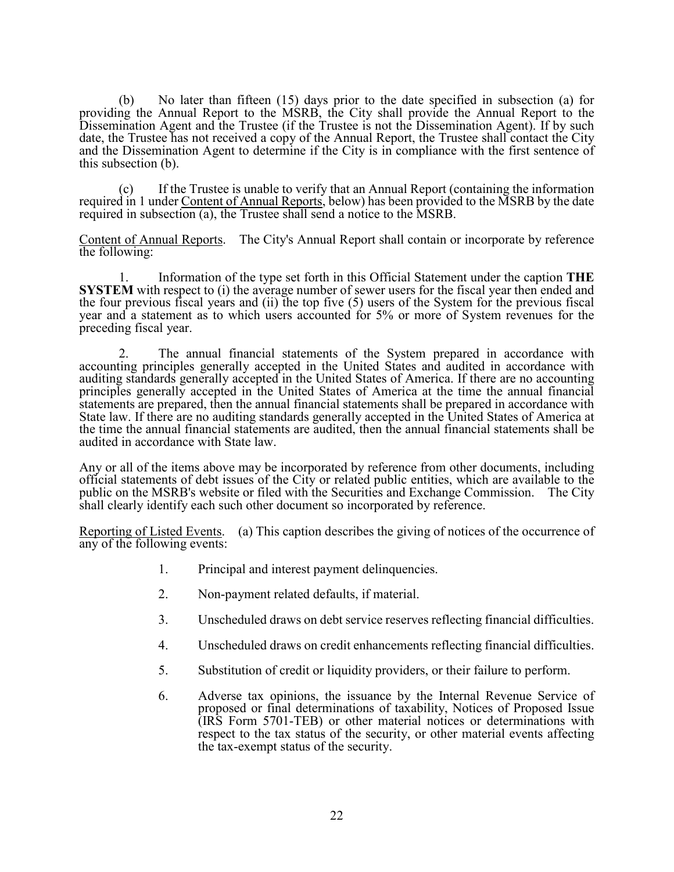(b) No later than fifteen (15) days prior to the date specified in subsection (a) for providing the Annual Report to the MSRB, the City shall provide the Annual Report to the Dissemination Agent and the Trustee (if the Trustee is not the Dissemination Agent). If by such date, the Trustee has not received a copy of the Annual Report, the Trustee shall contact the City and the Dissemination Agent to determine if the City is in compliance with the first sentence of this subsection (b).

(c) If the Trustee is unable to verify that an Annual Report (containing the information required in 1 under Content of Annual Reports, below) has been provided to the MSRB by the date required in subsection (a), the Trustee shall send a notice to the MSRB.

Content of Annual Reports. The City's Annual Report shall contain or incorporate by reference the following:

1. Information of the type set forth in this Official Statement under the caption **THE SYSTEM** with respect to (i) the average number of sewer users for the fiscal year then ended and the four previous fiscal years and (ii) the top five (5) users of the System for the previous fiscal year and a statement as to which users accounted for 5% or more of System revenues for the preceding fiscal year.

2. The annual financial statements of the System prepared in accordance with accounting principles generally accepted in the United States and audited in accordance with auditing standards generally accepted in the United States of America. If there are no accounting principles generally accepted in the United States of America at the time the annual financial statements are prepared, then the annual financial statements shall be prepared in accordance with State law. If there are no auditing standards generally accepted in the United States of America at the time the annual financial statements are audited, then the annual financial statements shall be audited in accordance with State law.

Any or all of the items above may be incorporated by reference from other documents, including official statements of debt issues of the City or related public entities, which are available to the public on the MSRB's website or filed with the Securities and Exchange Commission. The City shall clearly identify each such other document so incorporated by reference.

Reporting of Listed Events. (a) This caption describes the giving of notices of the occurrence of any of the following events:

- 1. Principal and interest payment delinquencies.
- 2. Non-payment related defaults, if material.
- 3. Unscheduled draws on debt service reserves reflecting financial difficulties.
- 4. Unscheduled draws on credit enhancements reflecting financial difficulties.
- 5. Substitution of credit or liquidity providers, or their failure to perform.
- 6. Adverse tax opinions, the issuance by the Internal Revenue Service of proposed or final determinations of taxability, Notices of Proposed Issue (IRS Form 5701-TEB) or other material notices or determinations with respect to the tax status of the security, or other material events affecting the tax-exempt status of the security.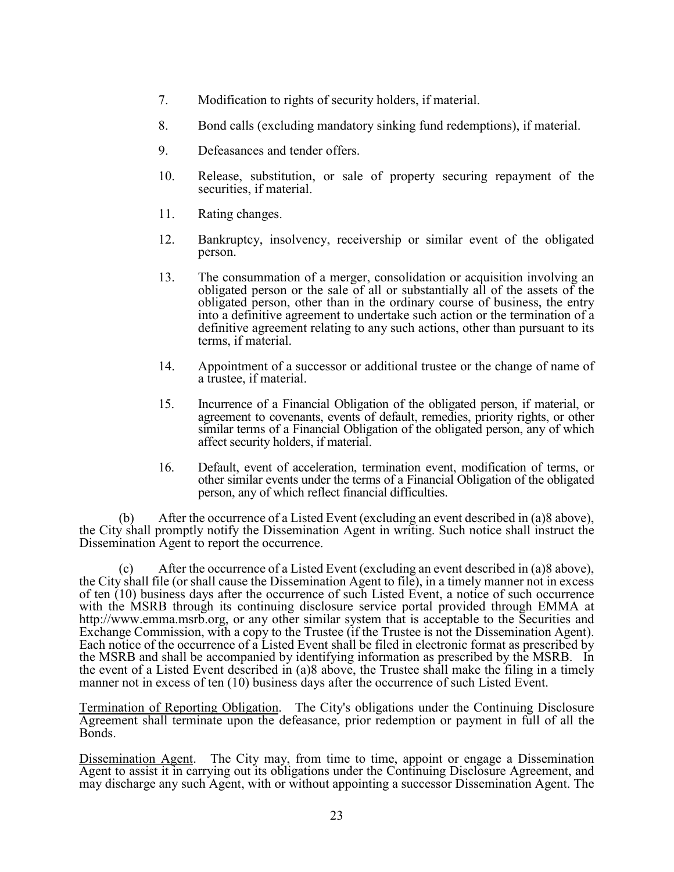- 7. Modification to rights of security holders, if material.
- 8. Bond calls (excluding mandatory sinking fund redemptions), if material.
- 9. Defeasances and tender offers.
- 10. Release, substitution, or sale of property securing repayment of the securities, if material.
- 11. Rating changes.
- 12. Bankruptcy, insolvency, receivership or similar event of the obligated person.
- 13. The consummation of a merger, consolidation or acquisition involving an obligated person or the sale of all or substantially all of the assets of the obligated person, other than in the ordinary course of business, the entry into a definitive agreement to undertake such action or the termination of a definitive agreement relating to any such actions, other than pursuant to its terms, if material.
- 14. Appointment of a successor or additional trustee or the change of name of a trustee, if material.
- 15. Incurrence of a Financial Obligation of the obligated person, if material, or agreement to covenants, events of default, remedies, priority rights, or other similar terms of a Financial Obligation of the obligated person, any of which affect security holders, if material.
- 16. Default, event of acceleration, termination event, modification of terms, or other similar events under the terms of a Financial Obligation of the obligated person, any of which reflect financial difficulties.

 (b) After the occurrence of a Listed Event (excluding an event described in (a)8 above), the City shall promptly notify the Dissemination Agent in writing. Such notice shall instruct the Dissemination Agent to report the occurrence.

 (c) After the occurrence of a Listed Event (excluding an event described in (a)8 above), the City shall file (or shall cause the Dissemination Agent to file), in a timely manner not in excess of ten (10) business days after the occurrence of such Listed Event, a notice of such occurrence with the MSRB through its continuing disclosure service portal provided through EMMA at http://www.emma.msrb.org, or any other similar system that is acceptable to the Securities and Exchange Commission, with a copy to the Trustee (if the Trustee is not the Dissemination Agent). Each notice of the occurrence of a Listed Event shall be filed in electronic format as prescribed by the MSRB and shall be accompanied by identifying information as prescribed by the MSRB. In the event of a Listed Event described in (a)8 above, the Trustee shall make the filing in a timely manner not in excess of ten (10) business days after the occurrence of such Listed Event.

Termination of Reporting Obligation. The City's obligations under the Continuing Disclosure Agreement shall terminate upon the defeasance, prior redemption or payment in full of all the Bonds.

Dissemination Agent. The City may, from time to time, appoint or engage a Dissemination Agent to assist it in carrying out its obligations under the Continuing Disclosure Agreement, and may discharge any such Agent, with or without appointing a successor Dissemination Agent. The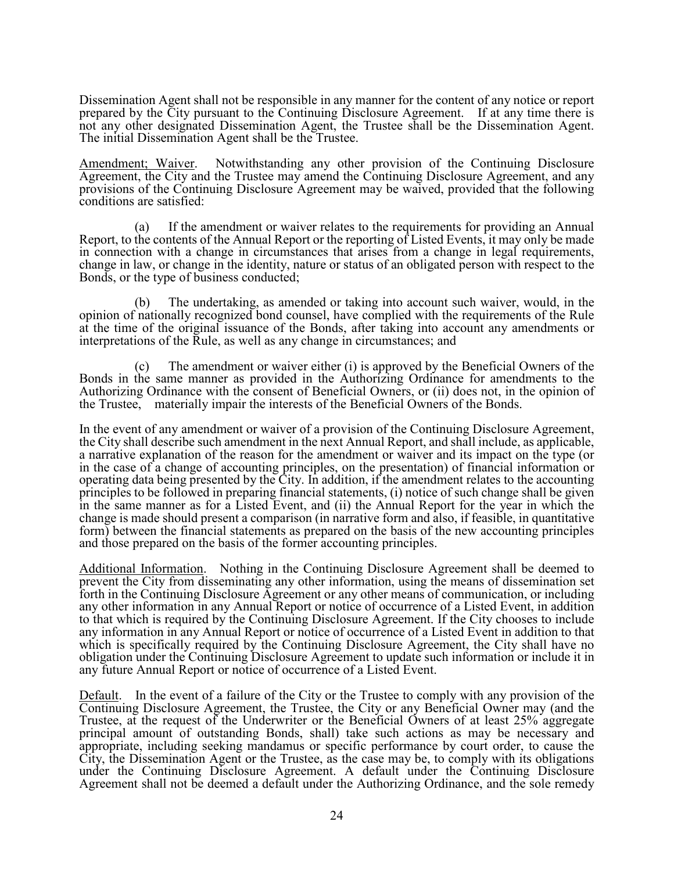Dissemination Agent shall not be responsible in any manner for the content of any notice or report prepared by the City pursuant to the Continuing Disclosure Agreement. If at any time there is not any other designated Dissemination Agent, the Trustee shall be the Dissemination Agent. The initial Dissemination Agent shall be the Trustee.

Amendment; Waiver. Notwithstanding any other provision of the Continuing Disclosure Agreement, the City and the Trustee may amend the Continuing Disclosure Agreement, and any provisions of the Continuing Disclosure Agreement may be waived, provided that the following conditions are satisfied:

(a) If the amendment or waiver relates to the requirements for providing an Annual Report, to the contents of the Annual Report or the reporting of Listed Events, it may only be made in connection with a change in circumstances that arises from a change in legal requirements, change in law, or change in the identity, nature or status of an obligated person with respect to the Bonds, or the type of business conducted;

(b) The undertaking, as amended or taking into account such waiver, would, in the opinion of nationally recognized bond counsel, have complied with the requirements of the Rule at the time of the original issuance of the Bonds, after taking into account any amendments or interpretations of the Rule, as well as any change in circumstances; and

(c) The amendment or waiver either (i) is approved by the Beneficial Owners of the Bonds in the same manner as provided in the Authorizing Ordinance for amendments to the Authorizing Ordinance with the consent of Beneficial Owners, or (ii) does not, in the opinion of the Trustee, materially impair the interests of the Beneficial Owners of the Bonds.

In the event of any amendment or waiver of a provision of the Continuing Disclosure Agreement, the City shall describe such amendment in the next Annual Report, and shall include, as applicable, a narrative explanation of the reason for the amendment or waiver and its impact on the type (or in the case of a change of accounting principles, on the presentation) of financial information or operating data being presented by the City. In addition, if the amendment relates to the accounting principles to be followed in preparing financial statements, (i) notice of such change shall be given in the same manner as for a Listed Event, and (ii) the Annual Report for the year in which the change is made should present a comparison (in narrative form and also, if feasible, in quantitative form) between the financial statements as prepared on the basis of the new accounting principles and those prepared on the basis of the former accounting principles.

Additional Information. Nothing in the Continuing Disclosure Agreement shall be deemed to prevent the City from disseminating any other information, using the means of dissemination set forth in the Continuing Disclosure Agreement or any other means of communication, or including any other information in any Annual Report or notice of occurrence of a Listed Event, in addition to that which is required by the Continuing Disclosure Agreement. If the City chooses to include any information in any Annual Report or notice of occurrence of a Listed Event in addition to that which is specifically required by the Continuing Disclosure Agreement, the City shall have no obligation under the Continuing Disclosure Agreement to update such information or include it in any future Annual Report or notice of occurrence of a Listed Event.

Default. In the event of a failure of the City or the Trustee to comply with any provision of the Continuing Disclosure Agreement, the Trustee, the City or any Beneficial Owner may (and the Trustee, at the request of the Underwriter or the Beneficial Owners of at least 25% aggregate principal amount of outstanding Bonds, shall) take such actions as may be necessary and appropriate, including seeking mandamus or specific performance by court order, to cause the City, the Dissemination Agent or the Trustee, as the case may be, to comply with its obligations under the Continuing Disclosure Agreement. A default under the Continuing Disclosure Agreement shall not be deemed a default under the Authorizing Ordinance, and the sole remedy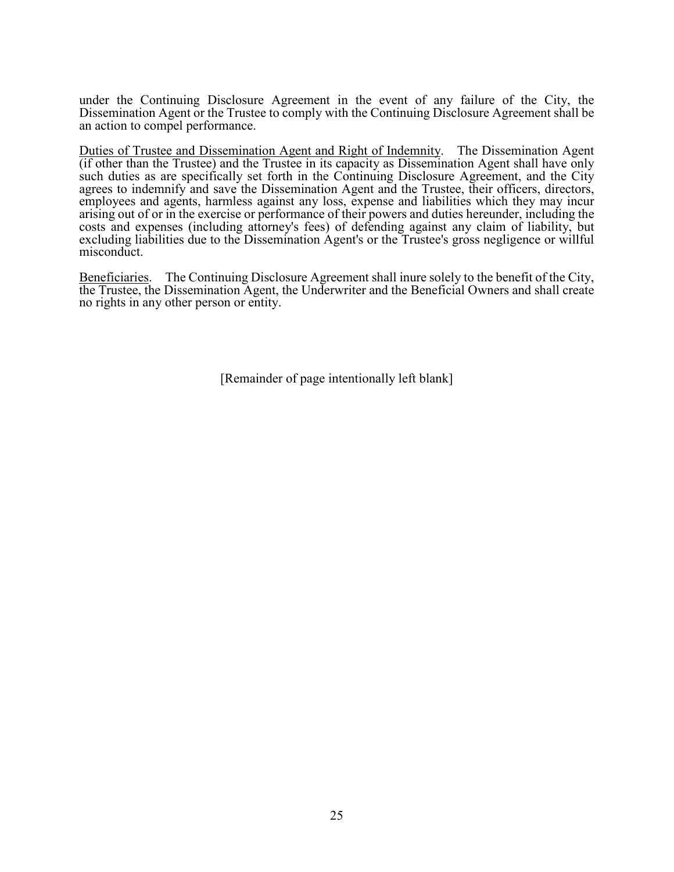under the Continuing Disclosure Agreement in the event of any failure of the City, the Dissemination Agent or the Trustee to comply with the Continuing Disclosure Agreement shall be an action to compel performance.

Duties of Trustee and Dissemination Agent and Right of Indemnity. The Dissemination Agent (if other than the Trustee) and the Trustee in its capacity as Dissemination Agent shall have only such duties as are specifically set forth in the Continuing Disclosure Agreement, and the City agrees to indemnify and save the Dissemination Agent and the Trustee, their officers, directors, employees and agents, harmless against any loss, expense and liabilities which they may incur arising out of or in the exercise or performance of their powers and duties hereunder, including the costs and expenses (including attorney's fees) of defending against any claim of liability, but excluding liabilities due to the Dissemination Agent's or the Trustee's gross negligence or willful misconduct.

Beneficiaries. The Continuing Disclosure Agreement shall inure solely to the benefit of the City, the Trustee, the Dissemination Agent, the Underwriter and the Beneficial Owners and shall create no rights in any other person or entity.

[Remainder of page intentionally left blank]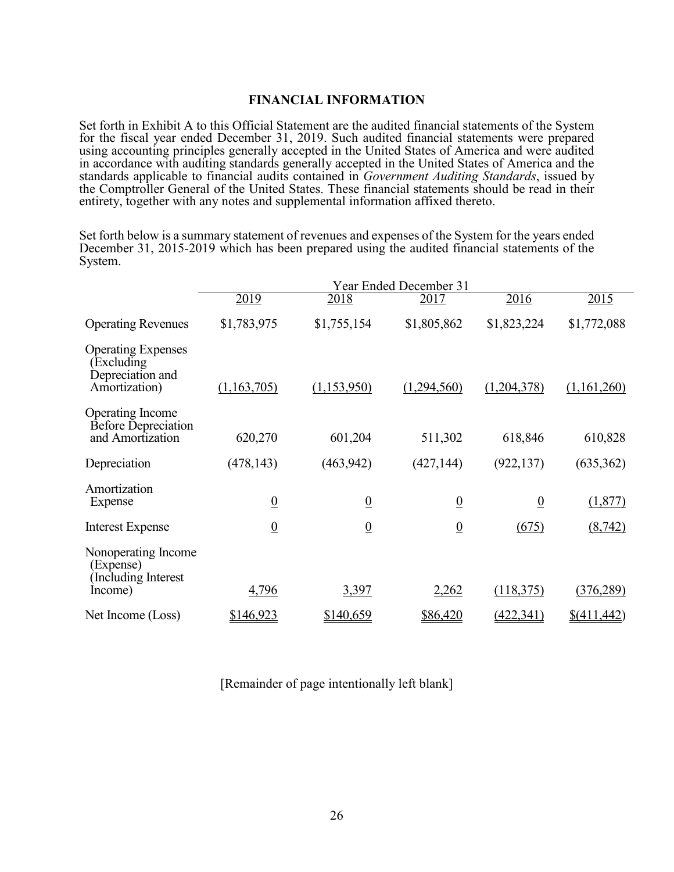# **FINANCIAL INFORMATION**

Set forth in Exhibit A to this Official Statement are the audited financial statements of the System for the fiscal year ended December 31, 2019. Such audited financial statements were prepared using accounting principles generally accepted in the United States of America and were audited in accordance with auditing standards generally accepted in the United States of America and the standards applicable to financial audits contained in *Government Auditing Standards*, issued by the Comptroller General of the United States. These financial statements should be read in their entirety, together with any notes and supplemental information affixed thereto.

Set forth below is a summary statement of revenues and expenses of the System for the years ended December 31, 2015-2019 which has been prepared using the audited financial statements of the System.

|                                                                             | Year Ended December 31 |                 |                 |                 |                        |
|-----------------------------------------------------------------------------|------------------------|-----------------|-----------------|-----------------|------------------------|
|                                                                             | 2019                   | 2018            | 2017            | 2016            | 2015                   |
| <b>Operating Revenues</b>                                                   | \$1,783,975            | \$1,755,154     | \$1,805,862     | \$1,823,224     | \$1,772,088            |
| <b>Operating Expenses</b><br>Excluding<br>Depreciation and<br>Amortization) | (1,163,705)            | (1,153,950)     | (1,294,560)     | (1,204,378)     | (1,161,260)            |
| Operating Income<br><b>Before Depreciation</b><br>and Amortization          | 620,270                | 601,204         | 511,302         | 618,846         | 610,828                |
| Depreciation                                                                | (478, 143)             | (463, 942)      | (427, 144)      | (922, 137)      | (635, 362)             |
| Amortization<br>Expense                                                     | $\overline{0}$         | $\underline{0}$ | $\overline{0}$  | $\underline{0}$ | (1,877)                |
| <b>Interest Expense</b>                                                     | $\underline{0}$        | $\underline{0}$ | $\underline{0}$ | (675)           | (8, 742)               |
| Nonoperating Income<br>(Expense)<br>Including Interest                      |                        |                 |                 |                 |                        |
| Income)                                                                     | 4,796                  | 3,397           | 2,262           | (118,375)       | (376, 289)             |
| Net Income (Loss)                                                           | \$146,923              | \$140,659       | \$86,420        | (422, 341)      | $\frac{$(411, 442)}{}$ |

[Remainder of page intentionally left blank]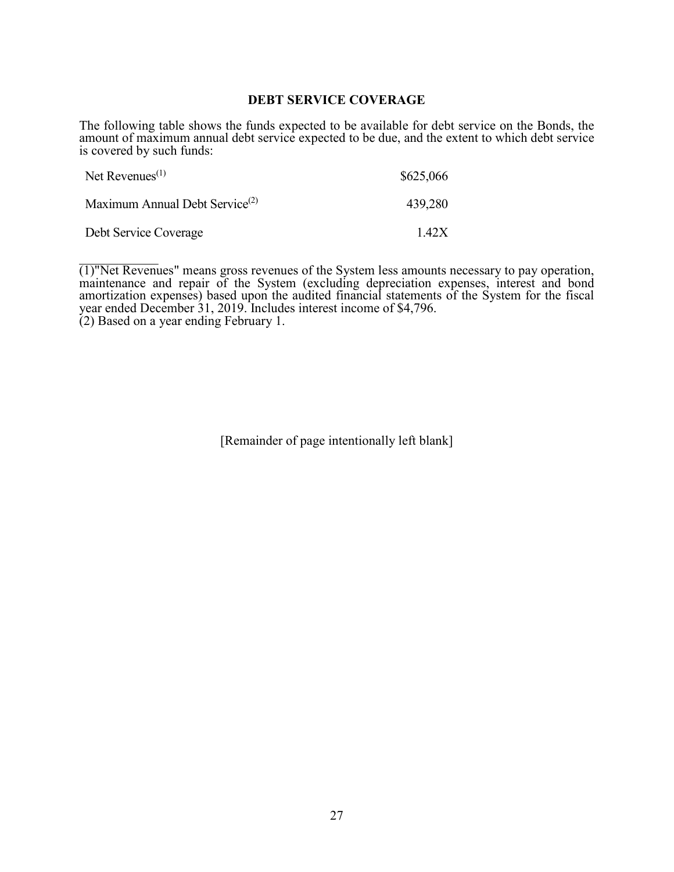### **DEBT SERVICE COVERAGE**

The following table shows the funds expected to be available for debt service on the Bonds, the amount of maximum annual debt service expected to be due, and the extent to which debt service is covered by such funds:

| Net Revenues <sup><math>(1)</math></sup>   | \$625,066 |
|--------------------------------------------|-----------|
| Maximum Annual Debt Service <sup>(2)</sup> | 439,280   |
| Debt Service Coverage                      | 1.42X     |

 $\overline{(1)}$ "Net Revenues" means gross revenues of the System less amounts necessary to pay operation, maintenance and repair of the System (excluding depreciation expenses, interest and bond amortization expenses) based upon the audited financial statements of the System for the fiscal year ended December 31, 2019. Includes interest income of \$4,796. (2) Based on a year ending February 1.

[Remainder of page intentionally left blank]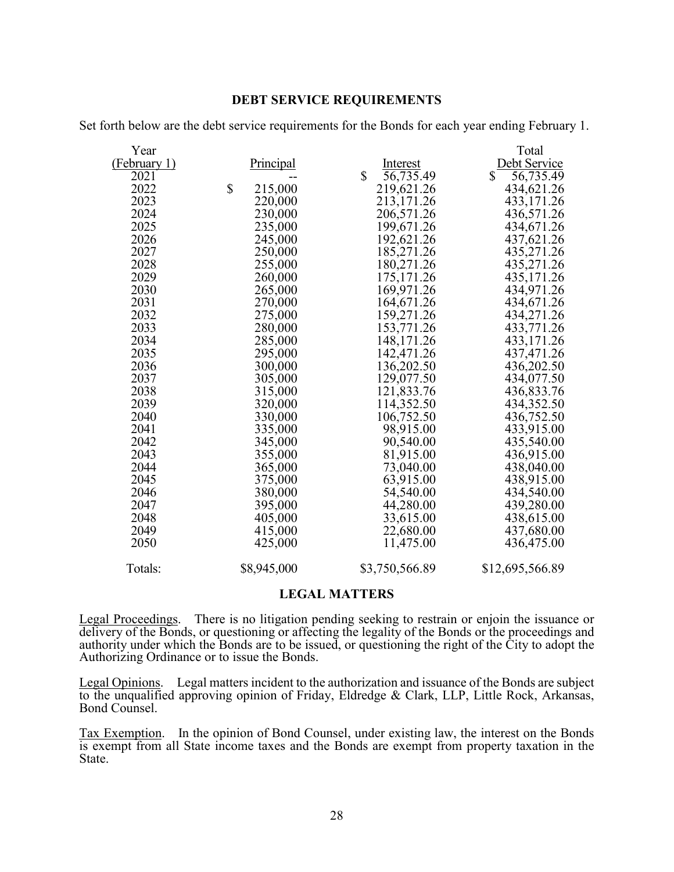# **DEBT SERVICE REQUIREMENTS**

| Year         |                  |                               | Total                     |
|--------------|------------------|-------------------------------|---------------------------|
| (February 1) | <b>Principal</b> | Interest                      | Debt Service              |
| 2021         |                  | \$<br>$\overline{56,735}$ .49 | 56,735.49<br>$\mathbb{S}$ |
| 2022         | \$<br>215,000    | 219,621.26                    | 434,621.26                |
| 2023         | 220,000          | 213,171.26                    | 433,171.26                |
| 2024         | 230,000          | 206,571.26                    | 436,571.26                |
| 2025         | 235,000          | 199,671.26                    | 434,671.26                |
| 2026         | 245,000          | 192,621.26                    | 437,621.26                |
| 2027         | 250,000          | 185,271.26                    | 435,271.26                |
| 2028         | 255,000          | 180,271.26                    | 435,271.26                |
| 2029         | 260,000          | 175, 171.26                   | 435,171.26                |
| 2030         | 265,000          | 169,971.26                    | 434,971.26                |
| 2031         | 270,000          | 164,671.26                    | 434,671.26                |
| 2032         | 275,000          | 159,271.26                    | 434,271.26                |
| 2033         | 280,000          | 153,771.26                    | 433,771.26                |
| 2034         | 285,000          | 148,171.26                    | 433,171.26                |
| 2035         | 295,000          | 142,471.26                    | 437, 471.26               |
| 2036         | 300,000          | 136,202.50                    | 436,202.50                |
| 2037         | 305,000          | 129,077.50                    | 434,077.50                |
| 2038         | 315,000          | 121,833.76                    | 436,833.76                |
| 2039         | 320,000          | 114,352.50                    | 434,352.50                |
| 2040         | 330,000          | 106,752.50                    | 436,752.50                |
| 2041         | 335,000          | 98,915.00                     | 433,915.00                |
| 2042         | 345,000          | 90,540.00                     | 435,540.00                |
| 2043         | 355,000          | 81,915.00                     | 436,915.00                |
| 2044         | 365,000          | 73,040.00                     | 438,040.00                |
| 2045         | 375,000          | 63,915.00                     | 438,915.00                |
| 2046         | 380,000          | 54,540.00                     | 434,540.00                |
| 2047         | 395,000          | 44,280.00                     | 439,280.00                |
| 2048         | 405,000          | 33,615.00                     | 438,615.00                |
| 2049         | 415,000          | 22,680.00                     | 437,680.00                |
| 2050         | 425,000          | 11,475.00                     | 436,475.00                |
|              |                  |                               |                           |

Set forth below are the debt service requirements for the Bonds for each year ending February 1.

Totals: \$8,945,000 \$3,750,566.89 \$12,695,566.89

# **LEGAL MATTERS**

Legal Proceedings. There is no litigation pending seeking to restrain or enjoin the issuance or delivery of the Bonds, or questioning or affecting the legality of the Bonds or the proceedings and authority under which the Bonds are to be issued, or questioning the right of the City to adopt the Authorizing Ordinance or to issue the Bonds.

Legal Opinions. Legal matters incident to the authorization and issuance of the Bonds are subject to the unqualified approving opinion of Friday, Eldredge & Clark, LLP, Little Rock, Arkansas, Bond Counsel.

Tax Exemption. In the opinion of Bond Counsel, under existing law, the interest on the Bonds is exempt from all State income taxes and the Bonds are exempt from property taxation in the State.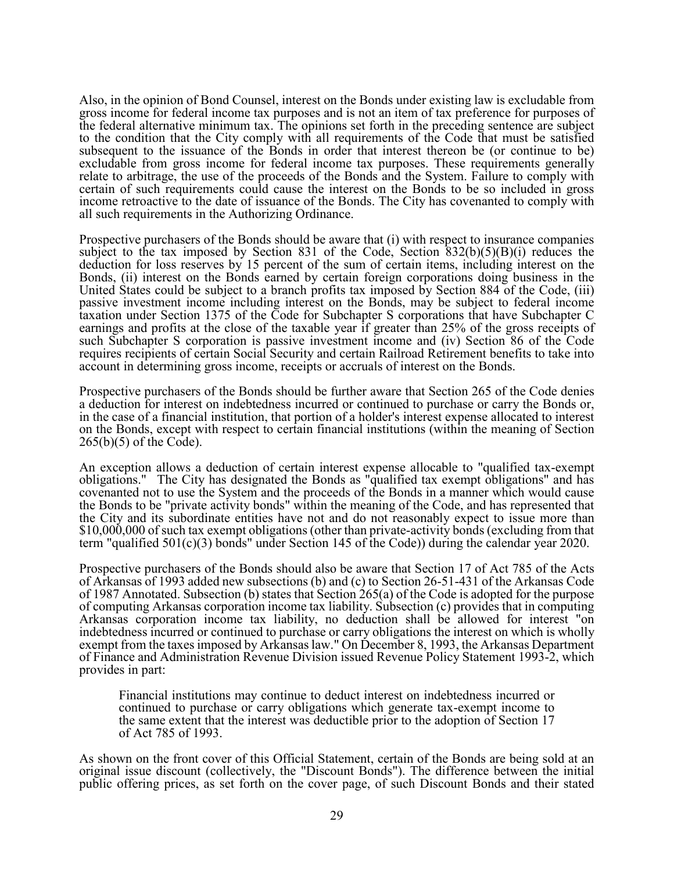Also, in the opinion of Bond Counsel, interest on the Bonds under existing law is excludable from gross income for federal income tax purposes and is not an item of tax preference for purposes of the federal alternative minimum tax. The opinions set forth in the preceding sentence are subject to the condition that the City comply with all requirements of the Code that must be satisfied subsequent to the issuance of the Bonds in order that interest thereon be (or continue to be) excludable from gross income for federal income tax purposes. These requirements generally relate to arbitrage, the use of the proceeds of the Bonds and the System. Failure to comply with certain of such requirements could cause the interest on the Bonds to be so included in gross income retroactive to the date of issuance of the Bonds. The City has covenanted to comply with all such requirements in the Authorizing Ordinance.

Prospective purchasers of the Bonds should be aware that (i) with respect to insurance companies subject to the tax imposed by Section 831 of the Code, Section  $\frac{832(b)(5)(B)(i)}{832(b)}$  reduces the deduction for loss reserves by 15 percent of the sum of certain items, including interest on the Bonds, (ii) interest on the Bonds earned by certain foreign corporations doing business in the United States could be subject to a branch profits tax imposed by Section 884 of the Code, (iii) passive investment income including interest on the Bonds, may be subject to federal income taxation under Section 1375 of the Code for Subchapter S corporations that have Subchapter C earnings and profits at the close of the taxable year if greater than 25% of the gross receipts of such Subchapter S corporation is passive investment income and (iv) Section 86 of the Code requires recipients of certain Social Security and certain Railroad Retirement benefits to take into account in determining gross income, receipts or accruals of interest on the Bonds.

Prospective purchasers of the Bonds should be further aware that Section 265 of the Code denies a deduction for interest on indebtedness incurred or continued to purchase or carry the Bonds or, in the case of a financial institution, that portion of a holder's interest expense allocated to interest on the Bonds, except with respect to certain financial institutions (within the meaning of Section 265(b)(5) of the Code).

An exception allows a deduction of certain interest expense allocable to "qualified tax-exempt obligations." The City has designated the Bonds as "qualified tax exempt obligations" and has covenanted not to use the System and the proceeds of the Bonds in a manner which would cause the Bonds to be "private activity bonds" within the meaning of the Code, and has represented that the City and its subordinate entities have not and do not reasonably expect to issue more than \$10,000,000 of such tax exempt obligations (other than private-activity bonds (excluding from that term "qualified 501(c)(3) bonds" under Section 145 of the Code)) during the calendar year 2020.

Prospective purchasers of the Bonds should also be aware that Section 17 of Act 785 of the Acts of Arkansas of 1993 added new subsections (b) and (c) to Section 26-51-431 of the Arkansas Code of 1987 Annotated. Subsection (b) states that Section 265(a) of the Code is adopted for the purpose of computing Arkansas corporation income tax liability. Subsection (c) provides that in computing Arkansas corporation income tax liability, no deduction shall be allowed for interest "on indebtedness incurred or continued to purchase or carry obligations the interest on which is wholly exempt from the taxes imposed by Arkansas law." On December 8, 1993, the Arkansas Department of Finance and Administration Revenue Division issued Revenue Policy Statement 1993-2, which provides in part:

Financial institutions may continue to deduct interest on indebtedness incurred or continued to purchase or carry obligations which generate tax-exempt income to the same extent that the interest was deductible prior to the adoption of Section 17 of Act 785 of 1993.

As shown on the front cover of this Official Statement, certain of the Bonds are being sold at an original issue discount (collectively, the "Discount Bonds"). The difference between the initial public offering prices, as set forth on the cover page, of such Discount Bonds and their stated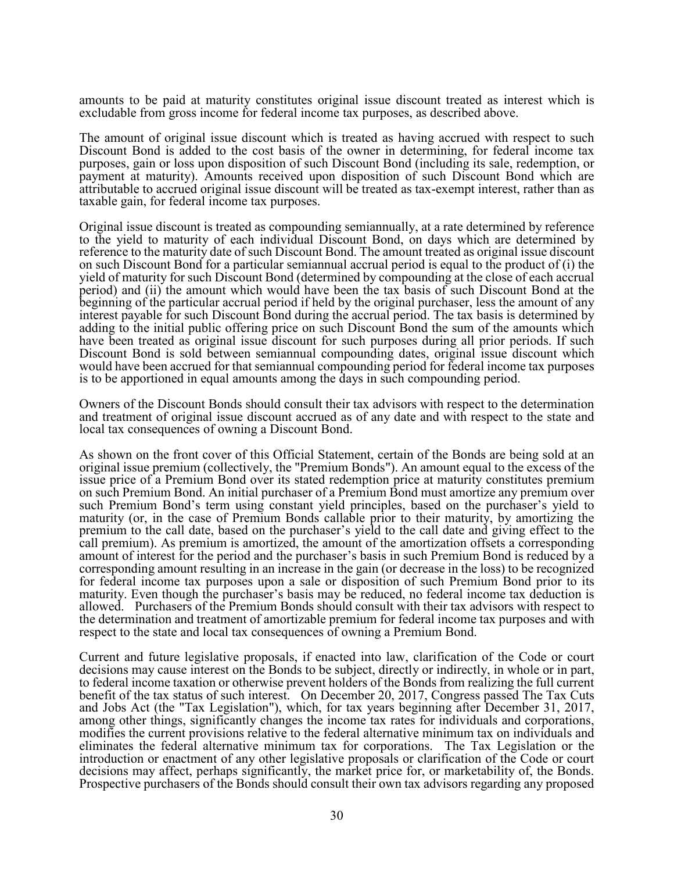amounts to be paid at maturity constitutes original issue discount treated as interest which is excludable from gross income for federal income tax purposes, as described above.

The amount of original issue discount which is treated as having accrued with respect to such Discount Bond is added to the cost basis of the owner in determining, for federal income tax purposes, gain or loss upon disposition of such Discount Bond (including its sale, redemption, or payment at maturity). Amounts received upon disposition of such Discount Bond which are attributable to accrued original issue discount will be treated as tax-exempt interest, rather than as taxable gain, for federal income tax purposes.

Original issue discount is treated as compounding semiannually, at a rate determined by reference to the yield to maturity of each individual Discount Bond, on days which are determined by reference to the maturity date of such Discount Bond. The amount treated as original issue discount on such Discount Bond for a particular semiannual accrual period is equal to the product of (i) the yield of maturity for such Discount Bond (determined by compounding at the close of each accrual period) and (ii) the amount which would have been the tax basis of such Discount Bond at the beginning of the particular accrual period if held by the original purchaser, less the amount of any interest payable for such Discount Bond during the accrual period. The tax basis is determined by adding to the initial public offering price on such Discount Bond the sum of the amounts which have been treated as original issue discount for such purposes during all prior periods. If such Discount Bond is sold between semiannual compounding dates, original issue discount which would have been accrued for that semiannual compounding period for federal income tax purposes is to be apportioned in equal amounts among the days in such compounding period.

Owners of the Discount Bonds should consult their tax advisors with respect to the determination and treatment of original issue discount accrued as of any date and with respect to the state and local tax consequences of owning a Discount Bond.

As shown on the front cover of this Official Statement, certain of the Bonds are being sold at an original issue premium (collectively, the "Premium Bonds"). An amount equal to the excess of the issue price of a Premium Bond over its stated redemption price at maturity constitutes premium on such Premium Bond. An initial purchaser of a Premium Bond must amortize any premium over such Premium Bond's term using constant yield principles, based on the purchaser's yield to maturity (or, in the case of Premium Bonds callable prior to their maturity, by amortizing the premium to the call date, based on the purchaser's yield to the call date and giving effect to the call premium). As premium is amortized, the amount of the amortization offsets a corresponding amount of interest for the period and the purchaser's basis in such Premium Bond is reduced by a corresponding amount resulting in an increase in the gain (or decrease in the loss) to be recognized for federal income tax purposes upon a sale or disposition of such Premium Bond prior to its maturity. Even though the purchaser's basis may be reduced, no federal income tax deduction is allowed. Purchasers of the Premium Bonds should consult with their tax advisors with respect to the determination and treatment of amortizable premium for federal income tax purposes and with respect to the state and local tax consequences of owning a Premium Bond.

Current and future legislative proposals, if enacted into law, clarification of the Code or court decisions may cause interest on the Bonds to be subject, directly or indirectly, in whole or in part, to federal income taxation or otherwise prevent holders of the Bonds from realizing the full current benefit of the tax status of such interest. On December 20, 2017, Congress passed The Tax Cuts and Jobs Act (the "Tax Legislation"), which, for tax years beginning after December 31, 2017, among other things, significantly changes the income tax rates for individuals and corporations, modifies the current provisions relative to the federal alternative minimum tax on individuals and eliminates the federal alternative minimum tax for corporations. The Tax Legislation or the introduction or enactment of any other legislative proposals or clarification of the Code or court decisions may affect, perhaps significantly, the market price for, or marketability of, the Bonds. Prospective purchasers of the Bonds should consult their own tax advisors regarding any proposed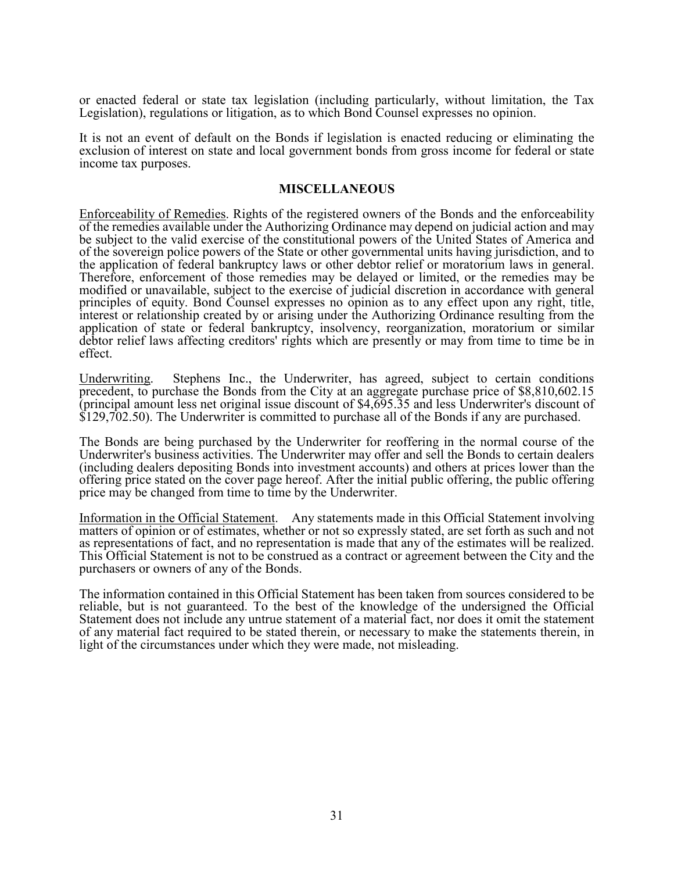or enacted federal or state tax legislation (including particularly, without limitation, the Tax Legislation), regulations or litigation, as to which Bond Counsel expresses no opinion.

It is not an event of default on the Bonds if legislation is enacted reducing or eliminating the exclusion of interest on state and local government bonds from gross income for federal or state income tax purposes.

#### **MISCELLANEOUS**

Enforceability of Remedies. Rights of the registered owners of the Bonds and the enforceability of the remedies available under the Authorizing Ordinance may depend on judicial action and may be subject to the valid exercise of the constitutional powers of the United States of America and of the sovereign police powers of the State or other governmental units having jurisdiction, and to the application of federal bankruptcy laws or other debtor relief or moratorium laws in general. Therefore, enforcement of those remedies may be delayed or limited, or the remedies may be modified or unavailable, subject to the exercise of judicial discretion in accordance with general principles of equity. Bond Counsel expresses no opinion as to any effect upon any right, title, interest or relationship created by or arising under the Authorizing Ordinance resulting from the application of state or federal bankruptcy, insolvency, reorganization, moratorium or similar debtor relief laws affecting creditors' rights which are presently or may from time to time be in effect.

Underwriting. Stephens Inc., the Underwriter, has agreed, subject to certain conditions precedent, to purchase the Bonds from the City at an aggregate purchase price of \$8,810,602.15 (principal amount less net original issue discount of \$4,695.35 and less Underwriter's discount of \$129,702.50). The Underwriter is committed to purchase all of the Bonds if any are purchased.

The Bonds are being purchased by the Underwriter for reoffering in the normal course of the Underwriter's business activities. The Underwriter may offer and sell the Bonds to certain dealers (including dealers depositing Bonds into investment accounts) and others at prices lower than the offering price stated on the cover page hereof. After the initial public offering, the public offering price may be changed from time to time by the Underwriter.

Information in the Official Statement. Any statements made in this Official Statement involving matters of opinion or of estimates, whether or not so expressly stated, are set forth as such and not as representations of fact, and no representation is made that any of the estimates will be realized. This Official Statement is not to be construed as a contract or agreement between the City and the purchasers or owners of any of the Bonds.

The information contained in this Official Statement has been taken from sources considered to be reliable, but is not guaranteed. To the best of the knowledge of the undersigned the Official Statement does not include any untrue statement of a material fact, nor does it omit the statement of any material fact required to be stated therein, or necessary to make the statements therein, in light of the circumstances under which they were made, not misleading.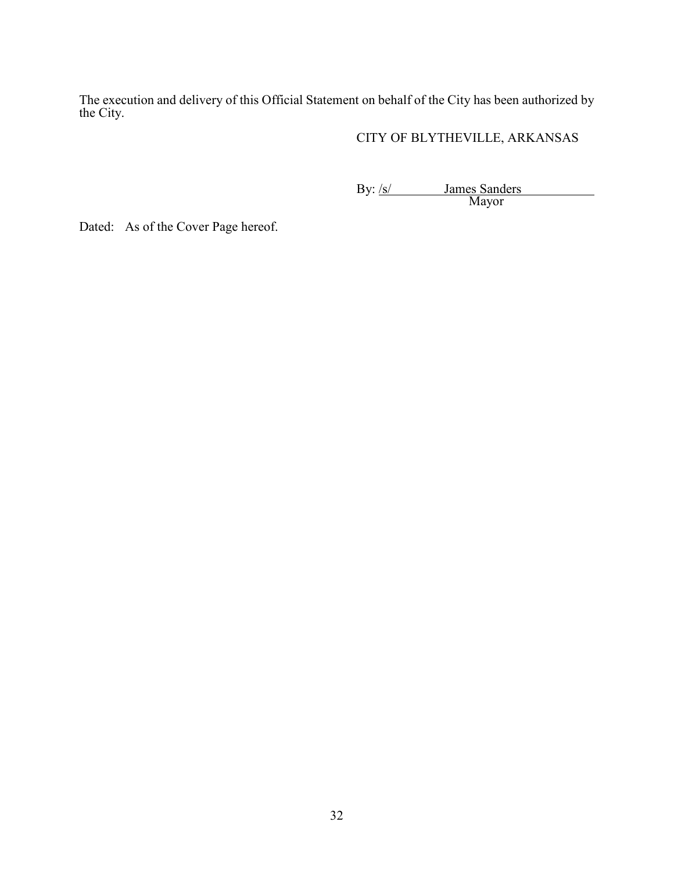The execution and delivery of this Official Statement on behalf of the City has been authorized by the City.

# CITY OF BLYTHEVILLE, ARKANSAS

By: /s/ James Sanders Mayor

Dated: As of the Cover Page hereof.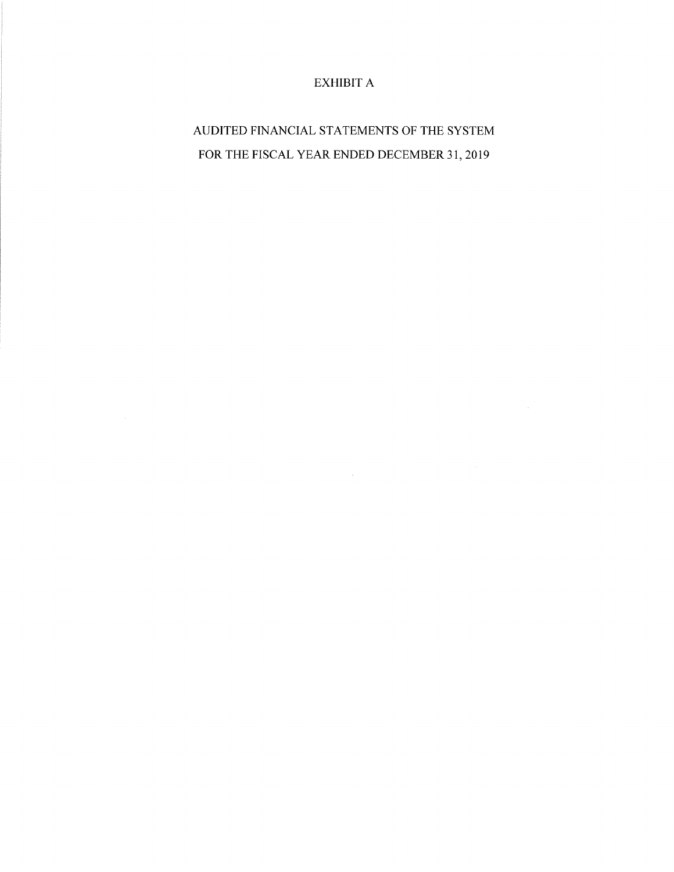# EXHIBIT A

AUDITED FINANCIAL STATEMENTS OF THE SYSTEM FOR THE FISCAL YEAR ENDED DECEMBER 3I, 2019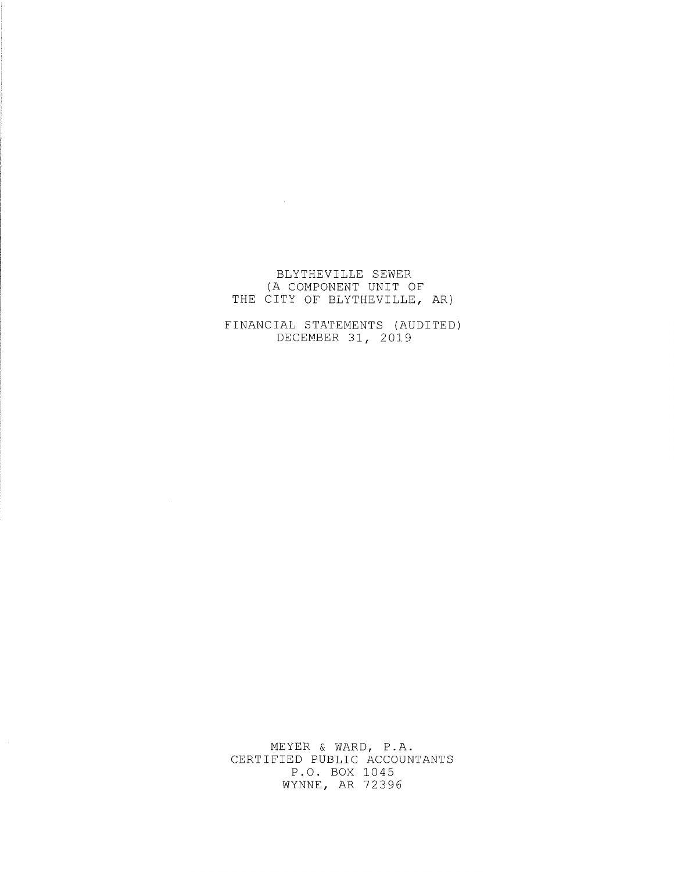# BLYTHEVILLE SEWER (A COMPONENT UNIT OF THE CITY OF BLYTHEVILLE, AR)

FINANCIAL STATEMENTS (AUDITED) DECEMBER 31, 2019

MEYER & WARD, P.A. CERTIFIED PUBLIC ACCOUNTANTS P.O. BOX 1045 WYNNE, AR 12396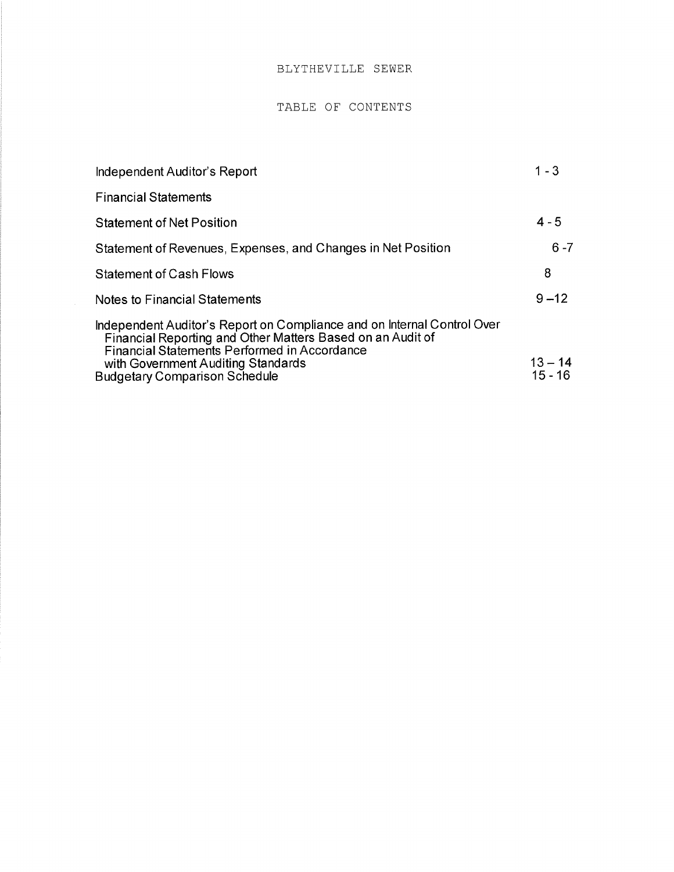## BLYTHEVILLE SEWER

#### TABLE OF CONTENTS

| Independent Auditor's Report                                                                                                                                                                                                | $1 - 3$   |
|-----------------------------------------------------------------------------------------------------------------------------------------------------------------------------------------------------------------------------|-----------|
| <b>Financial Statements</b>                                                                                                                                                                                                 |           |
| <b>Statement of Net Position</b>                                                                                                                                                                                            | $4 - 5$   |
| Statement of Revenues, Expenses, and Changes in Net Position                                                                                                                                                                | $6 - 7$   |
| <b>Statement of Cash Flows</b>                                                                                                                                                                                              | 8         |
| <b>Notes to Financial Statements</b>                                                                                                                                                                                        | $9 - 12$  |
| Independent Auditor's Report on Compliance and on Internal Control Over<br>Financial Reporting and Other Matters Based on an Audit of<br>Financial Statements Performed in Accordance<br>with Government Auditing Standards | $13 - 14$ |
| <b>Budgetary Comparison Schedule</b>                                                                                                                                                                                        | $15 - 16$ |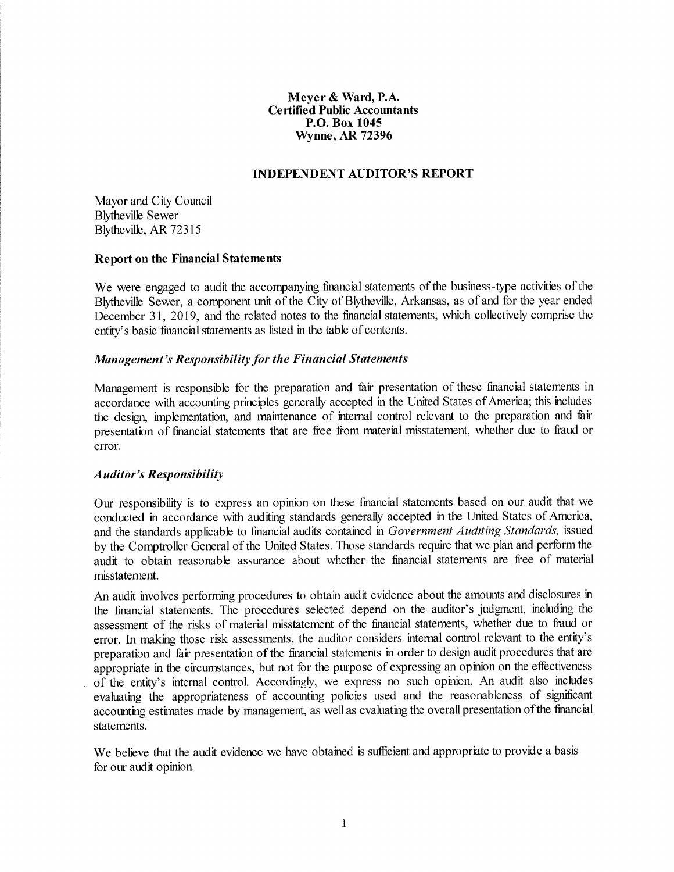Meyer & Ward, P.A. Certified Public Accountants P.O. Box 1045 Wynne, AR 72396

#### INDEPENDENT AUDITOR'S REPORT

Mayor and City Council Blytheville Sewer Blytheville, AR 72315

#### Report on the Financial Statements

We were engaged to audit the accompanying financial statements of the business-type activities of the Blytheville Sewer, a component unit of the City of Blytheville, Arkansas, as of and for the year ended December 31, 2019, and the related notes to the financial statements, which collectively comprise the entity's basic financial staternents as listed in the table of contents.

#### Management's Responsibility for the Financial Statements

Management is responsible for the preparation and fair presentation of these financial statements in accordance with accounting principles generally accepted in the United States of America; this includes the design, implenrentation, and maintenance of internal control relevant to the preparation and fair presentation of financial statements that are free from rnaterial misstatement, whether due to fraud or error.

#### **Auditor's Responsibility**

Our responsbility is to express an opinion on these financial staternents based on our audit that we conducted in accordance with auditing standards generally accepted in the United States of America, and the standards applicable to financial audits contained in Government Auditing Standards, issued by the Comptroller General of the United States. Those standards require that we plan and perform the audit to obtain reasonable assurance about whether the financial statenrents are free of material misstatement.

An audit invohes performing procedures to obtain audit evidence about the arnounts and disclosures in the financial statenrents. The procedures selected depend on the auditor's judgment, including the assessment of the risks of rnaterial misstatement of the financial statements, whether due to fraud or error. In making those risk assessments, the auditor considers intemal control relevant to the entity's preparation and fair presentation of the financial statements in order to design audit procedures that are appropriate in the circurnstances, but not for the purpose of expressing an opinion on the effectiveness of the entity's intemal control. Accordingly, we express no such opinion. An audit also includes evaluating the appropriateness of accounting policies used and the reasonableness of significant accounting estimates made by management, as well as evaluating the overall presentation ofthe financial statements.

We believe that the audit evidence we have obtained is sufficient and appropriate to provide a basis for our audit opinion.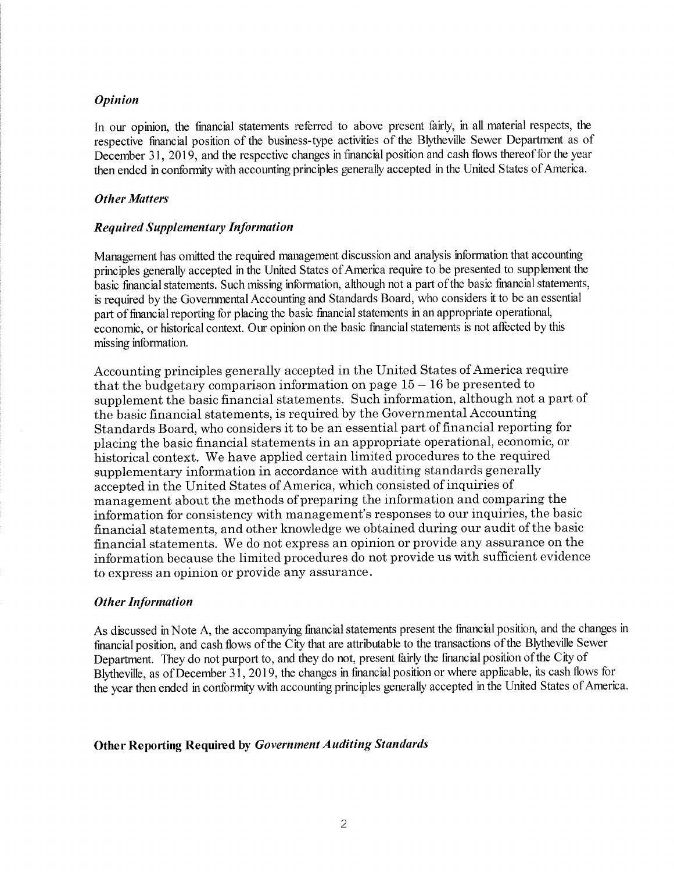#### Opinion

In our opinion, the financial statements refened to above present fairly, in all rnaterial respects, the respective financial position of the business-type activities of the Blytheville Sewer Department as of December 31, 2019, and the respective changes in financial position and cash flows thereof for the year then ended in conformity with accounting principles generally accepted in the United States of America.

#### Other Matters

## **Required Supplementary Information**

Management has omitted the required management discussion and analysis information that accounting principles generally accepted in the United States of America require to be presented to supplement the basic financial statements. Such missing information, although not a part of the basic financial statements, is required by the Govemmental Accounting and Standards Board, who considers it to be an essential part of financial reporting for placing the basic financial statements in an appropriate operational, economic, or historical context. Our opinion on the basic financial statements is not affected by this missing information.

Accounting principles generally accepted in the United States of America require that the budgetary comparison information on page  $15 - 16$  be presented to supplement the basic financial statements. Such information, although not a part of the basic financial statements, is required by the Governmental Accounting Standards Board, who considers it to be an essential part of financial reporting for placing the basic financial statements in an appropriate operational, economic, or historical context. We have applied certain limited procedures to the required supplementary information in accordance with auditing standards generally accepted in the United States of America, which consisted of inquiries of management about the methods of preparing the information and comparing the information for consistency with management's responses to our inquiries, the basic financial statements, and other knowledge we obtained during our audit of the basic financial statements. We do not express an opinion or provide any assurance on the information because the limited procedures do not provide us with suffrcient evidence to express an opinion or provide any assurance.

#### Other Information

As discussed in Note A, the accompanying financial statements present the financial position, and the changes in financial position, and cash flows of the City that are attributable to the transactions of the Blytheville Sewer Department. They do not purport to, and they do not, present fairly the financial position of the City of Blytheville, as of December 31, 2019, the changes in financial position or where applicable, its cash flows for the year then ended in conformity with accounting principles generally accepted in the United States of America.

#### Other Reporting Required by Government Auditing Standards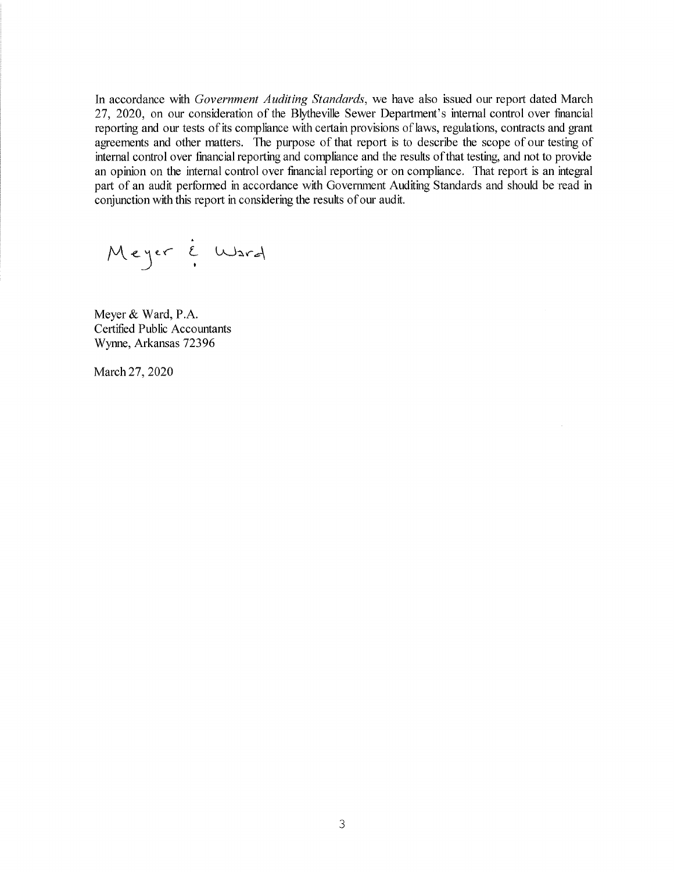In accordance with Government Auditing Standards, we have also issued our report dated March 27, 2020, on our consideration of the Blytheville Sewer Department's internal control over financial reporting and our tests of its compliance with certain provisions of laws, regulations, contracts and grant agreements and other matters. The purpose of that report is to describe the scope of our testing of intemal control over financial reporting and compliance and the results ofthat testing, and not to provide an opinion on the intemal control over financial reporting or on compliance. That report is an integal part of an audit performed in accordance with Govemment Auditing Standards and should be read in conjunction with this report in considering the resuhs of our audit.

/"\. l.r <sup>L</sup> )r t-^"Ja-.d

Meyer& Ward, P.A. Certified Public Accountants Wynne, Arkansas 72396

March 27, 2020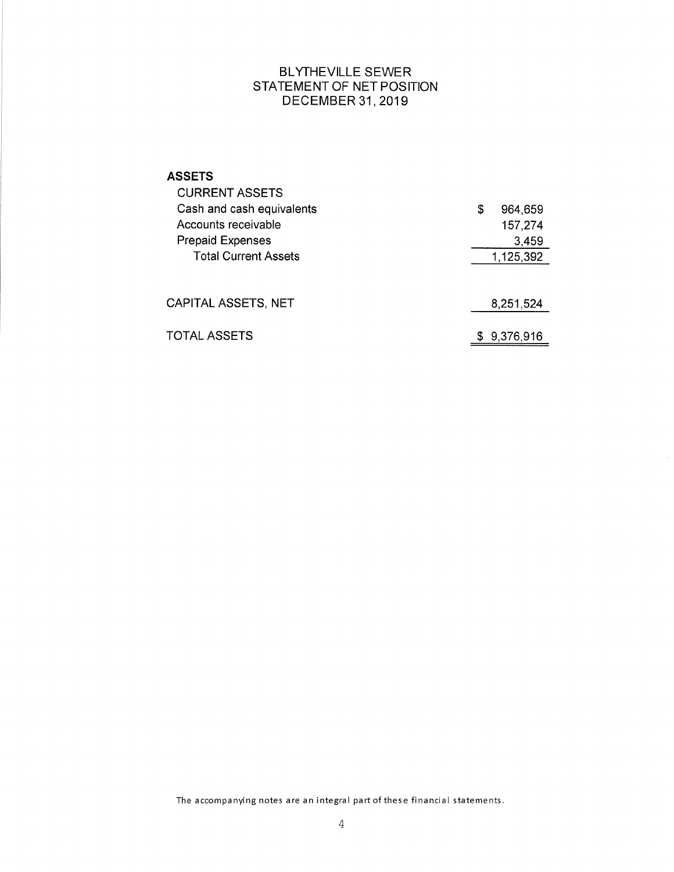# BLYTHEVILLE SEWER STATEMENT OF NET POSITION DECEMBER 31, 2019

| <b>ASSETS</b><br><b>CURRENT ASSETS</b><br>Cash and cash equivalents<br>Accounts receivable<br><b>Prepaid Expenses</b> | \$<br>964,659<br>157,274<br>3,459 |
|-----------------------------------------------------------------------------------------------------------------------|-----------------------------------|
| <b>Total Current Assets</b>                                                                                           | 1,125,392                         |
| CAPITAL ASSETS, NET                                                                                                   | 8,251,524                         |
| TOTAL ASSETS                                                                                                          | 9,376,916                         |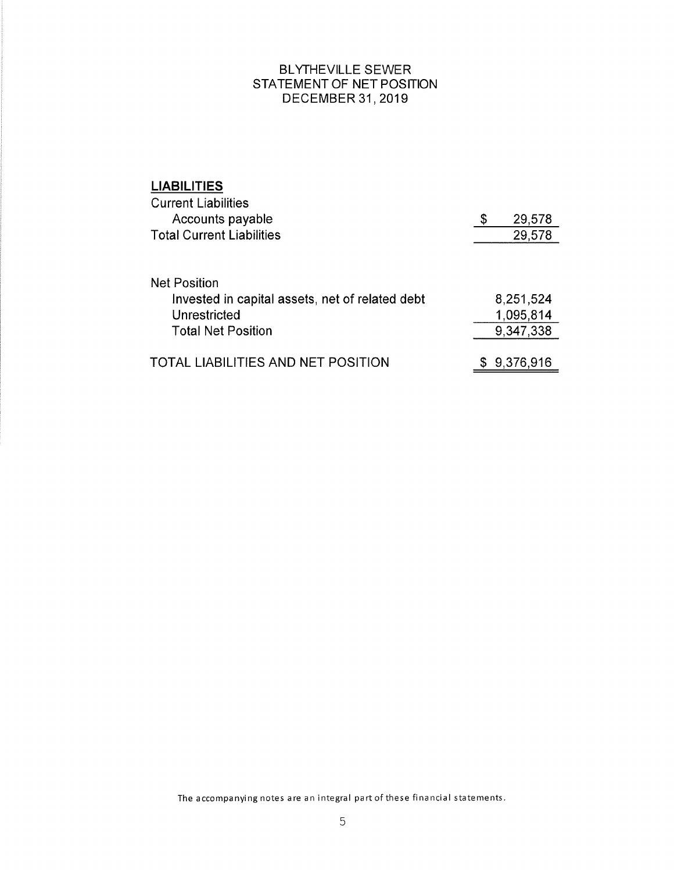# BLYTHEVILLE SEWER STATEMENT OF NET POSITION DECEMBER 31, 2019

| <b>LIABILITIES</b>                              |              |
|-------------------------------------------------|--------------|
| <b>Current Liabilities</b>                      |              |
| Accounts payable                                | \$<br>29,578 |
| <b>Total Current Liabilities</b>                | 29,578       |
| <b>Net Position</b>                             |              |
| Invested in capital assets, net of related debt | 8,251,524    |
| Unrestricted                                    | 1,095,814    |
| <b>Total Net Position</b>                       | 9,347,338    |
|                                                 |              |
| LIABILITIES AND NET POSITION                    | 9,376,916    |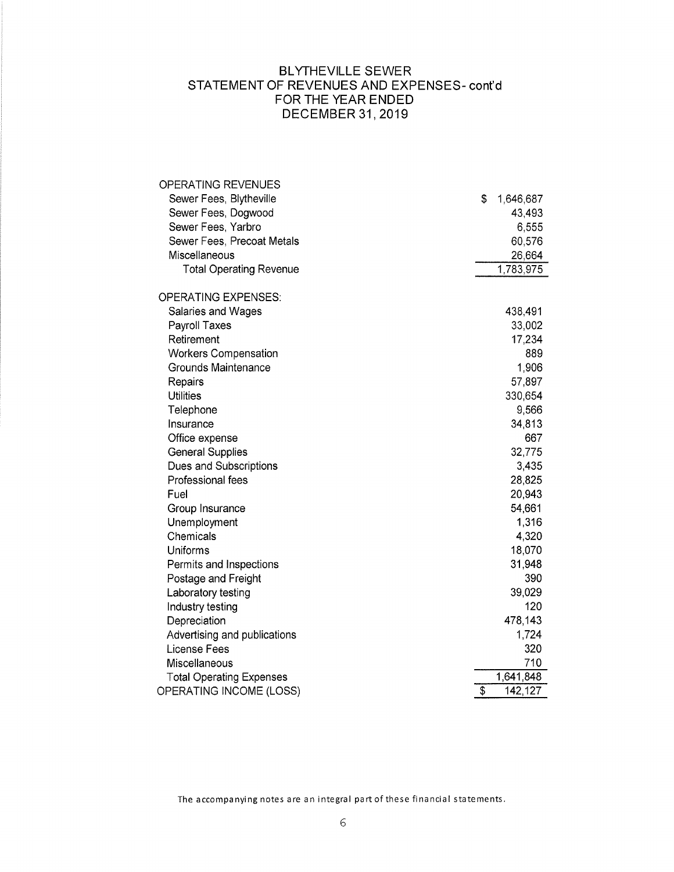# BLYTHEVILLE SEWER STATEMENT OF REVENUES AND EXPENSES- cont'd FOR THE YEAR ENDED DECEMBER 31, 2019

| <b>OPERATING REVENUES</b>       |                 |
|---------------------------------|-----------------|
| Sewer Fees, Blytheville         | \$<br>1,646,687 |
| Sewer Fees, Dogwood             | 43,493          |
| Sewer Fees, Yarbro              | 6,555           |
| Sewer Fees, Precoat Metals      | 60,576          |
| Miscellaneous                   | 26,664          |
| <b>Total Operating Revenue</b>  | 1,783,975       |
| <b>OPERATING EXPENSES:</b>      |                 |
| Salaries and Wages              | 438,491         |
| Payroll Taxes                   | 33,002          |
| Retirement                      | 17,234          |
| <b>Workers Compensation</b>     | 889             |
| Grounds Maintenance             | 1,906           |
| Repairs                         | 57,897          |
| <b>Utilities</b>                | 330,654         |
| Telephone                       | 9,566           |
| Insurance                       | 34,813          |
| Office expense                  | 667             |
| <b>General Supplies</b>         | 32,775          |
| Dues and Subscriptions          | 3,435           |
| Professional fees               | 28,825          |
| Fuel                            | 20,943          |
| Group Insurance                 | 54,661          |
| Unemployment                    | 1,316           |
| Chemicals                       | 4,320           |
| Uniforms                        | 18,070          |
| Permits and Inspections         | 31,948          |
| Postage and Freight             | 390             |
| Laboratory testing              | 39,029          |
| Industry testing                | 120             |
| Depreciation                    | 478,143         |
| Advertising and publications    | 1,724           |
| License Fees                    | 320             |
| Miscellaneous                   | 710             |
| <b>Total Operating Expenses</b> | 1,641,848       |
| OPERATING INCOME (LOSS)         | \$<br>142,127   |
|                                 |                 |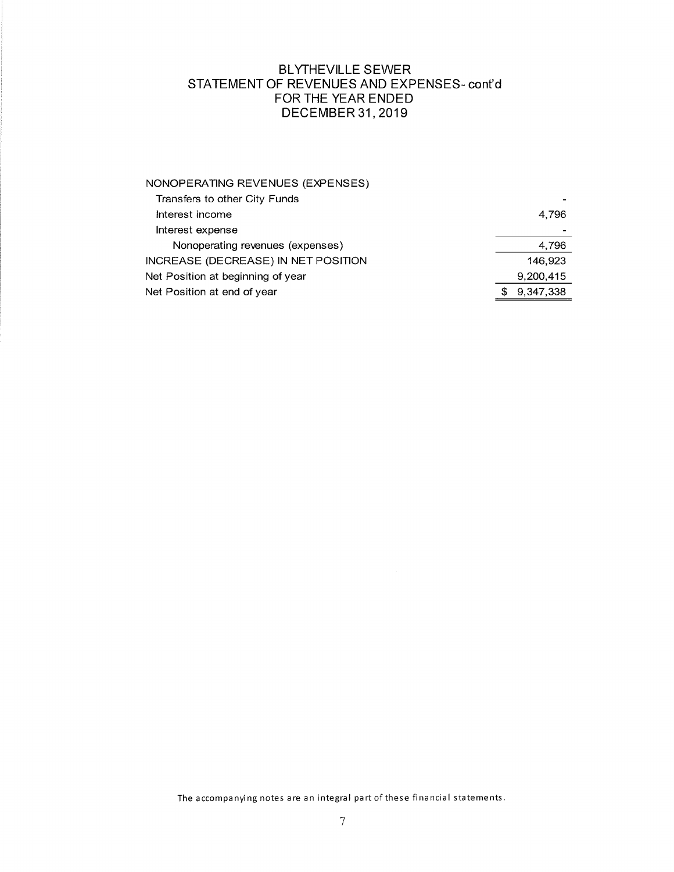# BLYTHEVILLE SEWER STATEMENT OF REVENUES AND EXPENSES- cont'd FOR THE YEAR ENDED DECEMBER 31,2019

| NONOPERATING REVENUES (EXPENSES)    |           |
|-------------------------------------|-----------|
| Transfers to other City Funds       |           |
| Interest income                     | 4,796     |
| Interest expense                    |           |
| Nonoperating revenues (expenses)    | 4,796     |
| INCREASE (DECREASE) IN NET POSITION | 146,923   |
| Net Position at beginning of year   | 9,200,415 |
| Net Position at end of year         | 9,347,338 |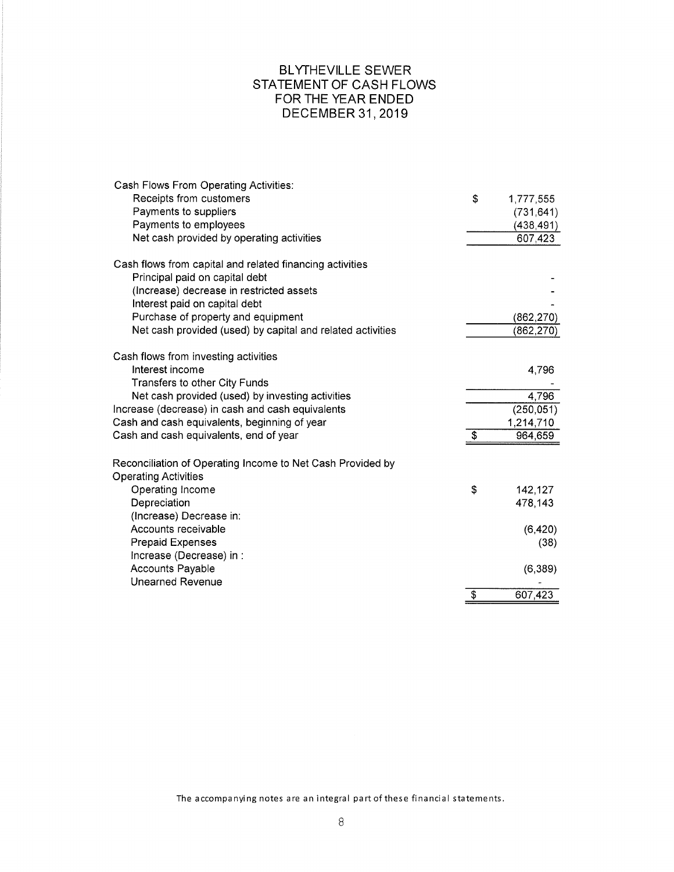# BLYTHEVILLE SEWER STATEMENT OF CASH FLOWS FOR THE YEAR ENDED DECEMBER 31, 2019

| Cash Flows From Operating Activities:                      |                         |            |
|------------------------------------------------------------|-------------------------|------------|
| Receipts from customers                                    | \$                      | 1,777,555  |
| Payments to suppliers                                      |                         | (731, 641) |
| Payments to employees                                      |                         | (438, 491) |
| Net cash provided by operating activities                  |                         | 607,423    |
| Cash flows from capital and related financing activities   |                         |            |
| Principal paid on capital debt                             |                         |            |
| (Increase) decrease in restricted assets                   |                         |            |
| Interest paid on capital debt                              |                         |            |
| Purchase of property and equipment                         |                         | (862, 270) |
| Net cash provided (used) by capital and related activities |                         | (862, 270) |
| Cash flows from investing activities                       |                         |            |
| Interest income                                            |                         | 4,796      |
| Transfers to other City Funds                              |                         |            |
| Net cash provided (used) by investing activities           |                         | 4,796      |
| Increase (decrease) in cash and cash equivalents           |                         | (250, 051) |
| Cash and cash equivalents, beginning of year               |                         | 1,214,710  |
| Cash and cash equivalents, end of year                     | \$                      | 964,659    |
| Reconciliation of Operating Income to Net Cash Provided by |                         |            |
| <b>Operating Activities</b>                                |                         |            |
| Operating Income                                           | \$                      | 142,127    |
| Depreciation                                               |                         | 478,143    |
| (Increase) Decrease in:                                    |                         |            |
| Accounts receivable                                        |                         | (6, 420)   |
| <b>Prepaid Expenses</b>                                    |                         | (38)       |
| Increase (Decrease) in :                                   |                         |            |
| <b>Accounts Payable</b>                                    |                         | (6, 389)   |
| <b>Unearned Revenue</b>                                    |                         |            |
|                                                            | $\overline{\mathbf{3}}$ | 607,423    |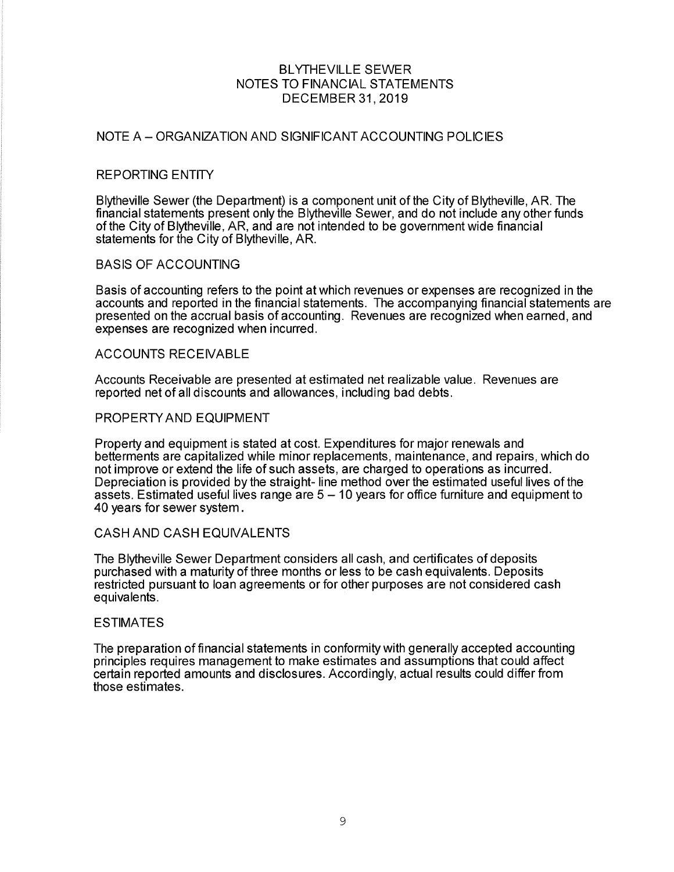#### NOTE A - ORGANIZATION AND SIGNIFICANT ACCOUNTING POLICIES

#### REPORTING ENTIY

Blytheville Sewer (the Department) is a component unit of the City of Blytheville, AR. The financial statements present only the Blytheville Sewer, and do not include any other funds of the City of Blytheville, AR, and are not intended to be government wide financial statements for the City of Blytheville, AR.

#### BASIS OF ACCOUNTING

Basis of accounting refers to the point at which revenues or expenses are recognized in the accounts and reported in the financial statements. The accompanying financial statements are presented on the accrual basis of accounting. Revenues are recognized when earned, and expenses are recognized when incurred.

#### **ACCOUNTS RECEIVABLE**

Accounts Receivable are presented at estimated net realizable value. Revenues are reported net of all discounts and allowances, including bad debts.

#### PROPERTYAND EQUIPMENT

Property and equipment is stated at cost. Expenditures for major renewals and betterments are capitalized while minor replacements, maintenance, and repairs, which do not improve or extend the life of such assets, are charged to operations as incurred. Depreciation is provided bythe straight- line method overthe estimated usefullives of the assets. Estimated useful lives range are  $5 - 10$  years for office furniture and equipment to 40 years for sewer system.

# CASH AND CASH EQUIVALENTS

The Blytheville Sewer Department considers allcash, and certificates of deposits purchased with a maturity of three months or less to be cash equivalents. Deposits restricted pursuant to loan agreements or for other purposes are not considered cash equivalents.

#### ESTIMATES

The preparation of financial statements in conformity with generally accepted accounting principles requires management to make estimates and assumptions that could affect certain reported amounts and disclosures. Accordingly, actual results could differ from those estimates.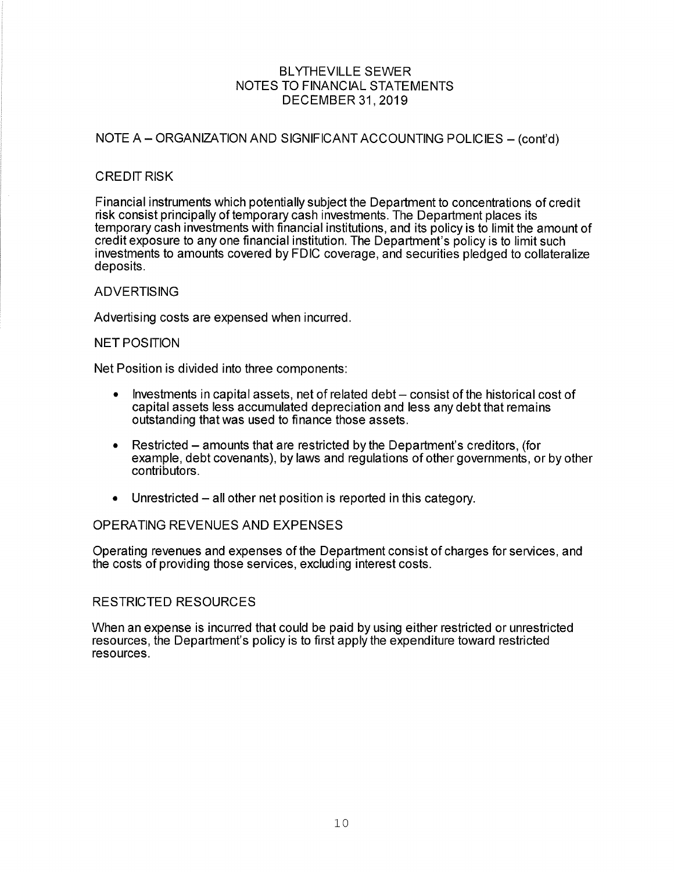# NOTE A - ORGANIZATION AND SIGNIFICANT ACCOUNTING POLICIES - (cont'd)

#### **CREDIT RISK**

Financial instruments which potentially subject the Department to concentrations of credit risk consist principally of temporary cash investments. The Department places its temporary cash investments with financial institutions, and its policy is to limit the amount of credit exposure to any one financial institution. The Department's policy is to limit such investments to amounts covered by FDIC coverage, and securities pledged to collateralize deposits.

#### ADVERTISING

Advertising costs are expensed when incurred.

#### **NET POSITION**

Net Position is divided into three components:

- $\bullet$  lnvestments in capital assets, net of related debt  $-$  consist of the historical cost of capital assets less accumulated depreciation and less any debt that remains outstanding that was used to finance those assets.
- $\bullet$  Restricted amounts that are restricted by the Department's creditors, (for example, debt covenants), by laws and regulations of other governments, or by other contributors.
- $\bullet$  Unrestricted all other net position is reported in this category.

#### OPERATING REVENUES AND EXPENSES

Operating revenues and expenses of the Department consist of charges for services, and the costs of providing those services, excluding interest costs.

# RESTRICTED RESOURCES

When an expense is incurred that could be paid by using either restricted or unrestricted resources, the Department's policy is to first apply the expenditure toward restricted resources.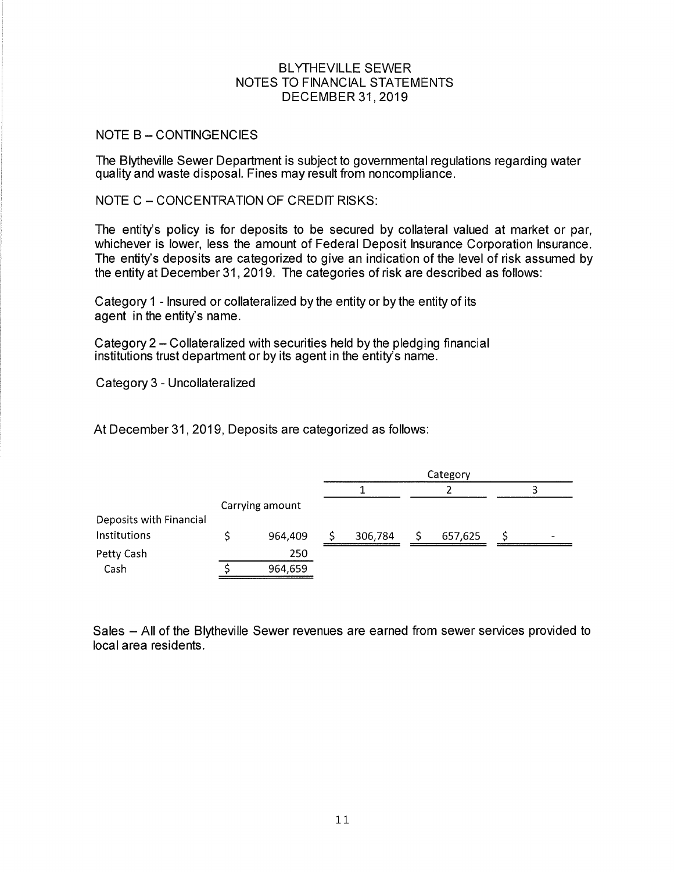## NOTE B - CONTINGENCIES

The Blytheville Sewer Department is subject to governmental regulations regarding water quality and waste disposal. Fines may result from noncompliance.

NOTE C - CONCENTRATION OF CREDIT RISKS:

The entity's policy is for deposits to be secured by collateral valued at market or par, whichever is lower, less the amount of Federal Deposit lnsurance Corporation lnsurance. The entity's deposits are categorized to give an indication of the level of risk assumed by the entity at December 31 , 2019. The categories of risk are described as follows:

Category 1 - lnsured or collateralized by the entity or by the entity of its agent in the entity's name.

Category 2 - Collateralized with securities held by the pledging financial institutions trust department or by its agent in the entity's name.

Category 3 - Uncollateralized

At December 31, 2019, Deposits are categorized as follows:

|                         |                 | Category |  |         |  |   |
|-------------------------|-----------------|----------|--|---------|--|---|
|                         |                 |          |  |         |  |   |
|                         | Carrying amount |          |  |         |  |   |
| Deposits with Financial |                 |          |  |         |  |   |
| Institutions            | 964,409         | 306,784  |  | 657,625 |  | - |
| Petty Cash              | 250             |          |  |         |  |   |
| Cash                    | 964,659         |          |  |         |  |   |

Sales - All of the Blytheville Sewer revenues are earned from sewer services provided to localarea residents.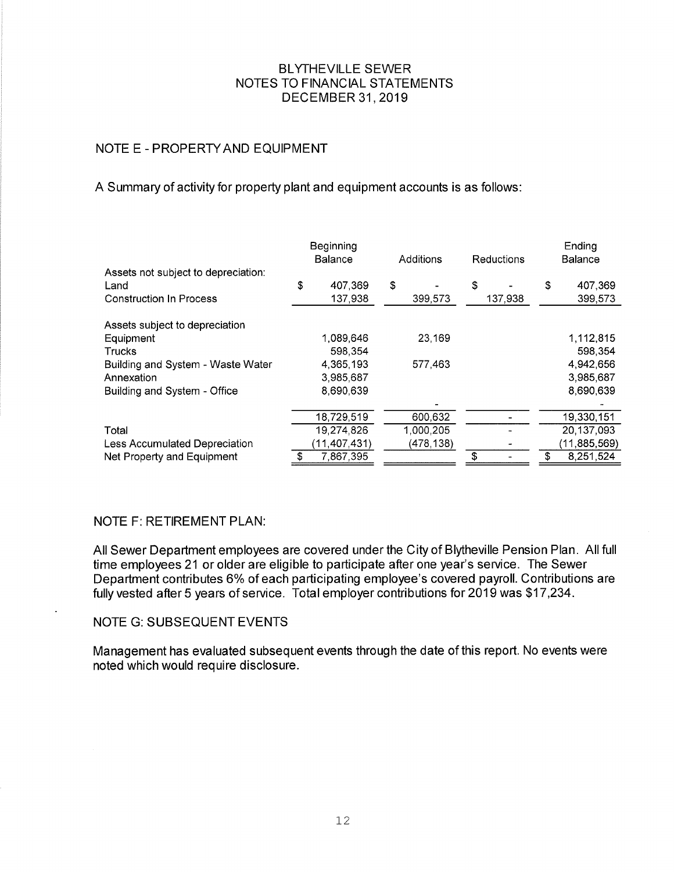# NOTE E - PROPERTYAND EQUIPMENT

# A Summary of activity for property plant and equipment accounts is as follows

|                                                                               | Beginning<br><b>Balance</b> |                    | Additions |            | Reductions |         | Ending<br>Balance |                    |
|-------------------------------------------------------------------------------|-----------------------------|--------------------|-----------|------------|------------|---------|-------------------|--------------------|
| Assets not subject to depreciation:<br>Land<br><b>Construction In Process</b> | \$                          | 407,369<br>137,938 | \$        | 399,573    | \$         | 137,938 | \$                | 407,369<br>399,573 |
| Assets subject to depreciation                                                |                             |                    |           |            |            |         |                   |                    |
| Equipment                                                                     |                             | 1,089,646          |           | 23,169     |            |         |                   | 1,112,815          |
| Trucks                                                                        |                             | 598,354            |           |            |            |         |                   | 598.354            |
| Building and System - Waste Water                                             |                             | 4,365,193          |           | 577,463    |            |         |                   | 4,942,656          |
| Annexation                                                                    |                             | 3,985,687          |           |            |            |         |                   | 3,985,687          |
| Building and System - Office                                                  |                             | 8,690,639          |           |            |            |         |                   | 8,690,639          |
|                                                                               |                             |                    |           |            |            |         |                   |                    |
|                                                                               |                             | 18,729,519         |           | 600,632    |            |         |                   | 19,330,151         |
| Total                                                                         |                             | 19,274,826         |           | 1,000,205  |            |         |                   | 20,137,093         |
| Less Accumulated Depreciation                                                 |                             | (11, 407, 431)     |           | (478, 138) |            |         |                   | (11, 885, 569)     |
| Net Property and Equipment                                                    | \$                          | 7,867,395          |           |            | ९          |         |                   | 8,251,524          |

# NOTE F: RETIREMENT PLAN

All Sewer Department employees are covered under the City of Blytheville Pension Plan. All full time employees 21 or older are eligible to participate after one year's service. The Sewer Department contributes 6% of each participating employee's covered payroll. Contributions are fully vested after 5 years of service. Total employer contributions for 2019 was \$17 ,234.

#### NOTE G: SUBSEQUENT EVENTS

Management has evaluated subsequent events through the date of this report. No events were noted which would require disclosure.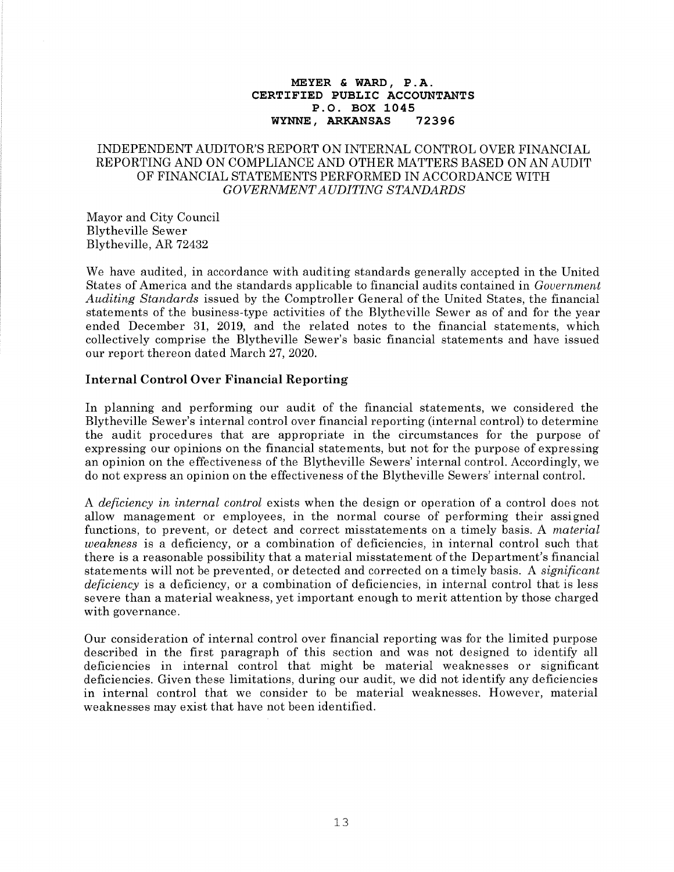#### MEYER & WARD, P.A. CERTIFIED PUBLIC ACCOUNTANTS P.O. BOX 1045<br>, ARKANSAS 72396 WYNNE, ARKANSAS

#### INDEPENDENT AUDITOR'S REPORT ON INTERNAL CONTROL OVER FINANCIAL REPORTING AND ON COMPLIANCE AND OTHER MATTERS BASED ON AN AUDIT OF FINANCIAL STATEMENTS PERFORMED IN ACCORDANCE WITH GOVERNMENT AUDITING STANDARDS

Mayor and City Council Blytheville Sewer Blytheville, AR 72432

We have audited, in accordance with auditing standards generally accepted in the United States of America and the standards applicable to financial audits contained in Gouernment Auditing Standards issued by the Comptroller General of the United States, the financial statements of the business-type activities of the Blytheville Sewer as of and for the year ended December 31, 2019, and the related notes to the financial statements, which collectively comprise the Blytheville Sewer's basic financial statements and have issued our report thereon dated March 27,2020.

#### Internal Control Over Financial Reporting

In planning and performing our audit of the financial statements, we considered the Blytheville Sewer's internal control over financial reporting (internal control) to determine the audit procedures that are appropriate in the circumstances for the purpose of expressing our opinions on the financial statements, but not for the purpose of expressing an opinion on the effectiveness of the Blytheville Sewers' internal control. Accordingly, we do not express an opinion on the effectiveness of the Blytheville Sewers' internal control.

A deficiency in internal control exists when the design or operation of a control does not allow management or employees, in the normal course of performing their assigned functions, to prevent, or detect and correct misstatements on a timely basis. A material weakness is a deficiency, or a combination of deficiencies, in internal control such that there is a reasonable possibility that a material misstatement of the Department's financial statements will not be prevented, or detected and corrected on a timely basis. A *significant* deficiency is a deficiency, or a combination of deficiencies, in internal control that is less severe than a material weakness, yet important enough to merit attention by those charged with governance.

Our consideration of internal control over financial reporting was for the limited purpose described in the first paragraph of this section and was not designed to identify all deficiencies in internal control that might be material weaknesses or significant deficiencies. Given these limitations, during our audit, we did not identify any deficiencies in internal control that we consider to be material weaknesses. However, material weaknesses may exist that have not been identified.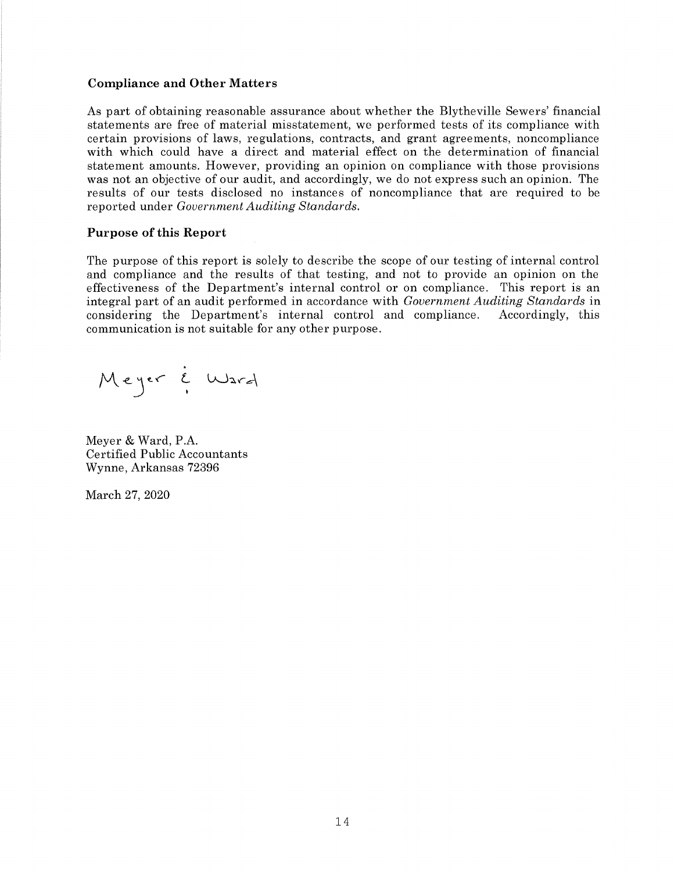#### Compliance and Other Matters

As part of obtaining reasonable assurance about whether the Blytheville Sewers' financial statements are free of material misstatement, we performed tests of its compliance with certain provisions of laws, regulations, contracts, and grant agreements, noncompliance with which could have a direct and material effect on the determination of financial statement amounts. However, providing an opinion on compliance with those provisions was not an objective of our audit, and accordingly, we do not express such an opinion. The results of our tests disclosed no instances of noncompliance that are required to be reported under Government Auditing Standards.

#### Purpose of this Report

The purpose of this report is solely to describe the scope of our testing of internal control and compliance and the results of that testing, and not to provide an opinion on the effectiveness of the Department's internal control or on compliance. This report is an integral part of an audit performed in accordance with Government Auditing Standards in considering the Department's internal control and compliance. Accordingly, this communication is not suitable for any other purpose.

Meyer i l.rr\*)erd

Meyer & Ward, P.A. Certified Public Accountants Wynne, Arkansas 72396

March 27, 2020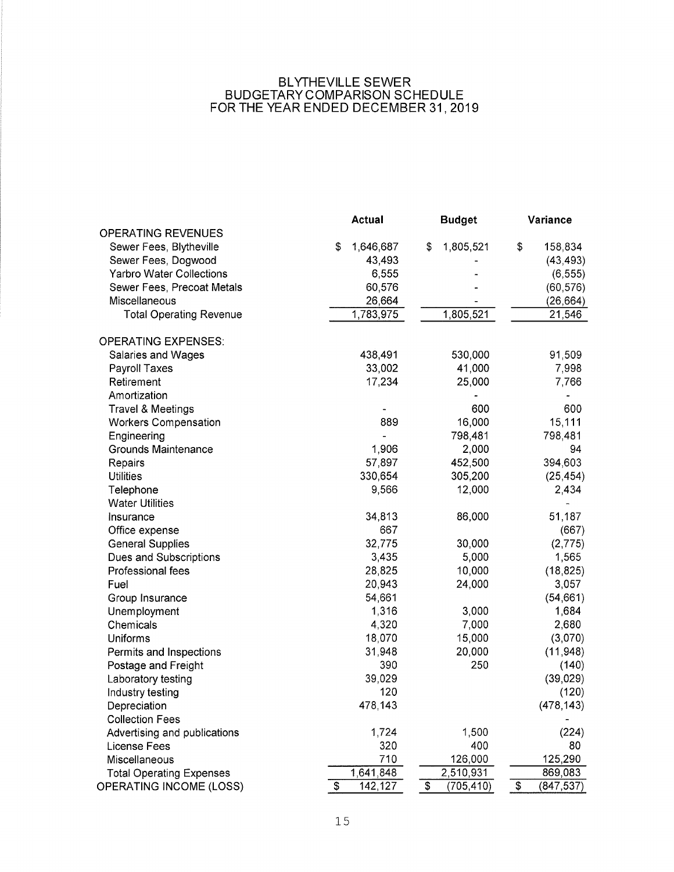#### BLYTHEVILLE SEWER BUDGETARY COMPARISON SCHEDULE FOR THE YEAR ENDED DECEMBER 31, 2019

|                                 | <b>Actual</b>   | <b>Budget</b>    | Variance                           |  |
|---------------------------------|-----------------|------------------|------------------------------------|--|
| <b>OPERATING REVENUES</b>       |                 |                  |                                    |  |
| Sewer Fees, Blytheville         | \$<br>1,646,687 | \$<br>1,805,521  | \$<br>158,834                      |  |
| Sewer Fees, Dogwood             | 43,493          |                  | (43, 493)                          |  |
| <b>Yarbro Water Collections</b> | 6,555           |                  | (6, 555)                           |  |
| Sewer Fees, Precoat Metals      | 60,576          |                  | (60, 576)                          |  |
| Miscellaneous                   | 26,664          |                  | (26, 664)                          |  |
| <b>Total Operating Revenue</b>  | 1,783,975       | 1,805,521        | 21,546                             |  |
| <b>OPERATING EXPENSES:</b>      |                 |                  |                                    |  |
| Salaries and Wages              | 438,491         | 530,000          | 91,509                             |  |
| Payroll Taxes                   | 33,002          | 41,000           | 7,998                              |  |
| Retirement                      | 17,234          | 25,000           | 7,766                              |  |
| Amortization                    |                 |                  |                                    |  |
| <b>Travel &amp; Meetings</b>    |                 | 600              | 600                                |  |
| <b>Workers Compensation</b>     | 889             | 16,000           | 15,111                             |  |
| Engineering                     |                 | 798,481          | 798,481                            |  |
| <b>Grounds Maintenance</b>      | 1,906           | 2,000            | 94                                 |  |
| Repairs                         | 57,897          | 452,500          | 394,603                            |  |
| <b>Utilities</b>                | 330,654         | 305,200          | (25, 454)                          |  |
| Telephone                       | 9,566           | 12,000           | 2,434                              |  |
| <b>Water Utilities</b>          |                 |                  |                                    |  |
| Insurance                       | 34,813          | 86,000           | 51,187                             |  |
| Office expense                  | 667             |                  | (667)                              |  |
| <b>General Supplies</b>         | 32,775          | 30,000           | (2,775)                            |  |
| Dues and Subscriptions          | 3,435           | 5,000            | 1,565                              |  |
| Professional fees               | 28,825          | 10,000           | (18, 825)                          |  |
| Fuel                            | 20,943          | 24,000           | 3,057                              |  |
| Group Insurance                 | 54,661          |                  | (54, 661)                          |  |
| Unemployment                    | 1,316           | 3,000            | 1,684                              |  |
| Chemicals                       | 4,320           | 7,000            | 2,680                              |  |
| Uniforms                        | 18,070          | 15,000           | (3,070)                            |  |
| Permits and Inspections         | 31,948          | 20,000           | (11, 948)                          |  |
| Postage and Freight             | 390             | 250              | (140)                              |  |
| Laboratory testing              | 39,029          |                  | (39, 029)                          |  |
| Industry testing                | 120             |                  | (120)                              |  |
| Depreciation                    | 478,143         |                  | (478, 143)                         |  |
| <b>Collection Fees</b>          |                 |                  |                                    |  |
| Advertising and publications    | 1,724           | 1,500            | (224)                              |  |
| <b>License Fees</b>             | 320             | 400              | 80                                 |  |
| Miscellaneous                   | 710             | 126,000          | 125,290                            |  |
| <b>Total Operating Expenses</b> | 1,641,848       | 2,510,931        | 869,083                            |  |
| OPERATING INCOME (LOSS)         | \$<br>142,127   | \$<br>(705, 410) | $\pmb{\mathfrak{P}}$<br>(847, 537) |  |